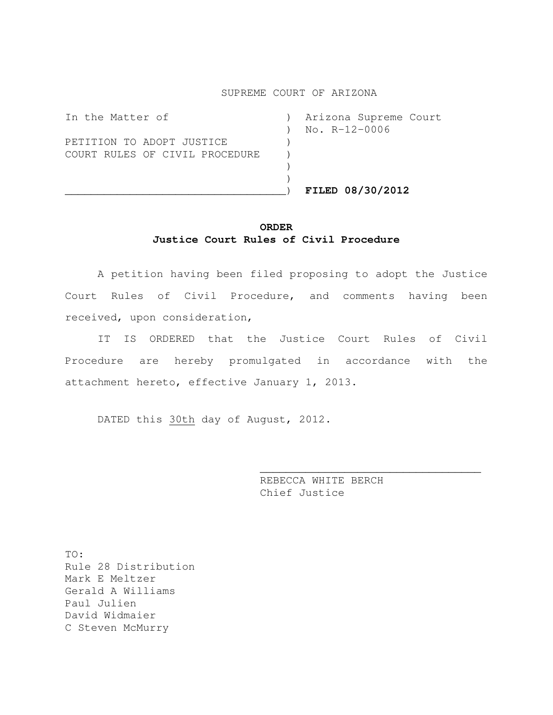#### SUPREME COURT OF ARIZONA

|                                | FILED 08/30/2012      |
|--------------------------------|-----------------------|
|                                |                       |
|                                |                       |
| COURT RULES OF CIVIL PROCEDURE |                       |
| PETITION TO ADOPT JUSTICE      |                       |
|                                | $No. R-12-0006$       |
| In the Matter of               | Arizona Supreme Court |

#### **ORDER Justice Court Rules of Civil Procedure**

A petition having been filed proposing to adopt the Justice Court Rules of Civil Procedure, and comments having been received, upon consideration,

IT IS ORDERED that the Justice Court Rules of Civil Procedure are hereby promulgated in accordance with the attachment hereto, effective January 1, 2013.

DATED this 30th day of August, 2012.

REBECCA WHITE BERCH Chief Justice

\_\_\_\_\_\_\_\_\_\_\_\_\_\_\_\_\_\_\_\_\_\_\_\_\_\_\_\_\_\_\_\_\_\_

TO: Rule 28 Distribution Mark E Meltzer Gerald A Williams Paul Julien David Widmaier C Steven McMurry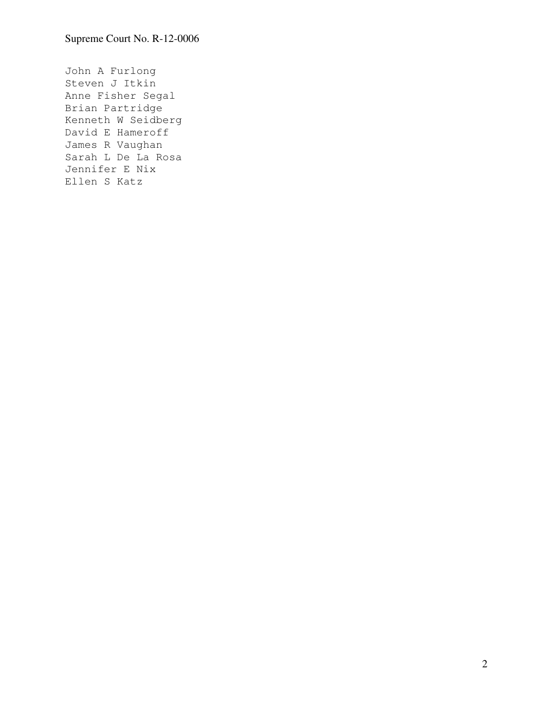John A Furlong Steven J Itkin Anne Fisher Segal Brian Partridge Kenneth W Seidberg David E Hameroff James R Vaughan Sarah L De La Rosa Jennifer E Nix Ellen S Katz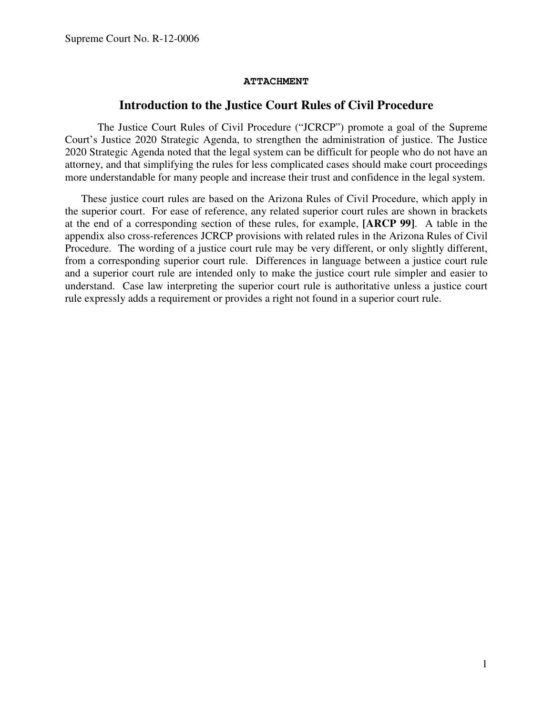#### **ATTACHMENT**

#### **Introduction to the Justice Court Rules of Civil Procedure**

The Justice Court Rules of Civil Procedure ("JCRCP") promote a goal of the Supreme Court's Justice 2020 Strategic Agenda, to strengthen the administration of justice. The Justice 2020 Strategic Agenda noted that the legal system can be difficult for people who do not have an attorney, and that simplifying the rules for less complicated cases should make court proceedings more understandable for many people and increase their trust and confidence in the legal system.

These justice court rules are based on the Arizona Rules of Civil Procedure, which apply in the superior court. For ease of reference, any related superior court rules are shown in brackets at the end of a corresponding section of these rules, for example, **[ARCP 99]**. A table in the appendix also cross-references JCRCP provisions with related rules in the Arizona Rules of Civil Procedure. The wording of a justice court rule may be very different, or only slightly different, from a corresponding superior court rule. Differences in language between a justice court rule and a superior court rule are intended only to make the justice court rule simpler and easier to understand. Case law interpreting the superior court rule is authoritative unless a justice court rule expressly adds a requirement or provides a right not found in a superior court rule.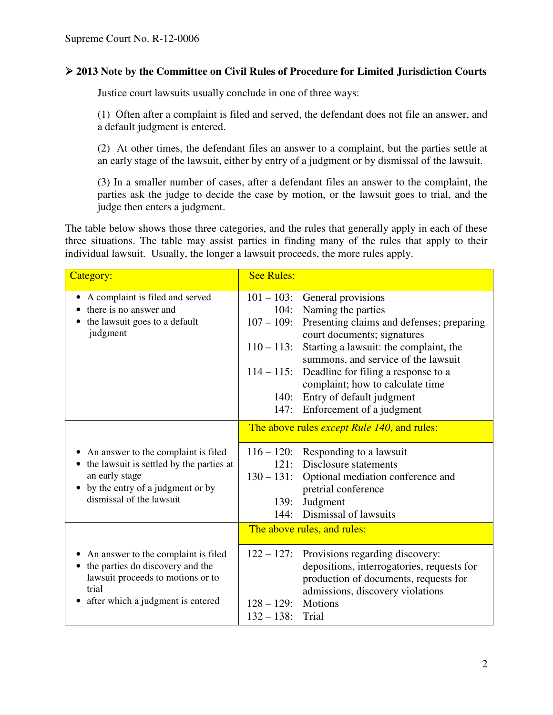## **2013 Note by the Committee on Civil Rules of Procedure for Limited Jurisdiction Courts**

Justice court lawsuits usually conclude in one of three ways:

(1) Often after a complaint is filed and served, the defendant does not file an answer, and a default judgment is entered.

(2) At other times, the defendant files an answer to a complaint, but the parties settle at an early stage of the lawsuit, either by entry of a judgment or by dismissal of the lawsuit.

(3) In a smaller number of cases, after a defendant files an answer to the complaint, the parties ask the judge to decide the case by motion, or the lawsuit goes to trial, and the judge then enters a judgment.

The table below shows those three categories, and the rules that generally apply in each of these three situations. The table may assist parties in finding many of the rules that apply to their individual lawsuit. Usually, the longer a lawsuit proceeds, the more rules apply.

| Category:                                                                                                                                                           | <b>See Rules:</b>                                                                        |                                                                                                                                                                                                                                                                                                                                            |  |
|---------------------------------------------------------------------------------------------------------------------------------------------------------------------|------------------------------------------------------------------------------------------|--------------------------------------------------------------------------------------------------------------------------------------------------------------------------------------------------------------------------------------------------------------------------------------------------------------------------------------------|--|
| A complaint is filed and served<br>there is no answer and<br>the lawsuit goes to a default<br>judgment                                                              | $101 - 103$ :<br>104:<br>$107 - 109$ :<br>$110 - 113$ :<br>$114 - 115$ :<br>140:<br>147: | General provisions<br>Naming the parties<br>Presenting claims and defenses; preparing<br>court documents; signatures<br>Starting a lawsuit: the complaint, the<br>summons, and service of the lawsuit<br>Deadline for filing a response to a<br>complaint; how to calculate time<br>Entry of default judgment<br>Enforcement of a judgment |  |
| • An answer to the complaint is filed<br>the lawsuit is settled by the parties at<br>an early stage<br>by the entry of a judgment or by<br>dismissal of the lawsuit | $116 - 120$ :<br>121:<br>$130 - 131$ :<br>139:<br>144:                                   | The above rules <i>except Rule 140</i> , and rules:<br>Responding to a lawsuit<br>Disclosure statements<br>Optional mediation conference and<br>pretrial conference<br>Judgment<br>Dismissal of lawsuits                                                                                                                                   |  |
|                                                                                                                                                                     | The above rules, and rules:                                                              |                                                                                                                                                                                                                                                                                                                                            |  |
| An answer to the complaint is filed<br>the parties do discovery and the<br>lawsuit proceeds to motions or to<br>trial<br>after which a judgment is entered          | $122 - 127$ :<br>$128 - 129$ :<br>$132 - 138$ :                                          | Provisions regarding discovery:<br>depositions, interrogatories, requests for<br>production of documents, requests for<br>admissions, discovery violations<br>Motions<br>Trial                                                                                                                                                             |  |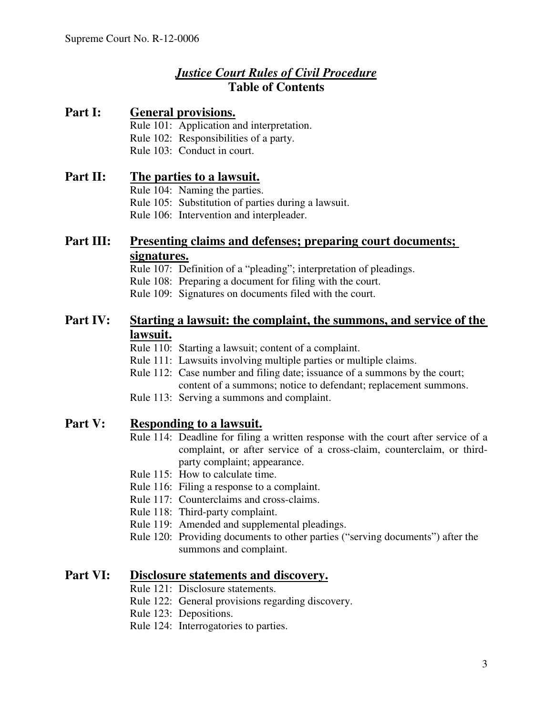# *Justice Court Rules of Civil Procedure* **Table of Contents**

## **Part I: General provisions.**

- Rule 101: Application and interpretation.
- Rule 102: Responsibilities of a party.
- Rule 103: Conduct in court.

## **Part II: The parties to a lawsuit.**

Rule 104: Naming the parties.

Rule 105: Substitution of parties during a lawsuit.

Rule 106: Intervention and interpleader.

# **Part III: Presenting claims and defenses; preparing court documents; signatures.**

Rule 107: Definition of a "pleading"; interpretation of pleadings.

Rule 108: Preparing a document for filing with the court.

Rule 109: Signatures on documents filed with the court.

## **Part IV: Starting a lawsuit: the complaint, the summons, and service of the lawsuit.**

Rule 110: Starting a lawsuit; content of a complaint.

- Rule 111: Lawsuits involving multiple parties or multiple claims.
- Rule 112: Case number and filing date; issuance of a summons by the court; content of a summons; notice to defendant; replacement summons.

Rule 113: Serving a summons and complaint.

## **Part V: Responding to a lawsuit.**

- Rule 114: Deadline for filing a written response with the court after service of a complaint, or after service of a cross-claim, counterclaim, or thirdparty complaint; appearance.
- Rule 115: How to calculate time.
- Rule 116: Filing a response to a complaint.
- Rule 117: Counterclaims and cross-claims.
- Rule 118: Third-party complaint.
- Rule 119: Amended and supplemental pleadings.
- Rule 120: Providing documents to other parties ("serving documents") after the summons and complaint.

## **Part VI: Disclosure statements and discovery.**

- Rule 121: Disclosure statements.
- Rule 122: General provisions regarding discovery.
- Rule 123: Depositions.
- Rule 124: Interrogatories to parties.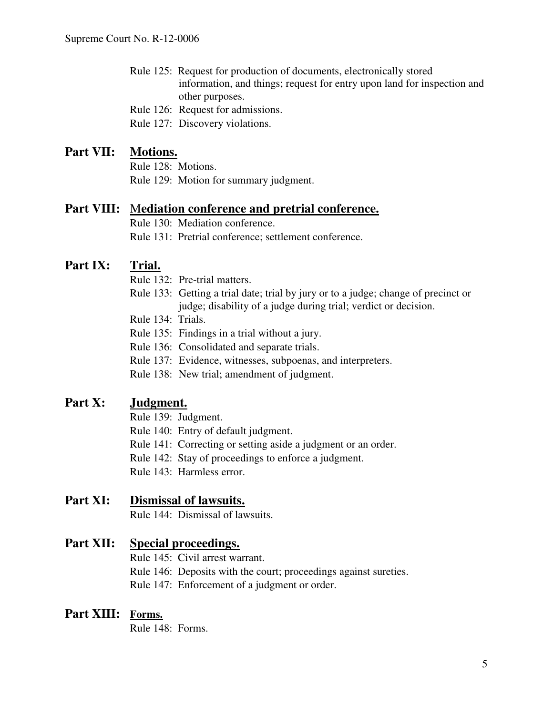- Rule 125: Request for production of documents, electronically stored information, and things; request for entry upon land for inspection and other purposes.
- Rule 126: Request for admissions.

Rule 127: Discovery violations.

## **Part VII: Motions.**

Rule 128: Motions. Rule 129: Motion for summary judgment.

## **Part VIII:** M**ediation conference and pretrial conference.**

Rule 130: Mediation conference.

Rule 131: Pretrial conference; settlement conference.

# **Part IX: Trial.**

- Rule 132: Pre-trial matters.
- Rule 133: Getting a trial date; trial by jury or to a judge; change of precinct or judge; disability of a judge during trial; verdict or decision.
- Rule 134: Trials.
- Rule 135: Findings in a trial without a jury.
- Rule 136: Consolidated and separate trials.
- Rule 137: Evidence, witnesses, subpoenas, and interpreters.
- Rule 138: New trial; amendment of judgment.

## **Part X: Judgment.**

- Rule 139: Judgment.
- Rule 140: Entry of default judgment.
- Rule 141: Correcting or setting aside a judgment or an order.
- Rule 142: Stay of proceedings to enforce a judgment.
- Rule 143: Harmless error.

## **Part XI: Dismissal of lawsuits.**

Rule 144: Dismissal of lawsuits.

## **Part XII: Special proceedings.**

- Rule 145: Civil arrest warrant.
- Rule 146: Deposits with the court; proceedings against sureties.
- Rule 147: Enforcement of a judgment or order.

## **Part XIII: Forms.**

Rule 148: Forms.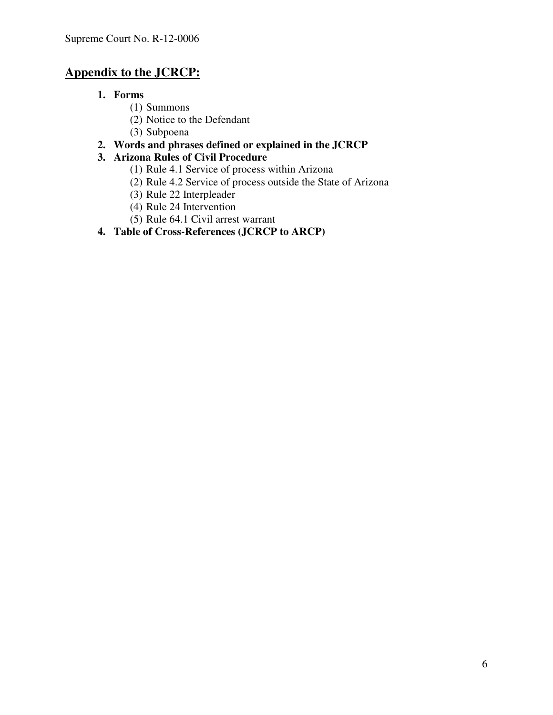# **Appendix to the JCRCP:**

- **1. Forms**
	- (1) Summons
	- (2) Notice to the Defendant
	- (3) Subpoena

## **2. Words and phrases defined or explained in the JCRCP**

## **3. Arizona Rules of Civil Procedure**

- (1) Rule 4.1 Service of process within Arizona
- (2) Rule 4.2 Service of process outside the State of Arizona
- (3) Rule 22 Interpleader
- (4) Rule 24 Intervention
- (5) Rule 64.1 Civil arrest warrant
- **4. Table of Cross-References (JCRCP to ARCP)**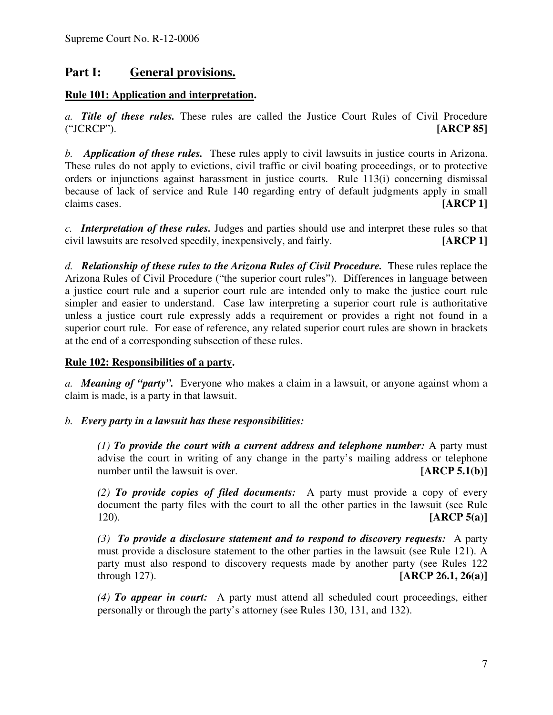## **Part I: General provisions.**

## **Rule 101: Application and interpretation.**

*a. Title of these rules.* These rules are called the Justice Court Rules of Civil Procedure ("JCRCP"). **[ARCP 85]**

*b. Application of these rules.* These rules apply to civil lawsuits in justice courts in Arizona. These rules do not apply to evictions, civil traffic or civil boating proceedings, or to protective orders or injunctions against harassment in justice courts. Rule 113(i) concerning dismissal because of lack of service and Rule 140 regarding entry of default judgments apply in small claims cases. **[ARCP 1]**

*c. Interpretation of these rules.* Judges and parties should use and interpret these rules so that civil lawsuits are resolved speedily, inexpensively, and fairly. **[ARCP 1]**

*d. Relationship of these rules to the Arizona Rules of Civil Procedure.* These rules replace the Arizona Rules of Civil Procedure ("the superior court rules"). Differences in language between a justice court rule and a superior court rule are intended only to make the justice court rule simpler and easier to understand. Case law interpreting a superior court rule is authoritative unless a justice court rule expressly adds a requirement or provides a right not found in a superior court rule. For ease of reference, any related superior court rules are shown in brackets at the end of a corresponding subsection of these rules.

#### **Rule 102: Responsibilities of a party.**

*a. Meaning of "party".* Everyone who makes a claim in a lawsuit, or anyone against whom a claim is made, is a party in that lawsuit.

## *b. Every party in a lawsuit has these responsibilities:*

*(1) To provide the court with a current address and telephone number:* A party must advise the court in writing of any change in the party's mailing address or telephone number until the lawsuit is over. **[ARCP 5.1(b)]** 

*(2) To provide copies of filed documents:* A party must provide a copy of every document the party files with the court to all the other parties in the lawsuit (see Rule 120). **[ARCP 5(a)]**

*(3) To provide a disclosure statement and to respond to discovery requests:* A party must provide a disclosure statement to the other parties in the lawsuit (see Rule 121). A party must also respond to discovery requests made by another party (see Rules 122 through 127). **[ARCP 26.1, 26(a)]**

*(4) To appear in court:* A party must attend all scheduled court proceedings, either personally or through the party's attorney (see Rules 130, 131, and 132).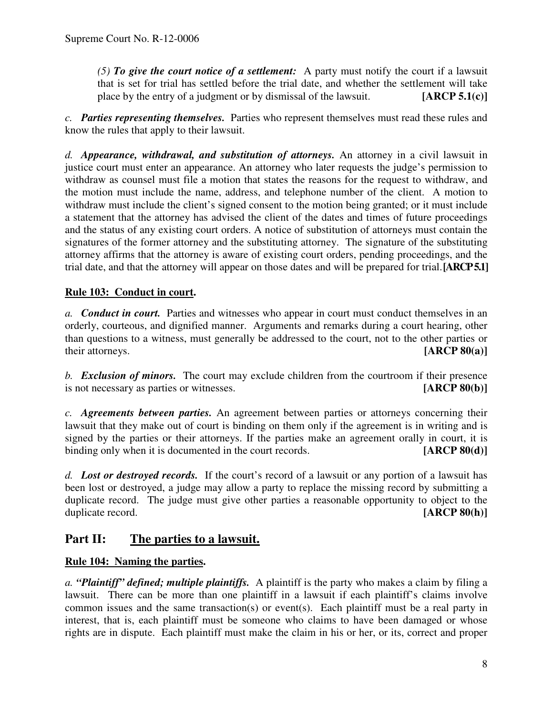*(5) To give the court notice of a settlement:* A party must notify the court if a lawsuit that is set for trial has settled before the trial date, and whether the settlement will take place by the entry of a judgment or by dismissal of the lawsuit. **[ARCP 5.1(c)]**

*c. Parties representing themselves.* Parties who represent themselves must read these rules and know the rules that apply to their lawsuit.

*d. Appearance, withdrawal, and substitution of attorneys.* An attorney in a civil lawsuit in justice court must enter an appearance. An attorney who later requests the judge's permission to withdraw as counsel must file a motion that states the reasons for the request to withdraw, and the motion must include the name, address, and telephone number of the client. A motion to withdraw must include the client's signed consent to the motion being granted; or it must include a statement that the attorney has advised the client of the dates and times of future proceedings and the status of any existing court orders. A notice of substitution of attorneys must contain the signatures of the former attorney and the substituting attorney. The signature of the substituting attorney affirms that the attorney is aware of existing court orders, pending proceedings, and the trial date, and that the attorney will appear on those dates and will be prepared for trial.**[ARCP5.1]**

## **Rule 103: Conduct in court.**

*a. Conduct in court.* Parties and witnesses who appear in court must conduct themselves in an orderly, courteous, and dignified manner. Arguments and remarks during a court hearing, other than questions to a witness, must generally be addressed to the court, not to the other parties or their attorneys. **[ARCP 80(a)]**

*b. Exclusion of minors.* The court may exclude children from the courtroom if their presence is not necessary as parties or witnesses. [ARCP 80(b)] is not necessary as parties or witnesses.

*c. Agreements between parties.* An agreement between parties or attorneys concerning their lawsuit that they make out of court is binding on them only if the agreement is in writing and is signed by the parties or their attorneys. If the parties make an agreement orally in court, it is binding only when it is documented in the court records. **[ARCP 80(d)]** 

*d. Lost or destroyed records.* If the court's record of a lawsuit or any portion of a lawsuit has been lost or destroyed, a judge may allow a party to replace the missing record by submitting a duplicate record. The judge must give other parties a reasonable opportunity to object to the duplicate record. **[ARCP** 80(h)]

## **Part II: The parties to a lawsuit.**

## **Rule 104: Naming the parties.**

*a. "Plaintiff" defined; multiple plaintiffs.* A plaintiff is the party who makes a claim by filing a lawsuit. There can be more than one plaintiff in a lawsuit if each plaintiff's claims involve common issues and the same transaction(s) or event(s). Each plaintiff must be a real party in interest, that is, each plaintiff must be someone who claims to have been damaged or whose rights are in dispute. Each plaintiff must make the claim in his or her, or its, correct and proper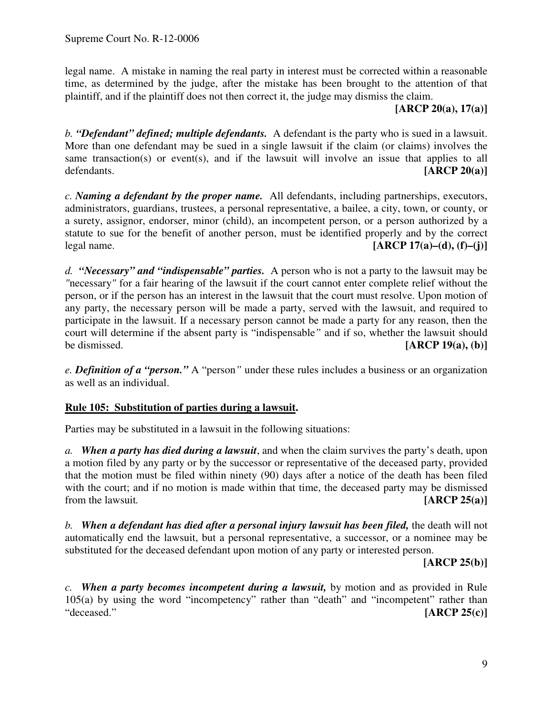legal name. A mistake in naming the real party in interest must be corrected within a reasonable time, as determined by the judge, after the mistake has been brought to the attention of that plaintiff, and if the plaintiff does not then correct it, the judge may dismiss the claim.

**[ARCP 20(a), 17(a)]**

*b. "Defendant" defined; multiple defendants.* A defendant is the party who is sued in a lawsuit. More than one defendant may be sued in a single lawsuit if the claim (or claims) involves the same transaction(s) or event(s), and if the lawsuit will involve an issue that applies to all defendants. **[ARCP 20(a)]**

*c. Naming a defendant by the proper name.* All defendants, including partnerships, executors, administrators, guardians, trustees, a personal representative, a bailee, a city, town, or county, or a surety, assignor, endorser, minor (child), an incompetent person, or a person authorized by a statute to sue for the benefit of another person, must be identified properly and by the correct legal name. **[ARCP 17(a)–(d), (f)–(j)]**

*d. "Necessary" and "indispensable" parties.* A person who is not a party to the lawsuit may be *"*necessary*"* for a fair hearing of the lawsuit if the court cannot enter complete relief without the person, or if the person has an interest in the lawsuit that the court must resolve. Upon motion of any party, the necessary person will be made a party, served with the lawsuit, and required to participate in the lawsuit. If a necessary person cannot be made a party for any reason, then the court will determine if the absent party is "indispensable*"* and if so, whether the lawsuit should be dismissed. **[ARCP 19(a), (b)]**

*e. Definition of a "person."* A "person*"* under these rules includes a business or an organization as well as an individual.

## **Rule 105: Substitution of parties during a lawsuit.**

Parties may be substituted in a lawsuit in the following situations:

*a. When a party has died during a lawsuit*, and when the claim survives the party's death, upon a motion filed by any party or by the successor or representative of the deceased party, provided that the motion must be filed within ninety (90) days after a notice of the death has been filed with the court; and if no motion is made within that time, the deceased party may be dismissed from the lawsuit*.* **[ARCP 25(a)]**

*b. When a defendant has died after a personal injury lawsuit has been filed,* the death will not automatically end the lawsuit, but a personal representative, a successor, or a nominee may be substituted for the deceased defendant upon motion of any party or interested person.

**[ARCP 25(b)]**

*c. When a party becomes incompetent during a lawsuit,* by motion and as provided in Rule 105(a) by using the word "incompetency" rather than "death" and "incompetent" rather than "deceased." **[ARCP 25(c)]**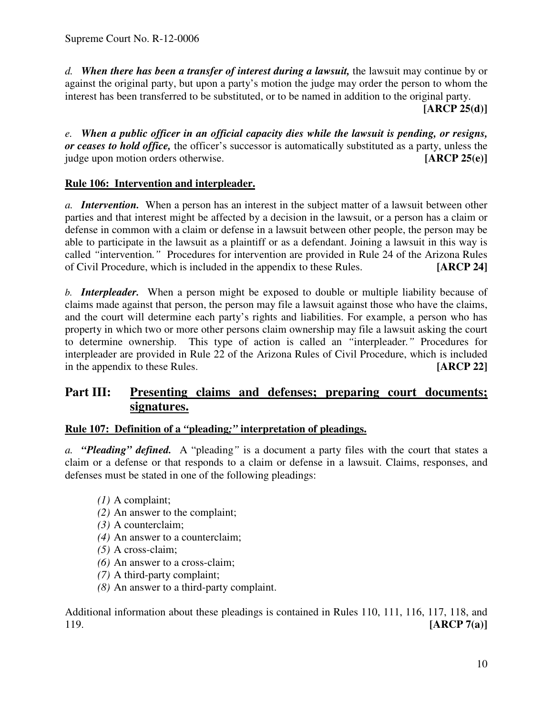*d. When there has been a transfer of interest during a lawsuit,* the lawsuit may continue by or against the original party, but upon a party's motion the judge may order the person to whom the interest has been transferred to be substituted, or to be named in addition to the original party.

**[ARCP 25(d)]**

*e. When a public officer in an official capacity dies while the lawsuit is pending, or resigns, or ceases to hold office,* the officer's successor is automatically substituted as a party, unless the judge upon motion orders otherwise. **[ARCP 25(e)]**

## **Rule 106: Intervention and interpleader.**

*a. Intervention.* When a person has an interest in the subject matter of a lawsuit between other parties and that interest might be affected by a decision in the lawsuit, or a person has a claim or defense in common with a claim or defense in a lawsuit between other people, the person may be able to participate in the lawsuit as a plaintiff or as a defendant. Joining a lawsuit in this way is called "intervention." Procedures for intervention are provided in Rule 24 of the Arizona Rules of Civil Procedure, which is included in the appendix to these Rules. [ARCP 24] of Civil Procedure, which is included in the appendix to these Rules.

*b. Interpleader.* When a person might be exposed to double or multiple liability because of claims made against that person, the person may file a lawsuit against those who have the claims, and the court will determine each party's rights and liabilities. For example, a person who has property in which two or more other persons claim ownership may file a lawsuit asking the court to determine ownership. This type of action is called an *"*interpleader*."* Procedures for interpleader are provided in Rule 22 of the Arizona Rules of Civil Procedure, which is included in the appendix to these Rules. **[ARCP 22]**

# **Part III: Presenting claims and defenses; preparing court documents; signatures.**

## **Rule 107: Definition of a** *"***pleading***;"* **interpretation of pleadings.**

*a. "Pleading" defined.* A "pleading*"* is a document a party files with the court that states a claim or a defense or that responds to a claim or defense in a lawsuit. Claims, responses, and defenses must be stated in one of the following pleadings:

- *(1)* A complaint;
- *(2)* An answer to the complaint;
- *(3)* A counterclaim;
- *(4)* An answer to a counterclaim;
- *(5)* A cross-claim;
- *(6)* An answer to a cross-claim;
- *(7)* A third-party complaint;
- *(8)* An answer to a third-party complaint.

Additional information about these pleadings is contained in Rules 110, 111, 116, 117, 118, and 119. **[ARCP 7(a)]**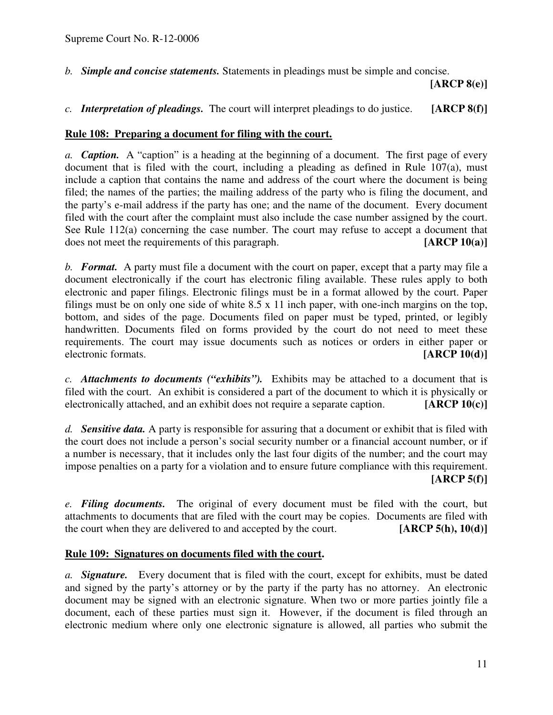*b. Simple and concise statements.* Statements in pleadings must be simple and concise.

**[ARCP 8(e)]**

*c. Interpretation of pleadings.* The court will interpret pleadings to do justice. **[ARCP 8(f)]**

#### **Rule 108: Preparing a document for filing with the court.**

*a. Caption.* A "caption" is a heading at the beginning of a document. The first page of every document that is filed with the court, including a pleading as defined in Rule  $107(a)$ , must include a caption that contains the name and address of the court where the document is being filed; the names of the parties; the mailing address of the party who is filing the document, and the party's e-mail address if the party has one; and the name of the document. Every document filed with the court after the complaint must also include the case number assigned by the court. See Rule 112(a) concerning the case number. The court may refuse to accept a document that does not meet the requirements of this paragraph. **[ARCP 10(a)]**

*b. Format.* A party must file a document with the court on paper, except that a party may file a document electronically if the court has electronic filing available. These rules apply to both electronic and paper filings. Electronic filings must be in a format allowed by the court. Paper filings must be on only one side of white 8.5 x 11 inch paper, with one-inch margins on the top, bottom, and sides of the page. Documents filed on paper must be typed, printed, or legibly handwritten. Documents filed on forms provided by the court do not need to meet these requirements. The court may issue documents such as notices or orders in either paper or electronic formats. **[ARCP 10(d)]**

*c. Attachments to documents ("exhibits").* Exhibits may be attached to a document that is filed with the court. An exhibit is considered a part of the document to which it is physically or electronically attached, and an exhibit does not require a separate caption. **[ARCP 10(c)]**

*d. Sensitive data.* A party is responsible for assuring that a document or exhibit that is filed with the court does not include a person's social security number or a financial account number, or if a number is necessary, that it includes only the last four digits of the number; and the court may impose penalties on a party for a violation and to ensure future compliance with this requirement. **[ARCP 5(f)]**

*e. Filing documents.* The original of every document must be filed with the court, but attachments to documents that are filed with the court may be copies. Documents are filed with the court when they are delivered to and accepted by the court. **[ARCP 5(h), 10(d)]**

## **Rule 109: Signatures on documents filed with the court.**

*a. Signature.* Every document that is filed with the court, except for exhibits, must be dated and signed by the party's attorney or by the party if the party has no attorney. An electronic document may be signed with an electronic signature. When two or more parties jointly file a document, each of these parties must sign it. However, if the document is filed through an electronic medium where only one electronic signature is allowed, all parties who submit the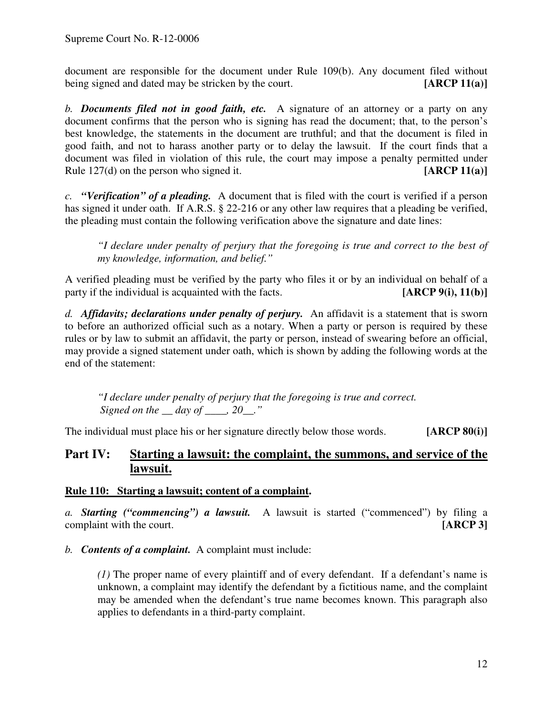document are responsible for the document under Rule 109(b). Any document filed without being signed and dated may be stricken by the court. **[ARCP 11(a)]**

*b. Documents filed not in good faith, etc.* A signature of an attorney or a party on any document confirms that the person who is signing has read the document; that, to the person's best knowledge, the statements in the document are truthful; and that the document is filed in good faith, and not to harass another party or to delay the lawsuit. If the court finds that a document was filed in violation of this rule, the court may impose a penalty permitted under Rule 127(d) on the person who signed it. **[ARCP 11(a)]**

*c. "Verification" of a pleading.* A document that is filed with the court is verified if a person has signed it under oath. If A.R.S. § 22-216 or any other law requires that a pleading be verified, the pleading must contain the following verification above the signature and date lines:

*"I declare under penalty of perjury that the foregoing is true and correct to the best of my knowledge, information, and belief."*

A verified pleading must be verified by the party who files it or by an individual on behalf of a party if the individual is acquainted with the facts. **[ARCP 9(i), 11(b)]**

*d. Affidavits; declarations under penalty of perjury.* An affidavit is a statement that is sworn to before an authorized official such as a notary. When a party or person is required by these rules or by law to submit an affidavit, the party or person, instead of swearing before an official, may provide a signed statement under oath, which is shown by adding the following words at the end of the statement:

*"I declare under penalty of perjury that the foregoing is true and correct. Signed on the \_\_ day of \_\_\_\_, 20\_\_."*

The individual must place his or her signature directly below those words. **[ARCP 80(i)]**

# **Part IV: Starting a lawsuit: the complaint, the summons, and service of the lawsuit.**

## **Rule 110: Starting a lawsuit; content of a complaint.**

*a. Starting ("commencing") a lawsuit.* A lawsuit is started ("commenced") by filing a complaint with the court. **[ARCP 3]**

*b. Contents of a complaint.* A complaint must include:

*(1)* The proper name of every plaintiff and of every defendant. If a defendant's name is unknown, a complaint may identify the defendant by a fictitious name, and the complaint may be amended when the defendant's true name becomes known. This paragraph also applies to defendants in a third-party complaint.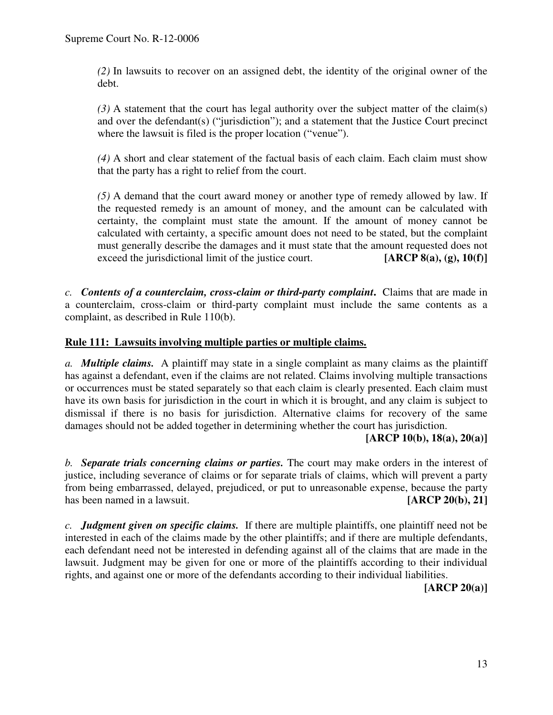*(2)* In lawsuits to recover on an assigned debt, the identity of the original owner of the debt.

*(3)* A statement that the court has legal authority over the subject matter of the claim(s) and over the defendant(s) ("jurisdiction"); and a statement that the Justice Court precinct where the lawsuit is filed is the proper location ("venue").

*(4)* A short and clear statement of the factual basis of each claim. Each claim must show that the party has a right to relief from the court.

*(5)* A demand that the court award money or another type of remedy allowed by law. If the requested remedy is an amount of money, and the amount can be calculated with certainty, the complaint must state the amount. If the amount of money cannot be calculated with certainty, a specific amount does not need to be stated, but the complaint must generally describe the damages and it must state that the amount requested does not exceed the jurisdictional limit of the justice court. **[ARCP 8(a), (g), 10(f)]**

*c. Contents of a counterclaim, cross-claim or third-party complaint***.** Claims that are made in a counterclaim, cross-claim or third-party complaint must include the same contents as a complaint, as described in Rule 110(b).

## **Rule 111: Lawsuits involving multiple parties or multiple claims.**

*a. Multiple claims.* A plaintiff may state in a single complaint as many claims as the plaintiff has against a defendant, even if the claims are not related. Claims involving multiple transactions or occurrences must be stated separately so that each claim is clearly presented. Each claim must have its own basis for jurisdiction in the court in which it is brought, and any claim is subject to dismissal if there is no basis for jurisdiction. Alternative claims for recovery of the same damages should not be added together in determining whether the court has jurisdiction.

#### **[ARCP 10(b), 18(a), 20(a)]**

*b. Separate trials concerning claims or parties.* The court may make orders in the interest of justice, including severance of claims or for separate trials of claims, which will prevent a party from being embarrassed, delayed, prejudiced, or put to unreasonable expense, because the party has been named in a lawsuit. **[ARCP** 20(b), 21]

*c. Judgment given on specific claims.* If there are multiple plaintiffs, one plaintiff need not be interested in each of the claims made by the other plaintiffs; and if there are multiple defendants, each defendant need not be interested in defending against all of the claims that are made in the lawsuit. Judgment may be given for one or more of the plaintiffs according to their individual rights, and against one or more of the defendants according to their individual liabilities.

**[ARCP 20(a)]**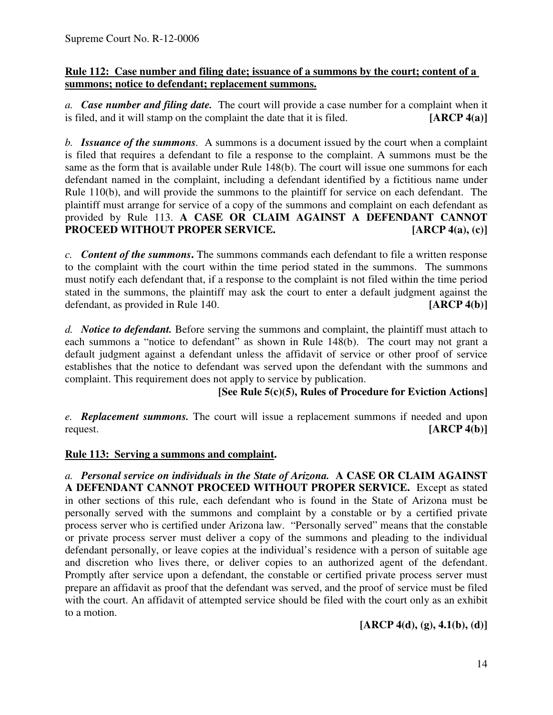## **Rule 112: Case number and filing date; issuance of a summons by the court; content of a summons; notice to defendant; replacement summons.**

*a. Case number and filing date.* The court will provide a case number for a complaint when it is filed, and it will stamp on the complaint the date that it is filed. **[ARCP 4(a)]**

*b. Issuance of the summons.* A summons is a document issued by the court when a complaint is filed that requires a defendant to file a response to the complaint. A summons must be the same as the form that is available under Rule 148(b). The court will issue one summons for each defendant named in the complaint, including a defendant identified by a fictitious name under Rule 110(b), and will provide the summons to the plaintiff for service on each defendant. The plaintiff must arrange for service of a copy of the summons and complaint on each defendant as provided by Rule 113. **A CASE OR CLAIM AGAINST A DEFENDANT CANNOT PROCEED WITHOUT PROPER SERVICE. [ARCP 4(a), (c)]**

*c. Content of the summons***.** The summons commands each defendant to file a written response to the complaint with the court within the time period stated in the summons. The summons must notify each defendant that, if a response to the complaint is not filed within the time period stated in the summons, the plaintiff may ask the court to enter a default judgment against the defendant, as provided in Rule 140. **[ARCP 4(b)]**

*d. Notice to defendant.* Before serving the summons and complaint, the plaintiff must attach to each summons a "notice to defendant" as shown in Rule 148(b). The court may not grant a default judgment against a defendant unless the affidavit of service or other proof of service establishes that the notice to defendant was served upon the defendant with the summons and complaint. This requirement does not apply to service by publication.

**[See Rule 5(c)(5), Rules of Procedure for Eviction Actions]**

*e. Replacement summons.* The court will issue a replacement summons if needed and upon request. **[ARCP 4(b)]**

## **Rule 113: Serving a summons and complaint.**

*a. Personal service on individuals in the State of Arizona.* **A CASE OR CLAIM AGAINST A DEFENDANT CANNOT PROCEED WITHOUT PROPER SERVICE.** Except as stated in other sections of this rule, each defendant who is found in the State of Arizona must be personally served with the summons and complaint by a constable or by a certified private process server who is certified under Arizona law. "Personally served" means that the constable or private process server must deliver a copy of the summons and pleading to the individual defendant personally, or leave copies at the individual's residence with a person of suitable age and discretion who lives there, or deliver copies to an authorized agent of the defendant. Promptly after service upon a defendant, the constable or certified private process server must prepare an affidavit as proof that the defendant was served, and the proof of service must be filed with the court. An affidavit of attempted service should be filed with the court only as an exhibit to a motion.

**[ARCP 4(d), (g), 4.1(b), (d)]**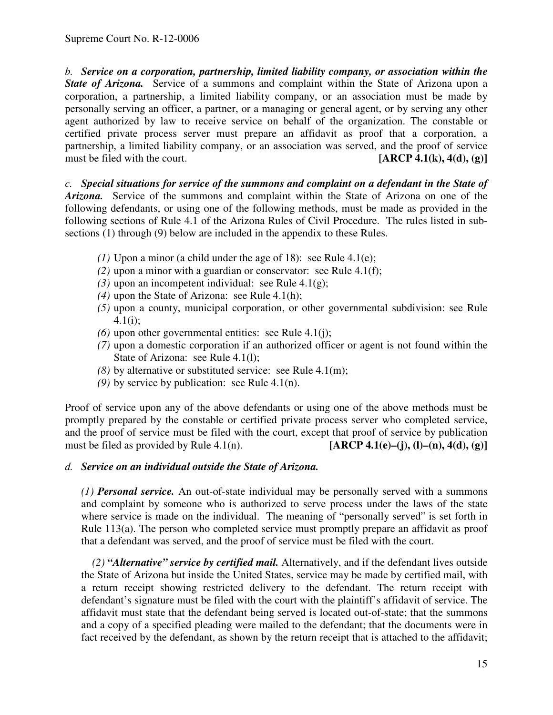*b. Service on a corporation, partnership, limited liability company, or association within the State of Arizona.* Service of a summons and complaint within the State of Arizona upon a corporation, a partnership, a limited liability company, or an association must be made by personally serving an officer, a partner, or a managing or general agent, or by serving any other agent authorized by law to receive service on behalf of the organization. The constable or certified private process server must prepare an affidavit as proof that a corporation, a partnership, a limited liability company, or an association was served, and the proof of service must be filed with the court. **[ARCP 4.1(k), 4(d), (g)]**

*c. Special situations for service of the summons and complaint on a defendant in the State of Arizona.* Service of the summons and complaint within the State of Arizona on one of the following defendants, or using one of the following methods, must be made as provided in the following sections of Rule 4.1 of the Arizona Rules of Civil Procedure. The rules listed in subsections (1) through (9) below are included in the appendix to these Rules.

- *(1)* Upon a minor (a child under the age of 18): see Rule 4.1(e);
- *(2)* upon a minor with a guardian or conservator: see Rule 4.1(f);
- *(3)* upon an incompetent individual: see Rule 4.1(g);
- *(4)* upon the State of Arizona: see Rule 4.1(h);
- *(5)* upon a county, municipal corporation, or other governmental subdivision: see Rule 4.1(i);
- $(6)$  upon other governmental entities: see Rule 4.1(j);
- *(7)* upon a domestic corporation if an authorized officer or agent is not found within the State of Arizona: see Rule 4.1(l);
- *(8)* by alternative or substituted service: see Rule 4.1(m);
- *(9)* by service by publication: see Rule 4.1(n).

Proof of service upon any of the above defendants or using one of the above methods must be promptly prepared by the constable or certified private process server who completed service, and the proof of service must be filed with the court, except that proof of service by publication must be filed as provided by Rule 4.1(n). **[ARCP 4.1(e)–(j), (l)–(n), 4(d), (g)]**

#### *d. Service on an individual outside the State of Arizona.*

*(1) Personal service.* An out-of-state individual may be personally served with a summons and complaint by someone who is authorized to serve process under the laws of the state where service is made on the individual. The meaning of "personally served" is set forth in Rule 113(a). The person who completed service must promptly prepare an affidavit as proof that a defendant was served, and the proof of service must be filed with the court.

*(2) "Alternative" service by certified mail.* Alternatively, and if the defendant lives outside the State of Arizona but inside the United States, service may be made by certified mail, with a return receipt showing restricted delivery to the defendant. The return receipt with defendant's signature must be filed with the court with the plaintiff's affidavit of service. The affidavit must state that the defendant being served is located out-of-state; that the summons and a copy of a specified pleading were mailed to the defendant; that the documents were in fact received by the defendant, as shown by the return receipt that is attached to the affidavit;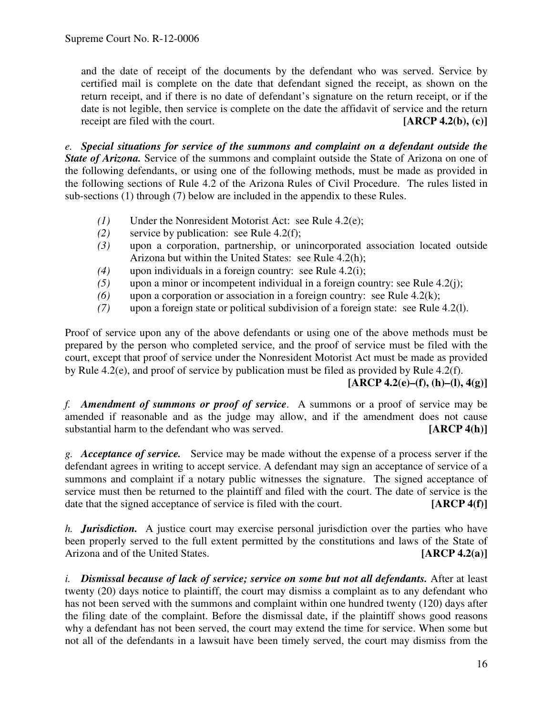and the date of receipt of the documents by the defendant who was served. Service by certified mail is complete on the date that defendant signed the receipt, as shown on the return receipt, and if there is no date of defendant's signature on the return receipt, or if the date is not legible, then service is complete on the date the affidavit of service and the return receipt are filed with the court. **[ARCP 4.2(b), (c)]**

*e. Special situations for service of the summons and complaint on a defendant outside the State of Arizona.* Service of the summons and complaint outside the State of Arizona on one of the following defendants, or using one of the following methods, must be made as provided in the following sections of Rule 4.2 of the Arizona Rules of Civil Procedure. The rules listed in sub-sections (1) through (7) below are included in the appendix to these Rules.

- *(1)* Under the Nonresident Motorist Act: see Rule 4.2(e);
- *(2)* service by publication: see Rule 4.2(f);
- *(3)* upon a corporation, partnership, or unincorporated association located outside Arizona but within the United States: see Rule 4.2(h);
- *(4)* upon individuals in a foreign country: see Rule 4.2(i);
- *(5)* upon a minor or incompetent individual in a foreign country: see Rule 4.2(j);
- *(6)* upon a corporation or association in a foreign country: see Rule 4.2(k);
- *(7)* upon a foreign state or political subdivision of a foreign state: see Rule 4.2(l).

Proof of service upon any of the above defendants or using one of the above methods must be prepared by the person who completed service, and the proof of service must be filed with the court, except that proof of service under the Nonresident Motorist Act must be made as provided by Rule 4.2(e), and proof of service by publication must be filed as provided by Rule 4.2(f).

## **[ARCP 4.2(e)–(f), (h)–(l), 4(g)]**

*f. Amendment of summons or proof of service*. A summons or a proof of service may be amended if reasonable and as the judge may allow, and if the amendment does not cause substantial harm to the defendant who was served. **[ARCP 4(h)]**

*g. Acceptance of service.* Service may be made without the expense of a process server if the defendant agrees in writing to accept service. A defendant may sign an acceptance of service of a summons and complaint if a notary public witnesses the signature. The signed acceptance of service must then be returned to the plaintiff and filed with the court. The date of service is the date that the signed acceptance of service is filed with the court. **[ARCP 4(f)]**

*h. Jurisdiction.* A justice court may exercise personal jurisdiction over the parties who have been properly served to the full extent permitted by the constitutions and laws of the State of Arizona and of the United States. **[ARCP 4.2(a)]**

*i. Dismissal because of lack of service; service on some but not all defendants.* After at least twenty (20) days notice to plaintiff, the court may dismiss a complaint as to any defendant who has not been served with the summons and complaint within one hundred twenty (120) days after the filing date of the complaint. Before the dismissal date, if the plaintiff shows good reasons why a defendant has not been served, the court may extend the time for service. When some but not all of the defendants in a lawsuit have been timely served, the court may dismiss from the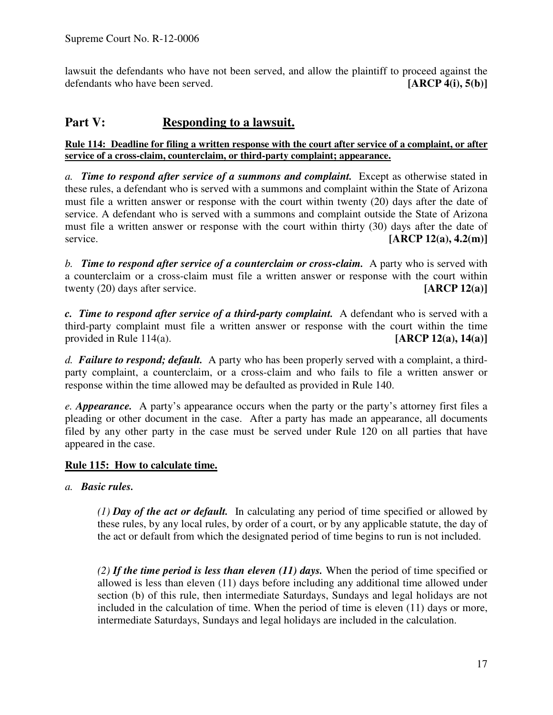lawsuit the defendants who have not been served, and allow the plaintiff to proceed against the defendants who have been served. **[ARCP 4(i), 5(b)]**

# **Part V: Responding to a lawsuit.**

#### Rule 114: Deadline for filing a written response with the court after service of a complaint, or after **service of a cross-claim, counterclaim, or third-party complaint; appearance.**

*a. Time to respond after service of a summons and complaint.* Except as otherwise stated in these rules, a defendant who is served with a summons and complaint within the State of Arizona must file a written answer or response with the court within twenty (20) days after the date of service. A defendant who is served with a summons and complaint outside the State of Arizona must file a written answer or response with the court within thirty (30) days after the date of service. **[ARCP 12(a), 4.2(m)]**

*b. Time to respond after service of a counterclaim or cross-claim.* A party who is served with a counterclaim or a cross-claim must file a written answer or response with the court within twenty (20) days after service. **[ARCP 12(a)]**

*c. Time to respond after service of a third-party complaint.* A defendant who is served with a third-party complaint must file a written answer or response with the court within the time provided in Rule 114(a). **[ARCP 12(a), 14(a)]**

*d. Failure to respond; default.* A party who has been properly served with a complaint, a thirdparty complaint, a counterclaim, or a cross-claim and who fails to file a written answer or response within the time allowed may be defaulted as provided in Rule 140.

*e. Appearance.* A party's appearance occurs when the party or the party's attorney first files a pleading or other document in the case. After a party has made an appearance, all documents filed by any other party in the case must be served under Rule 120 on all parties that have appeared in the case.

## **Rule 115: How to calculate time.**

*a. Basic rules.*

*(1) Day of the act or default.* In calculating any period of time specified or allowed by these rules, by any local rules, by order of a court, or by any applicable statute, the day of the act or default from which the designated period of time begins to run is not included.

*(2) If the time period is less than eleven (11) days.* When the period of time specified or allowed is less than eleven (11) days before including any additional time allowed under section (b) of this rule, then intermediate Saturdays, Sundays and legal holidays are not included in the calculation of time. When the period of time is eleven (11) days or more, intermediate Saturdays, Sundays and legal holidays are included in the calculation.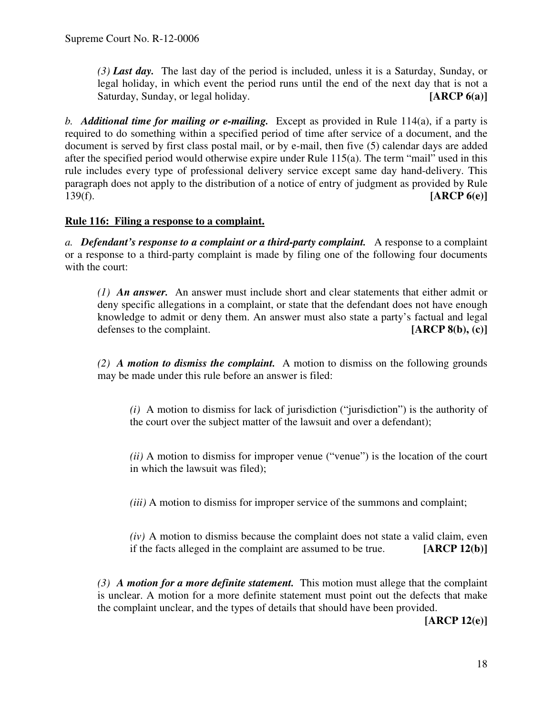*(3) Last day.* The last day of the period is included, unless it is a Saturday, Sunday, or legal holiday, in which event the period runs until the end of the next day that is not a Saturday, Sunday, or legal holiday. **[ARCP 6(a)**]

*b. Additional time for mailing or e-mailing.* Except as provided in Rule 114(a), if a party is required to do something within a specified period of time after service of a document, and the document is served by first class postal mail, or by e-mail, then five (5) calendar days are added after the specified period would otherwise expire under Rule 115(a). The term "mail" used in this rule includes every type of professional delivery service except same day hand-delivery. This paragraph does not apply to the distribution of a notice of entry of judgment as provided by Rule 139(f). **[ARCP 6(e)]**

## **Rule 116: Filing a response to a complaint.**

*a. Defendant's response to a complaint or a third-party complaint.* A response to a complaint or a response to a third-party complaint is made by filing one of the following four documents with the court:

*(1) An answer.* An answer must include short and clear statements that either admit or deny specific allegations in a complaint, or state that the defendant does not have enough knowledge to admit or deny them. An answer must also state a party's factual and legal defenses to the complaint. **[ARCP 8(b), (c)]**

*(2) A motion to dismiss the complaint.* A motion to dismiss on the following grounds may be made under this rule before an answer is filed:

*(i)* A motion to dismiss for lack of jurisdiction ("jurisdiction") is the authority of the court over the subject matter of the lawsuit and over a defendant);

*(ii)* A motion to dismiss for improper venue ("venue") is the location of the court in which the lawsuit was filed);

*(iii)* A motion to dismiss for improper service of the summons and complaint;

*(iv)* A motion to dismiss because the complaint does not state a valid claim, even if the facts alleged in the complaint are assumed to be true. **[ARCP 12(b)]**

*(3) A motion for a more definite statement.* This motion must allege that the complaint is unclear. A motion for a more definite statement must point out the defects that make the complaint unclear, and the types of details that should have been provided.

**[ARCP 12(e)]**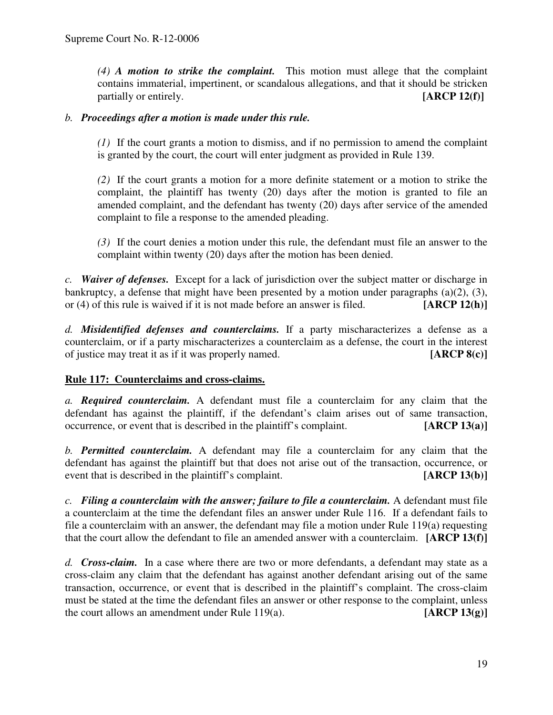*(4) A motion to strike the complaint.* This motion must allege that the complaint contains immaterial, impertinent, or scandalous allegations, and that it should be stricken partially or entirely. **[ARCP 12(f)**]

#### *b. Proceedings after a motion is made under this rule.*

*(1)* If the court grants a motion to dismiss, and if no permission to amend the complaint is granted by the court, the court will enter judgment as provided in Rule 139.

*(2)* If the court grants a motion for a more definite statement or a motion to strike the complaint, the plaintiff has twenty (20) days after the motion is granted to file an amended complaint, and the defendant has twenty (20) days after service of the amended complaint to file a response to the amended pleading.

*(3)* If the court denies a motion under this rule, the defendant must file an answer to the complaint within twenty (20) days after the motion has been denied.

*c. Waiver of defenses.* Except for a lack of jurisdiction over the subject matter or discharge in bankruptcy, a defense that might have been presented by a motion under paragraphs (a)(2), (3), or (4) of this rule is waived if it is not made before an answer is filed. **[ARCP 12(h)]**

*d. Misidentified defenses and counterclaims.* If a party mischaracterizes a defense as a counterclaim, or if a party mischaracterizes a counterclaim as a defense, the court in the interest of justice may treat it as if it was properly named. **[ARCP 8(c)]**

## **Rule 117: Counterclaims and cross-claims.**

*a. Required counterclaim.* A defendant must file a counterclaim for any claim that the defendant has against the plaintiff, if the defendant's claim arises out of same transaction, occurrence, or event that is described in the plaintiff's complaint. **[ARCP 13(a)]**

*b. Permitted counterclaim.* A defendant may file a counterclaim for any claim that the defendant has against the plaintiff but that does not arise out of the transaction, occurrence, or event that is described in the plaintiff's complaint. **[ARCP 13(b)]**

*c. Filing a counterclaim with the answer; failure to file a counterclaim.* A defendant must file a counterclaim at the time the defendant files an answer under Rule 116. If a defendant fails to file a counterclaim with an answer, the defendant may file a motion under Rule 119(a) requesting that the court allow the defendant to file an amended answer with a counterclaim. **[ARCP 13(f)]**

*d. Cross-claim.* In a case where there are two or more defendants, a defendant may state as a cross-claim any claim that the defendant has against another defendant arising out of the same transaction, occurrence, or event that is described in the plaintiff's complaint. The cross-claim must be stated at the time the defendant files an answer or other response to the complaint, unless the court allows an amendment under Rule 119(a). **[ARCP 13(g)]**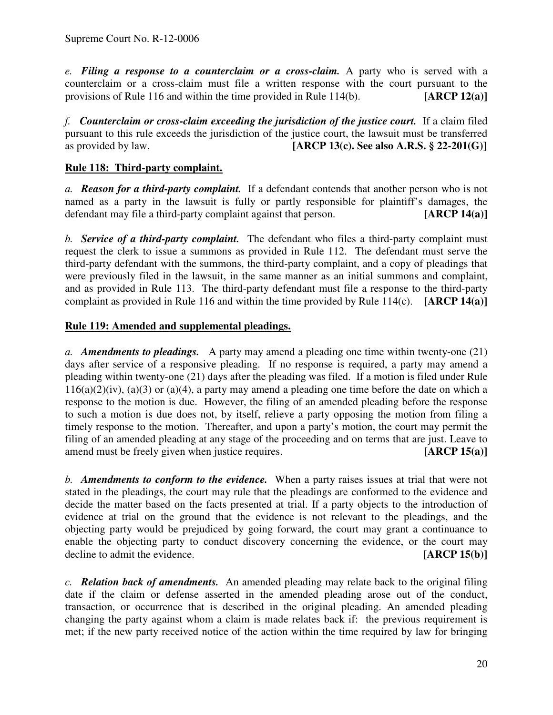*e. Filing a response to a counterclaim or a cross-claim.* A party who is served with a counterclaim or a cross-claim must file a written response with the court pursuant to the provisions of Rule 116 and within the time provided in Rule 114(b). **[ARCP 12(a)]**

*f. Counterclaim or cross-claim exceeding the jurisdiction of the justice court.* If a claim filed pursuant to this rule exceeds the jurisdiction of the justice court, the lawsuit must be transferred<br>as provided by law. [ARCP 13(c). See also A.R.S.  $\S 22-201(G)$ ] **[ARCP** 13(c). See also **A.R.S.** § 22-201(G)]

## **Rule 118: Third-party complaint.**

*a. Reason for a third-party complaint.* If a defendant contends that another person who is not named as a party in the lawsuit is fully or partly responsible for plaintiff's damages, the defendant may file a third-party complaint against that person. **[ARCP 14(a)]**

*b. Service of a third-party complaint.* The defendant who files a third-party complaint must request the clerk to issue a summons as provided in Rule 112. The defendant must serve the third-party defendant with the summons, the third-party complaint, and a copy of pleadings that were previously filed in the lawsuit, in the same manner as an initial summons and complaint, and as provided in Rule 113. The third-party defendant must file a response to the third-party complaint as provided in Rule 116 and within the time provided by Rule 114(c). **[ARCP 14(a)]**

## **Rule 119: Amended and supplemental pleadings.**

*a. Amendments to pleadings.* A party may amend a pleading one time within twenty-one (21) days after service of a responsive pleading. If no response is required, a party may amend a pleading within twenty-one (21) days after the pleading was filed. If a motion is filed under Rule  $116(a)(2)(iv)$ ,  $(a)(3)$  or  $(a)(4)$ , a party may amend a pleading one time before the date on which a response to the motion is due. However, the filing of an amended pleading before the response to such a motion is due does not, by itself, relieve a party opposing the motion from filing a timely response to the motion. Thereafter, and upon a party's motion, the court may permit the filing of an amended pleading at any stage of the proceeding and on terms that are just. Leave to amend must be freely given when justice requires. **[ARCP 15(a)]**

*b. Amendments to conform to the evidence.* When a party raises issues at trial that were not stated in the pleadings, the court may rule that the pleadings are conformed to the evidence and decide the matter based on the facts presented at trial. If a party objects to the introduction of evidence at trial on the ground that the evidence is not relevant to the pleadings, and the objecting party would be prejudiced by going forward, the court may grant a continuance to enable the objecting party to conduct discovery concerning the evidence, or the court may decline to admit the evidence. **[ARCP 15(b)]**

*c. Relation back of amendments.* An amended pleading may relate back to the original filing date if the claim or defense asserted in the amended pleading arose out of the conduct, transaction, or occurrence that is described in the original pleading. An amended pleading changing the party against whom a claim is made relates back if: the previous requirement is met; if the new party received notice of the action within the time required by law for bringing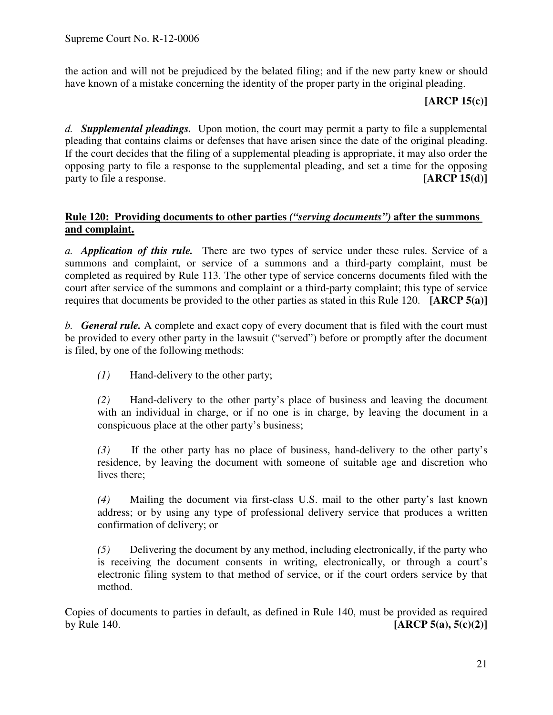the action and will not be prejudiced by the belated filing; and if the new party knew or should have known of a mistake concerning the identity of the proper party in the original pleading.

**[ARCP 15(c)]**

*d. Supplemental pleadings.* Upon motion, the court may permit a party to file a supplemental pleading that contains claims or defenses that have arisen since the date of the original pleading. If the court decides that the filing of a supplemental pleading is appropriate, it may also order the opposing party to file a response to the supplemental pleading, and set a time for the opposing party to file a response. **[ARCP 15(d)]**

## **Rule 120: Providing documents to other parties** *("serving documents")* **after the summons and complaint.**

*a. Application of this rule.* There are two types of service under these rules. Service of a summons and complaint, or service of a summons and a third-party complaint, must be completed as required by Rule 113. The other type of service concerns documents filed with the court after service of the summons and complaint or a third-party complaint; this type of service requires that documents be provided to the other parties as stated in this Rule 120. **[ARCP 5(a)]**

*b. General rule.* A complete and exact copy of every document that is filed with the court must be provided to every other party in the lawsuit ("served") before or promptly after the document is filed, by one of the following methods:

*(1)* Hand-delivery to the other party;

*(2)* Hand-delivery to the other party's place of business and leaving the document with an individual in charge, or if no one is in charge, by leaving the document in a conspicuous place at the other party's business;

*(3)* If the other party has no place of business, hand-delivery to the other party's residence, by leaving the document with someone of suitable age and discretion who lives there;

*(4)* Mailing the document via first-class U.S. mail to the other party's last known address; or by using any type of professional delivery service that produces a written confirmation of delivery; or

*(5)* Delivering the document by any method, including electronically, if the party who is receiving the document consents in writing, electronically, or through a court's electronic filing system to that method of service, or if the court orders service by that method.

Copies of documents to parties in default, as defined in Rule 140, must be provided as required by Rule 140. **[ARCP 5(a), 5(c)(2)]**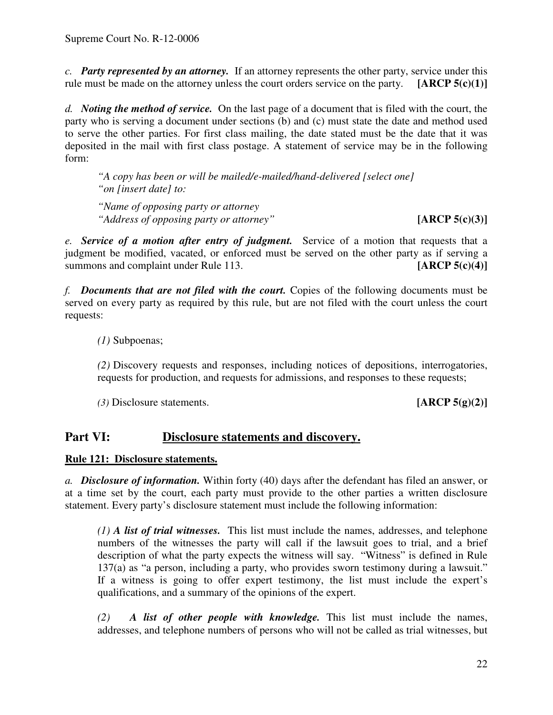*c. Party represented by an attorney.* If an attorney represents the other party, service under this rule must be made on the attorney unless the court orders service on the party. **[ARCP 5(c)(1)]**

*d. Noting the method of service.* On the last page of a document that is filed with the court, the party who is serving a document under sections (b) and (c) must state the date and method used to serve the other parties. For first class mailing, the date stated must be the date that it was deposited in the mail with first class postage. A statement of service may be in the following form:

*"A copy has been or will be mailed/e-mailed/hand-delivered [select one] "on [insert date] to:*

*"Name of opposing party or attorney "Address of opposing party or attorney"* **[ARCP 5(c)(3)]**

*e. Service of a motion after entry of judgment.* Service of a motion that requests that a judgment be modified, vacated, or enforced must be served on the other party as if serving a summons and complaint under Rule 113. **[ARCP 5(c)(4)]** 

*f. Documents that are not filed with the court.* Copies of the following documents must be served on every party as required by this rule, but are not filed with the court unless the court requests:

*(1)* Subpoenas;

*(2)* Discovery requests and responses, including notices of depositions, interrogatories, requests for production, and requests for admissions, and responses to these requests;

*(3)* Disclosure statements. **[ARCP 5(g)(2)]**

# **Part VI: Disclosure statements and discovery.**

**Rule 121: Disclosure statements.**

*a. Disclosure of information.* Within forty (40) days after the defendant has filed an answer, or at a time set by the court, each party must provide to the other parties a written disclosure statement. Every party's disclosure statement must include the following information:

*(1) A list of trial witnesses.* This list must include the names, addresses, and telephone numbers of the witnesses the party will call if the lawsuit goes to trial, and a brief description of what the party expects the witness will say. "Witness" is defined in Rule 137(a) as "a person, including a party, who provides sworn testimony during a lawsuit." If a witness is going to offer expert testimony, the list must include the expert's qualifications, and a summary of the opinions of the expert.

*(2) A list of other people with knowledge.* This list must include the names, addresses, and telephone numbers of persons who will not be called as trial witnesses, but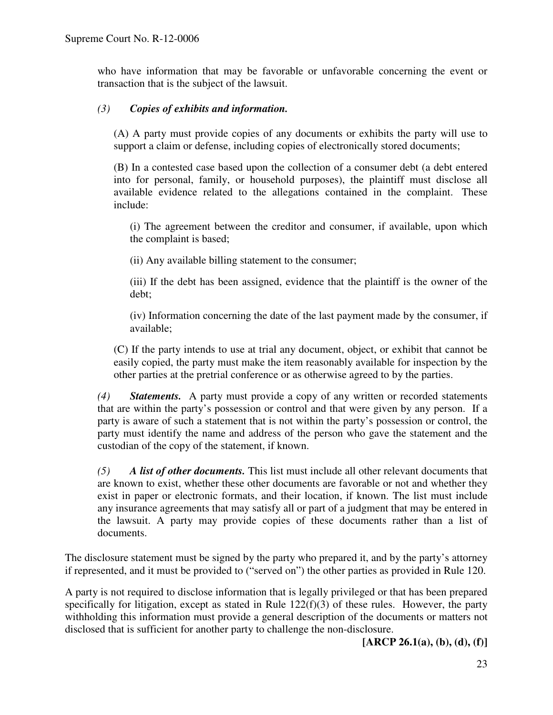who have information that may be favorable or unfavorable concerning the event or transaction that is the subject of the lawsuit.

## *(3) Copies of exhibits and information.*

(A) A party must provide copies of any documents or exhibits the party will use to support a claim or defense, including copies of electronically stored documents;

(B) In a contested case based upon the collection of a consumer debt (a debt entered into for personal, family, or household purposes), the plaintiff must disclose all available evidence related to the allegations contained in the complaint. These include:

(i) The agreement between the creditor and consumer, if available, upon which the complaint is based;

(ii) Any available billing statement to the consumer;

(iii) If the debt has been assigned, evidence that the plaintiff is the owner of the debt;

(iv) Information concerning the date of the last payment made by the consumer, if available;

(C) If the party intends to use at trial any document, object, or exhibit that cannot be easily copied, the party must make the item reasonably available for inspection by the other parties at the pretrial conference or as otherwise agreed to by the parties.

*(4) Statements.* A party must provide a copy of any written or recorded statements that are within the party's possession or control and that were given by any person. If a party is aware of such a statement that is not within the party's possession or control, the party must identify the name and address of the person who gave the statement and the custodian of the copy of the statement, if known.

*(5) A list of other documents.* This list must include all other relevant documents that are known to exist, whether these other documents are favorable or not and whether they exist in paper or electronic formats, and their location, if known. The list must include any insurance agreements that may satisfy all or part of a judgment that may be entered in the lawsuit. A party may provide copies of these documents rather than a list of documents.

The disclosure statement must be signed by the party who prepared it, and by the party's attorney if represented, and it must be provided to ("served on") the other parties as provided in Rule 120.

A party is not required to disclose information that is legally privileged or that has been prepared specifically for litigation, except as stated in Rule 122(f)(3) of these rules. However, the party withholding this information must provide a general description of the documents or matters not disclosed that is sufficient for another party to challenge the non-disclosure.

**[ARCP 26.1(a), (b), (d), (f)]**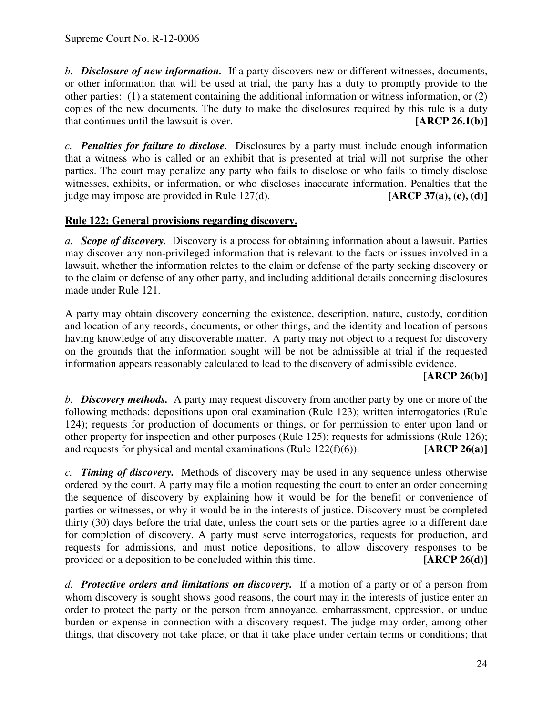*b. Disclosure of new information.* If a party discovers new or different witnesses, documents, or other information that will be used at trial, the party has a duty to promptly provide to the other parties: (1) a statement containing the additional information or witness information, or (2) copies of the new documents. The duty to make the disclosures required by this rule is a duty that continues until the lawsuit is over. **[ARCP 26.1(b)]**

*c. Penalties for failure to disclose.* Disclosures by a party must include enough information that a witness who is called or an exhibit that is presented at trial will not surprise the other parties. The court may penalize any party who fails to disclose or who fails to timely disclose witnesses, exhibits, or information, or who discloses inaccurate information. Penalties that the judge may impose are provided in Rule 127(d). **[ARCP 37(a), (c), (d)]**

## **Rule 122: General provisions regarding discovery.**

*a. Scope of discovery.* Discovery is a process for obtaining information about a lawsuit. Parties may discover any non-privileged information that is relevant to the facts or issues involved in a lawsuit, whether the information relates to the claim or defense of the party seeking discovery or to the claim or defense of any other party, and including additional details concerning disclosures made under Rule 121.

A party may obtain discovery concerning the existence, description, nature, custody, condition and location of any records, documents, or other things, and the identity and location of persons having knowledge of any discoverable matter. A party may not object to a request for discovery on the grounds that the information sought will be not be admissible at trial if the requested information appears reasonably calculated to lead to the discovery of admissible evidence.

## **[ARCP 26(b)]**

*b. Discovery methods.* A party may request discovery from another party by one or more of the following methods: depositions upon oral examination (Rule 123); written interrogatories (Rule 124); requests for production of documents or things, or for permission to enter upon land or other property for inspection and other purposes (Rule 125); requests for admissions (Rule 126); and requests for physical and mental examinations (Rule 122(f)(6)). **[ARCP 26(a)]**

*c. Timing of discovery.* Methods of discovery may be used in any sequence unless otherwise ordered by the court. A party may file a motion requesting the court to enter an order concerning the sequence of discovery by explaining how it would be for the benefit or convenience of parties or witnesses, or why it would be in the interests of justice. Discovery must be completed thirty (30) days before the trial date, unless the court sets or the parties agree to a different date for completion of discovery. A party must serve interrogatories, requests for production, and requests for admissions, and must notice depositions, to allow discovery responses to be provided or a deposition to be concluded within this time. **[ARCP 26(d)]**

*d. Protective orders and limitations on discovery.* If a motion of a party or of a person from whom discovery is sought shows good reasons, the court may in the interests of justice enter an order to protect the party or the person from annoyance, embarrassment, oppression, or undue burden or expense in connection with a discovery request. The judge may order, among other things, that discovery not take place, or that it take place under certain terms or conditions; that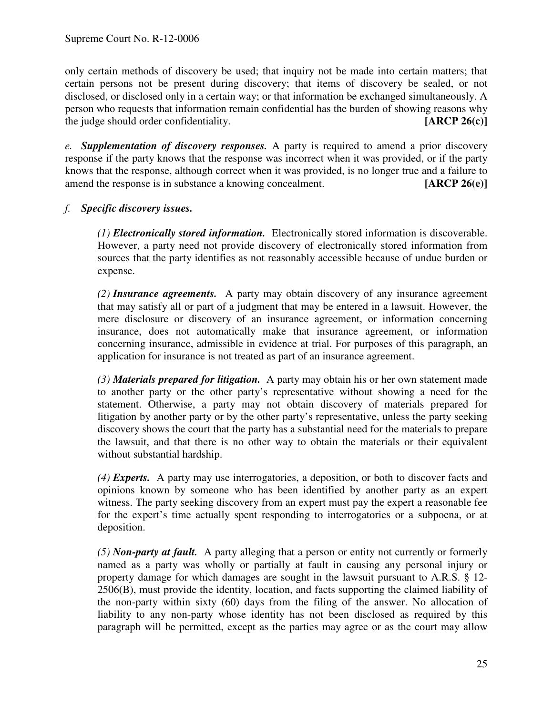only certain methods of discovery be used; that inquiry not be made into certain matters; that certain persons not be present during discovery; that items of discovery be sealed, or not disclosed, or disclosed only in a certain way; or that information be exchanged simultaneously. A person who requests that information remain confidential has the burden of showing reasons why the judge should order confidentiality. **[ARCP 26(c)]**

*e. Supplementation of discovery responses.* A party is required to amend a prior discovery response if the party knows that the response was incorrect when it was provided, or if the party knows that the response, although correct when it was provided, is no longer true and a failure to amend the response is in substance a knowing concealment. **[ARCP 26(e)]**

## *f. Specific discovery issues.*

*(1) Electronically stored information.* Electronically stored information is discoverable. However, a party need not provide discovery of electronically stored information from sources that the party identifies as not reasonably accessible because of undue burden or expense.

*(2) Insurance agreements.* A party may obtain discovery of any insurance agreement that may satisfy all or part of a judgment that may be entered in a lawsuit. However, the mere disclosure or discovery of an insurance agreement, or information concerning insurance, does not automatically make that insurance agreement, or information concerning insurance, admissible in evidence at trial. For purposes of this paragraph, an application for insurance is not treated as part of an insurance agreement.

*(3) Materials prepared for litigation.* A party may obtain his or her own statement made to another party or the other party's representative without showing a need for the statement. Otherwise, a party may not obtain discovery of materials prepared for litigation by another party or by the other party's representative, unless the party seeking discovery shows the court that the party has a substantial need for the materials to prepare the lawsuit, and that there is no other way to obtain the materials or their equivalent without substantial hardship.

*(4) Experts.* A party may use interrogatories, a deposition, or both to discover facts and opinions known by someone who has been identified by another party as an expert witness. The party seeking discovery from an expert must pay the expert a reasonable fee for the expert's time actually spent responding to interrogatories or a subpoena, or at deposition.

*(5) Non-party at fault.* A party alleging that a person or entity not currently or formerly named as a party was wholly or partially at fault in causing any personal injury or property damage for which damages are sought in the lawsuit pursuant to A.R.S. § 12- 2506(B), must provide the identity, location, and facts supporting the claimed liability of the non-party within sixty (60) days from the filing of the answer. No allocation of liability to any non-party whose identity has not been disclosed as required by this paragraph will be permitted, except as the parties may agree or as the court may allow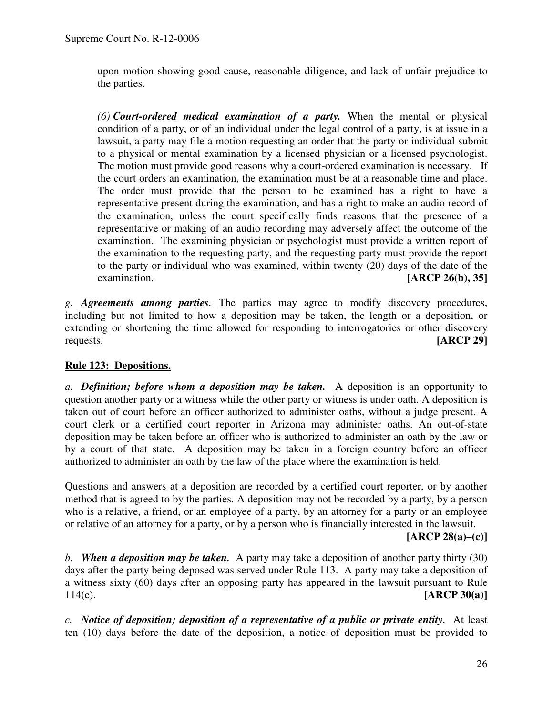upon motion showing good cause, reasonable diligence, and lack of unfair prejudice to the parties.

*(6) Court-ordered medical examination of a party.* When the mental or physical condition of a party, or of an individual under the legal control of a party, is at issue in a lawsuit, a party may file a motion requesting an order that the party or individual submit to a physical or mental examination by a licensed physician or a licensed psychologist. The motion must provide good reasons why a court-ordered examination is necessary. If the court orders an examination, the examination must be at a reasonable time and place. The order must provide that the person to be examined has a right to have a representative present during the examination, and has a right to make an audio record of the examination, unless the court specifically finds reasons that the presence of a representative or making of an audio recording may adversely affect the outcome of the examination. The examining physician or psychologist must provide a written report of the examination to the requesting party, and the requesting party must provide the report to the party or individual who was examined, within twenty (20) days of the date of the examination. **[ARCP 26(b), 35]**

*g. Agreements among parties.* The parties may agree to modify discovery procedures, including but not limited to how a deposition may be taken, the length or a deposition, or extending or shortening the time allowed for responding to interrogatories or other discovery requests. **[ARCP 29]**

## **Rule 123: Depositions.**

*a. Definition; before whom a deposition may be taken.* A deposition is an opportunity to question another party or a witness while the other party or witness is under oath. A deposition is taken out of court before an officer authorized to administer oaths, without a judge present. A court clerk or a certified court reporter in Arizona may administer oaths. An out-of-state deposition may be taken before an officer who is authorized to administer an oath by the law or by a court of that state. A deposition may be taken in a foreign country before an officer authorized to administer an oath by the law of the place where the examination is held.

Questions and answers at a deposition are recorded by a certified court reporter, or by another method that is agreed to by the parties. A deposition may not be recorded by a party, by a person who is a relative, a friend, or an employee of a party, by an attorney for a party or an employee or relative of an attorney for a party, or by a person who is financially interested in the lawsuit.

#### **[ARCP 28(a)–(c)]**

*b. When a deposition may be taken.* A party may take a deposition of another party thirty (30) days after the party being deposed was served under Rule 113. A party may take a deposition of a witness sixty (60) days after an opposing party has appeared in the lawsuit pursuant to Rule 114(e). **[ARCP 30(a)]**

*c. Notice of deposition; deposition of a representative of a public or private entity.* At least ten (10) days before the date of the deposition, a notice of deposition must be provided to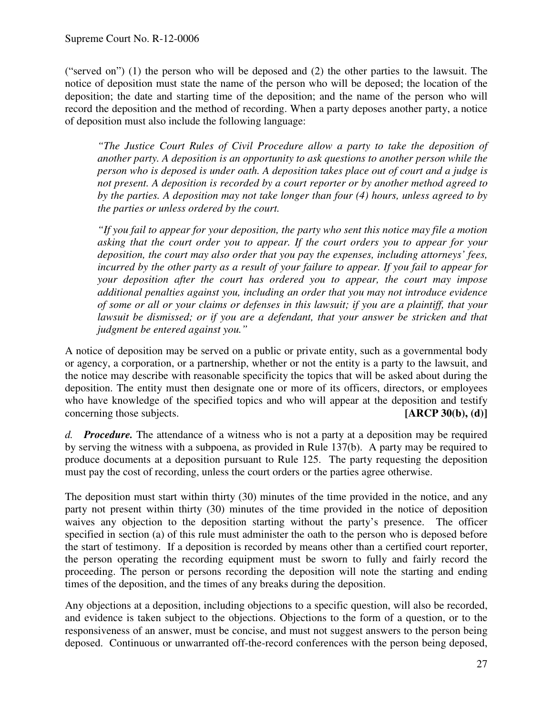("served on") (1) the person who will be deposed and (2) the other parties to the lawsuit. The notice of deposition must state the name of the person who will be deposed; the location of the deposition; the date and starting time of the deposition; and the name of the person who will record the deposition and the method of recording. When a party deposes another party, a notice of deposition must also include the following language:

*"The Justice Court Rules of Civil Procedure allow a party to take the deposition of another party. A deposition is an opportunity to ask questions to another person while the person who is deposed is under oath. A deposition takes place out of court and a judge is not present. A deposition is recorded by a court reporter or by another method agreed to by the parties. A deposition may not take longer than four (4) hours, unless agreed to by the parties or unless ordered by the court.*

*"If you fail to appear for your deposition, the party who sent this notice may file a motion asking that the court order you to appear. If the court orders you to appear for your deposition, the court may also order that you pay the expenses, including attorneys' fees,* incurred by the other party as a result of your failure to appear. If you fail to appear for *your deposition after the court has ordered you to appear, the court may impose additional penalties against you, including an order that you may not introduce evidence* of some or all or your claims or defenses in this lawsuit; if you are a plaintiff, that your *lawsuit be dismissed; or if you are a defendant, that your answer be stricken and that judgment be entered against you."*

A notice of deposition may be served on a public or private entity, such as a governmental body or agency, a corporation, or a partnership, whether or not the entity is a party to the lawsuit, and the notice may describe with reasonable specificity the topics that will be asked about during the deposition. The entity must then designate one or more of its officers, directors, or employees who have knowledge of the specified topics and who will appear at the deposition and testify concerning those subjects. **[ARCP 30(b), (d)]**

*d. Procedure.* The attendance of a witness who is not a party at a deposition may be required by serving the witness with a subpoena, as provided in Rule 137(b). A party may be required to produce documents at a deposition pursuant to Rule 125. The party requesting the deposition must pay the cost of recording, unless the court orders or the parties agree otherwise.

The deposition must start within thirty (30) minutes of the time provided in the notice, and any party not present within thirty (30) minutes of the time provided in the notice of deposition waives any objection to the deposition starting without the party's presence. The officer specified in section (a) of this rule must administer the oath to the person who is deposed before the start of testimony. If a deposition is recorded by means other than a certified court reporter, the person operating the recording equipment must be sworn to fully and fairly record the proceeding. The person or persons recording the deposition will note the starting and ending times of the deposition, and the times of any breaks during the deposition.

Any objections at a deposition, including objections to a specific question, will also be recorded, and evidence is taken subject to the objections. Objections to the form of a question, or to the responsiveness of an answer, must be concise, and must not suggest answers to the person being deposed. Continuous or unwarranted off-the-record conferences with the person being deposed,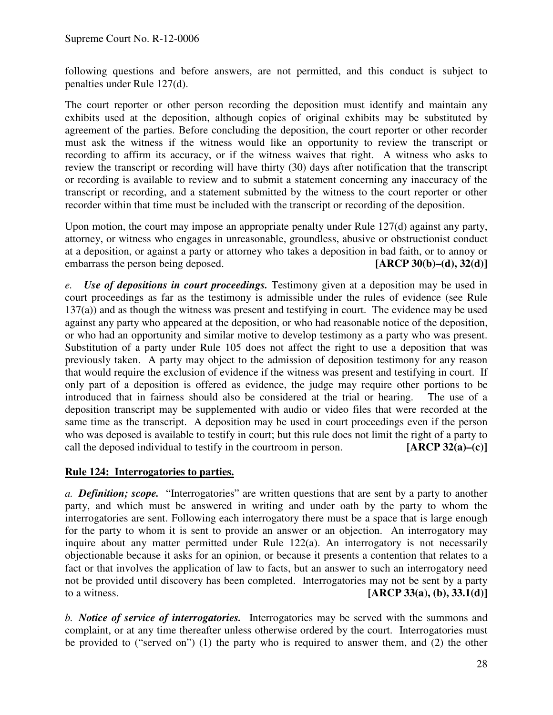following questions and before answers, are not permitted, and this conduct is subject to penalties under Rule 127(d).

The court reporter or other person recording the deposition must identify and maintain any exhibits used at the deposition, although copies of original exhibits may be substituted by agreement of the parties. Before concluding the deposition, the court reporter or other recorder must ask the witness if the witness would like an opportunity to review the transcript or recording to affirm its accuracy, or if the witness waives that right. A witness who asks to review the transcript or recording will have thirty (30) days after notification that the transcript or recording is available to review and to submit a statement concerning any inaccuracy of the transcript or recording, and a statement submitted by the witness to the court reporter or other recorder within that time must be included with the transcript or recording of the deposition.

Upon motion, the court may impose an appropriate penalty under Rule 127(d) against any party, attorney, or witness who engages in unreasonable, groundless, abusive or obstructionist conduct at a deposition, or against a party or attorney who takes a deposition in bad faith, or to annoy or embarrass the person being deposed. **[ARCP 30(b)–(d), 32(d)]**

*e. Use of depositions in court proceedings.* Testimony given at a deposition may be used in court proceedings as far as the testimony is admissible under the rules of evidence (see Rule 137(a)) and as though the witness was present and testifying in court. The evidence may be used against any party who appeared at the deposition, or who had reasonable notice of the deposition, or who had an opportunity and similar motive to develop testimony as a party who was present. Substitution of a party under Rule 105 does not affect the right to use a deposition that was previously taken. A party may object to the admission of deposition testimony for any reason that would require the exclusion of evidence if the witness was present and testifying in court. If only part of a deposition is offered as evidence, the judge may require other portions to be introduced that in fairness should also be considered at the trial or hearing. The use of a deposition transcript may be supplemented with audio or video files that were recorded at the same time as the transcript. A deposition may be used in court proceedings even if the person who was deposed is available to testify in court; but this rule does not limit the right of a party to call the deposed individual to testify in the courtroom in person. **[ARCP 32(a)–(c)]**

## **Rule 124: Interrogatories to parties.**

*a. Definition; scope.* "Interrogatories" are written questions that are sent by a party to another party, and which must be answered in writing and under oath by the party to whom the interrogatories are sent. Following each interrogatory there must be a space that is large enough for the party to whom it is sent to provide an answer or an objection. An interrogatory may inquire about any matter permitted under Rule 122(a). An interrogatory is not necessarily objectionable because it asks for an opinion, or because it presents a contention that relates to a fact or that involves the application of law to facts, but an answer to such an interrogatory need not be provided until discovery has been completed. Interrogatories may not be sent by a party to a witness. **[ARCP 33(a), (b), 33.1(d)]**

*b. Notice of service of interrogatories.* Interrogatories may be served with the summons and complaint, or at any time thereafter unless otherwise ordered by the court. Interrogatories must be provided to ("served on") (1) the party who is required to answer them, and (2) the other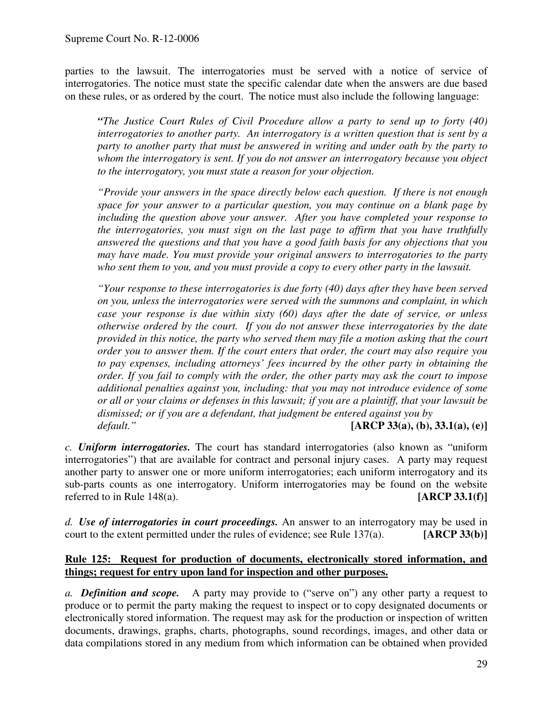parties to the lawsuit. The interrogatories must be served with a notice of service of interrogatories. The notice must state the specific calendar date when the answers are due based on these rules, or as ordered by the court. The notice must also include the following language:

*"The Justice Court Rules of Civil Procedure allow a party to send up to forty (40) interrogatories to another party. An interrogatory is a written question that is sent by a party to another party that must be answered in writing and under oath by the party to whom the interrogatory is sent. If you do not answer an interrogatory because you object to the interrogatory, you must state a reason for your objection.*

*"Provide your answers in the space directly below each question. If there is not enough space for your answer to a particular question, you may continue on a blank page by including the question above your answer. After you have completed your response to the interrogatories, you must sign on the last page to affirm that you have truthfully answered the questions and that you have a good faith basis for any objections that you may have made. You must provide your original answers to interrogatories to the party who sent them to you, and you must provide a copy to every other party in the lawsuit.*

*"Your response to these interrogatories is due forty (40) days after they have been served on you, unless the interrogatories were served with the summons and complaint, in which case your response is due within sixty (60) days after the date of service, or unless otherwise ordered by the court. If you do not answer these interrogatories by the date provided in this notice, the party who served them may file a motion asking that the court order you to answer them. If the court enters that order, the court may also require you to pay expenses, including attorneys' fees incurred by the other party in obtaining the order. If you fail to comply with the order, the other party may ask the court to impose additional penalties against you, including: that you may not introduce evidence of some* or all or your claims or defenses in this lawsuit; if you are a plaintiff, that your lawsuit be *dismissed; or if you are a defendant, that judgment be entered against you by default."* **[ARCP 33(a), (b), 33.1(a), (e)]**

*c. Uniform interrogatories.* The court has standard interrogatories (also known as "uniform interrogatories") that are available for contract and personal injury cases. A party may request another party to answer one or more uniform interrogatories; each uniform interrogatory and its sub-parts counts as one interrogatory. Uniform interrogatories may be found on the website referred to in Rule 148(a). **[ARCP 33.1(f)]**

*d. Use of interrogatories in court proceedings.* An answer to an interrogatory may be used in court to the extent permitted under the rules of evidence; see Rule 137(a). **[ARCP 33(b)]**

#### **Rule 125: Request for production of documents, electronically stored information, and things; request for entry upon land for inspection and other purposes.**

*a. Definition and scope.* A party may provide to ("serve on") any other party a request to produce or to permit the party making the request to inspect or to copy designated documents or electronically stored information. The request may ask for the production or inspection of written documents, drawings, graphs, charts, photographs, sound recordings, images, and other data or data compilations stored in any medium from which information can be obtained when provided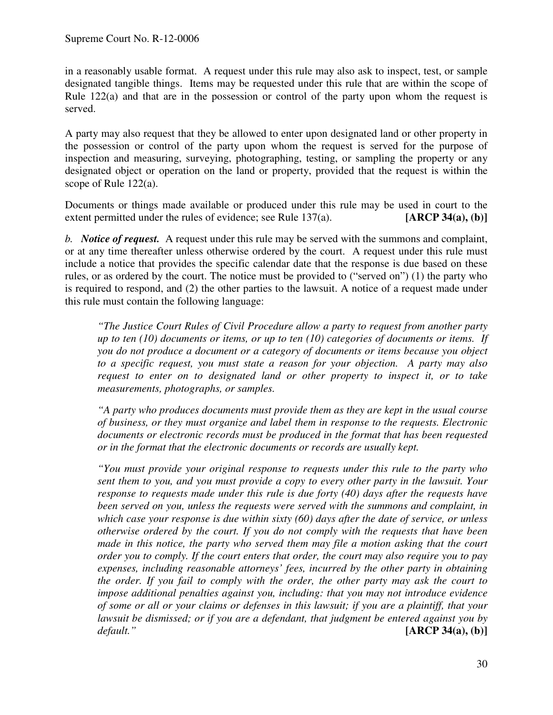in a reasonably usable format. A request under this rule may also ask to inspect, test, or sample designated tangible things. Items may be requested under this rule that are within the scope of Rule 122(a) and that are in the possession or control of the party upon whom the request is served.

A party may also request that they be allowed to enter upon designated land or other property in the possession or control of the party upon whom the request is served for the purpose of inspection and measuring, surveying, photographing, testing, or sampling the property or any designated object or operation on the land or property, provided that the request is within the scope of Rule 122(a).

Documents or things made available or produced under this rule may be used in court to the extent permitted under the rules of evidence; see Rule 137(a). **[ARCP 34(a), (b)]**

*b. Notice of request.* A request under this rule may be served with the summons and complaint, or at any time thereafter unless otherwise ordered by the court. A request under this rule must include a notice that provides the specific calendar date that the response is due based on these rules, or as ordered by the court. The notice must be provided to ("served on") (1) the party who is required to respond, and (2) the other parties to the lawsuit. A notice of a request made under this rule must contain the following language:

*"The Justice Court Rules of Civil Procedure allow a party to request from another party up to ten (10) documents or items, or up to ten (10) categories of documents or items. If you do not produce a document or a category of documents or items because you object to a specific request, you must state a reason for your objection. A party may also request to enter on to designated land or other property to inspect it, or to take measurements, photographs, or samples.*

*"A party who produces documents must provide them as they are kept in the usual course of business, or they must organize and label them in response to the requests. Electronic documents or electronic records must be produced in the format that has been requested or in the format that the electronic documents or records are usually kept.*

*"You must provide your original response to requests under this rule to the party who sent them to you, and you must provide a copy to every other party in the lawsuit. Your response to requests made under this rule is due forty (40) days after the requests have been served on you, unless the requests were served with the summons and complaint, in which case your response is due within sixty (60) days after the date of service, or unless otherwise ordered by the court. If you do not comply with the requests that have been made in this notice, the party who served them may file a motion asking that the court order you to comply. If the court enters that order, the court may also require you to pay expenses, including reasonable attorneys' fees, incurred by the other party in obtaining the order. If you fail to comply with the order, the other party may ask the court to impose additional penalties against you, including: that you may not introduce evidence* of some or all or your claims or defenses in this lawsuit; if you are a plaintiff, that your *lawsuit be dismissed; or if you are a defendant, that judgment be entered against you by default."* **[ARCP 34(a), (b)]**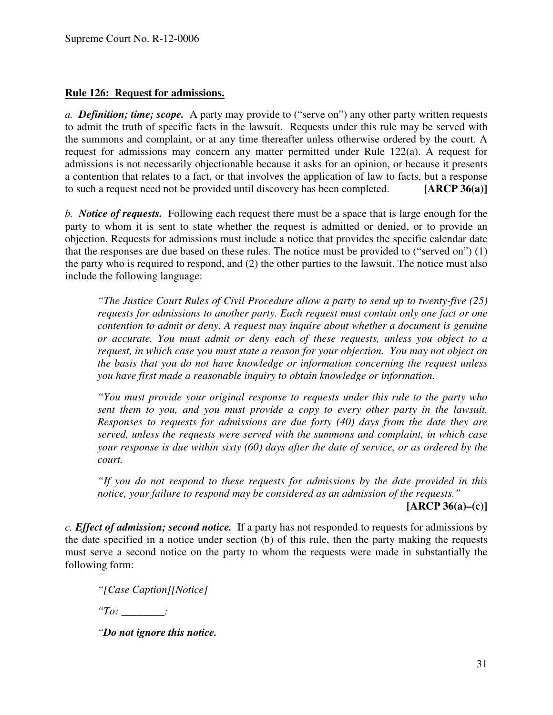#### **Rule 126: Request for admissions.**

*a. Definition; time; scope.* A party may provide to ("serve on") any other party written requests to admit the truth of specific facts in the lawsuit. Requests under this rule may be served with the summons and complaint, or at any time thereafter unless otherwise ordered by the court. A request for admissions may concern any matter permitted under Rule 122(a). A request for admissions is not necessarily objectionable because it asks for an opinion, or because it presents a contention that relates to a fact, or that involves the application of law to facts, but a response to such a request need not be provided until discovery has been completed. **[ARCP 36(a)]**

*b. Notice of requests.* Following each request there must be a space that is large enough for the party to whom it is sent to state whether the request is admitted or denied, or to provide an objection. Requests for admissions must include a notice that provides the specific calendar date that the responses are due based on these rules. The notice must be provided to ("served on") (1) the party who is required to respond, and (2) the other parties to the lawsuit. The notice must also include the following language:

*"The Justice Court Rules of Civil Procedure allow a party to send up to twenty-five (25) requests for admissions to another party. Each request must contain only one fact or one contention to admit or deny. A request may inquire about whether a document is genuine or accurate. You must admit or deny each of these requests, unless you object to a request, in which case you must state a reason for your objection. You may not object on the basis that you do not have knowledge or information concerning the request unless you have first made a reasonable inquiry to obtain knowledge or information.*

*"You must provide your original response to requests under this rule to the party who sent them to you, and you must provide a copy to every other party in the lawsuit. Responses to requests for admissions are due forty (40) days from the date they are served, unless the requests were served with the summons and complaint, in which case your response is due within sixty (60) days after the date of service, or as ordered by the court.*

*"If you do not respond to these requests for admissions by the date provided in this notice, your failure to respond may be considered as an admission of the requests."*

**[ARCP 36(a)–(c)]**

*c. Effect of admission; second notice.* If a party has not responded to requests for admissions by the date specified in a notice under section (b) of this rule, then the party making the requests must serve a second notice on the party to whom the requests were made in substantially the following form:

*"[Case Caption][Notice]*

*"To: \_\_\_\_\_\_\_\_:*

*"Do not ignore this notice.*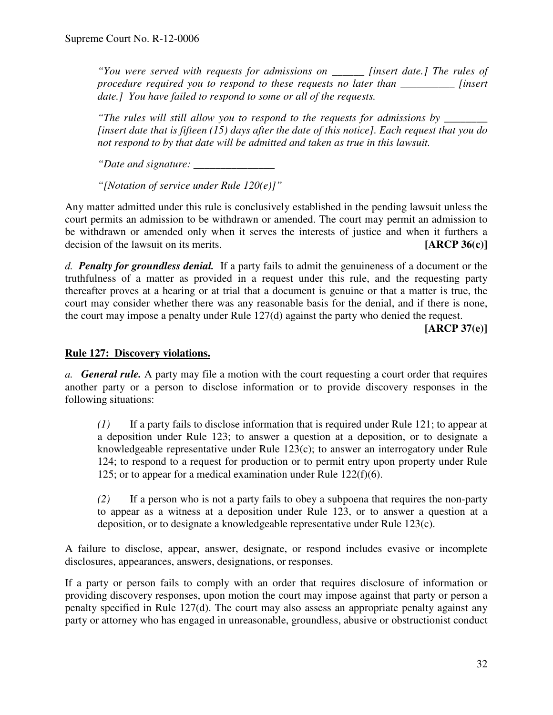*"You were served with requests for admissions on \_\_\_\_\_\_ [insert date.] The rules of procedure required you to respond to these requests no later than \_\_\_\_\_\_\_\_\_\_ [insert date.] You have failed to respond to some or all of the requests.*

*"The rules will still allow you to respond to the requests for admissions by \_\_\_\_\_\_\_\_ [insert date that is fifteen (15) days after the date of this notice]. Each request that you do not respond to by that date will be admitted and taken as true in this lawsuit.*

*"Date and signature: \_\_\_\_\_\_\_\_\_\_\_\_\_\_\_*

*"[Notation of service under Rule 120(e)]"*

Any matter admitted under this rule is conclusively established in the pending lawsuit unless the court permits an admission to be withdrawn or amended. The court may permit an admission to be withdrawn or amended only when it serves the interests of justice and when it furthers a decision of the lawsuit on its merits. **[ARCP 36(c)]**

*d. Penalty for groundless denial.* If a party fails to admit the genuineness of a document or the truthfulness of a matter as provided in a request under this rule, and the requesting party thereafter proves at a hearing or at trial that a document is genuine or that a matter is true, the court may consider whether there was any reasonable basis for the denial, and if there is none, the court may impose a penalty under Rule 127(d) against the party who denied the request.

**[ARCP 37(e)]**

#### **Rule 127: Discovery violations.**

*a. General rule.* A party may file a motion with the court requesting a court order that requires another party or a person to disclose information or to provide discovery responses in the following situations:

*(1)* If a party fails to disclose information that is required under Rule 121; to appear at a deposition under Rule 123; to answer a question at a deposition, or to designate a knowledgeable representative under Rule 123(c); to answer an interrogatory under Rule 124; to respond to a request for production or to permit entry upon property under Rule 125; or to appear for a medical examination under Rule 122(f)(6).

*(2)* If a person who is not a party fails to obey a subpoena that requires the non-party to appear as a witness at a deposition under Rule 123, or to answer a question at a deposition, or to designate a knowledgeable representative under Rule 123(c).

A failure to disclose, appear, answer, designate, or respond includes evasive or incomplete disclosures, appearances, answers, designations, or responses.

If a party or person fails to comply with an order that requires disclosure of information or providing discovery responses, upon motion the court may impose against that party or person a penalty specified in Rule 127(d). The court may also assess an appropriate penalty against any party or attorney who has engaged in unreasonable, groundless, abusive or obstructionist conduct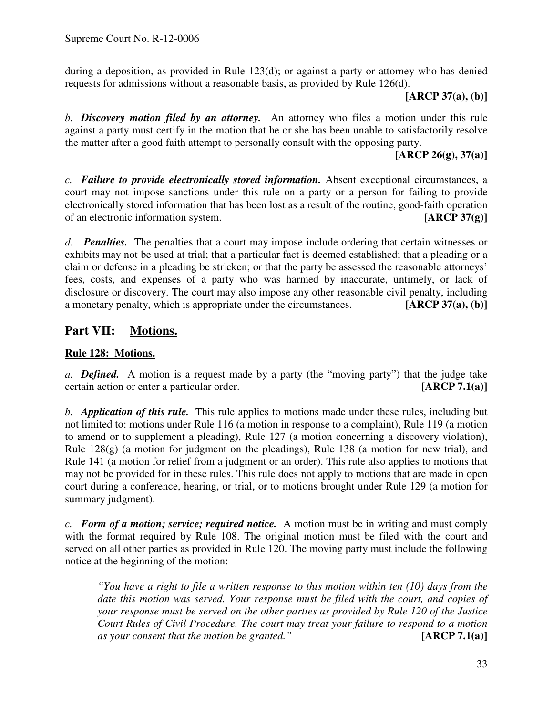during a deposition, as provided in Rule  $123(d)$ ; or against a party or attorney who has denied requests for admissions without a reasonable basis, as provided by Rule 126(d).

**[ARCP 37(a), (b)]**

*b. Discovery motion filed by an attorney.* An attorney who files a motion under this rule against a party must certify in the motion that he or she has been unable to satisfactorily resolve the matter after a good faith attempt to personally consult with the opposing party.

**[ARCP 26(g), 37(a)]**

*c. Failure to provide electronically stored information.* Absent exceptional circumstances, a court may not impose sanctions under this rule on a party or a person for failing to provide electronically stored information that has been lost as a result of the routine, good-faith operation of an electronic information system. **[ARCP 37(g)]**

*d. Penalties.* The penalties that a court may impose include ordering that certain witnesses or exhibits may not be used at trial; that a particular fact is deemed established; that a pleading or a claim or defense in a pleading be stricken; or that the party be assessed the reasonable attorneys' fees, costs, and expenses of a party who was harmed by inaccurate, untimely, or lack of disclosure or discovery. The court may also impose any other reasonable civil penalty, including a monetary penalty, which is appropriate under the circumstances. **[ARCP 37(a), (b)]**

# **Part VII: Motions.**

## **Rule 128: Motions.**

*a. Defined.* A motion is a request made by a party (the "moving party") that the judge take certain action or enter a particular order. **[ARCP 7.1(a)]**

*b. Application of this rule.* This rule applies to motions made under these rules, including but not limited to: motions under Rule 116 (a motion in response to a complaint), Rule 119 (a motion to amend or to supplement a pleading), Rule 127 (a motion concerning a discovery violation), Rule 128(g) (a motion for judgment on the pleadings), Rule 138 (a motion for new trial), and Rule 141 (a motion for relief from a judgment or an order). This rule also applies to motions that may not be provided for in these rules. This rule does not apply to motions that are made in open court during a conference, hearing, or trial, or to motions brought under Rule 129 (a motion for summary judgment).

*c. Form of a motion; service; required notice.* A motion must be in writing and must comply with the format required by Rule 108. The original motion must be filed with the court and served on all other parties as provided in Rule 120. The moving party must include the following notice at the beginning of the motion:

*"You have a right to file a written response to this motion within ten (10) days from the date this motion was served. Your response must be filed with the court, and copies of your response must be served on the other parties as provided by Rule 120 of the Justice Court Rules of Civil Procedure. The court may treat your failure to respond to a motion as your consent that the motion be granted."* **[ARCP 7.1(a)]**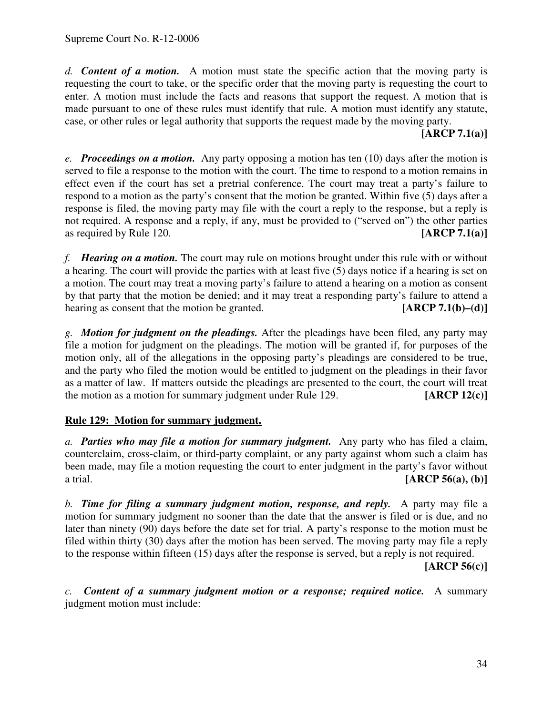*d. Content of a motion.* A motion must state the specific action that the moving party is requesting the court to take, or the specific order that the moving party is requesting the court to enter. A motion must include the facts and reasons that support the request. A motion that is made pursuant to one of these rules must identify that rule. A motion must identify any statute, case, or other rules or legal authority that supports the request made by the moving party.

**[ARCP 7.1(a)]**

*e. Proceedings on a motion.* Any party opposing a motion has ten (10) days after the motion is served to file a response to the motion with the court. The time to respond to a motion remains in effect even if the court has set a pretrial conference. The court may treat a party's failure to respond to a motion as the party's consent that the motion be granted. Within five (5) days after a response is filed, the moving party may file with the court a reply to the response, but a reply is not required. A response and a reply, if any, must be provided to ("served on") the other parties as required by Rule 120. **[ARCP 7.1(a)]**

*f. Hearing on a motion.* The court may rule on motions brought under this rule with or without a hearing. The court will provide the parties with at least five (5) days notice if a hearing is set on a motion. The court may treat a moving party's failure to attend a hearing on a motion as consent by that party that the motion be denied; and it may treat a responding party's failure to attend a hearing as consent that the motion be granted. **[ARCP 7.1(b)–(d)**]

*g. Motion for judgment on the pleadings.* After the pleadings have been filed, any party may file a motion for judgment on the pleadings. The motion will be granted if, for purposes of the motion only, all of the allegations in the opposing party's pleadings are considered to be true, and the party who filed the motion would be entitled to judgment on the pleadings in their favor as a matter of law. If matters outside the pleadings are presented to the court, the court will treat the motion as a motion for summary judgment under Rule 129. **[ARCP 12(c)]**

## **Rule 129: Motion for summary judgment.**

*a. Parties who may file a motion for summary judgment.* Any party who has filed a claim, counterclaim, cross-claim, or third-party complaint, or any party against whom such a claim has been made, may file a motion requesting the court to enter judgment in the party's favor without a trial. **[ARCP 56(a), (b)]**

*b. Time for filing a summary judgment motion, response, and reply.* A party may file a motion for summary judgment no sooner than the date that the answer is filed or is due, and no later than ninety (90) days before the date set for trial. A party's response to the motion must be filed within thirty (30) days after the motion has been served. The moving party may file a reply to the response within fifteen (15) days after the response is served, but a reply is not required.

**[ARCP 56(c)]**

*c. Content of a summary judgment motion or a response; required notice.* A summary judgment motion must include: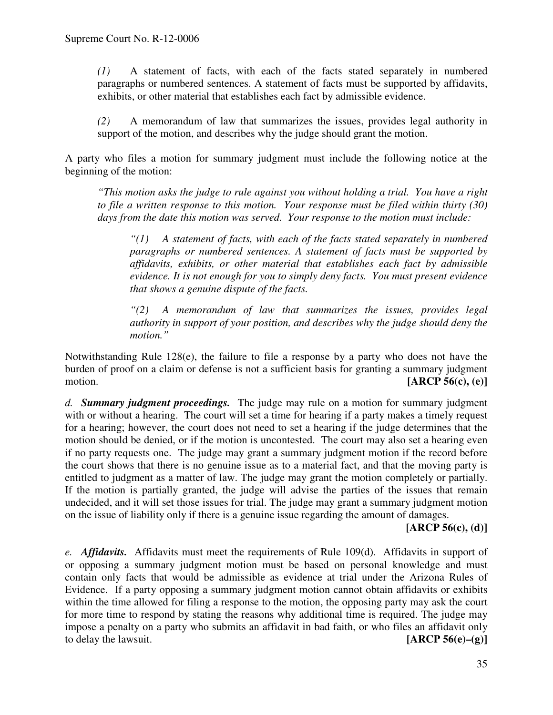*(1)* A statement of facts, with each of the facts stated separately in numbered paragraphs or numbered sentences. A statement of facts must be supported by affidavits, exhibits, or other material that establishes each fact by admissible evidence.

*(2)* A memorandum of law that summarizes the issues, provides legal authority in support of the motion, and describes why the judge should grant the motion.

A party who files a motion for summary judgment must include the following notice at the beginning of the motion:

*"This motion asks the judge to rule against you without holding a trial. You have a right to file a written response to this motion. Your response must be filed within thirty (30) days from the date this motion was served. Your response to the motion must include:*

*"(1) A statement of facts, with each of the facts stated separately in numbered paragraphs or numbered sentences. A statement of facts must be supported by affidavits, exhibits, or other material that establishes each fact by admissible evidence. It is not enough for you to simply deny facts. You must present evidence that shows a genuine dispute of the facts.*

*"(2) A memorandum of law that summarizes the issues, provides legal authority in support of your position, and describes why the judge should deny the motion."*

Notwithstanding Rule 128(e), the failure to file a response by a party who does not have the burden of proof on a claim or defense is not a sufficient basis for granting a summary judgment motion. **[ARCP 56(c), (e)]**

*d. Summary judgment proceedings.* The judge may rule on a motion for summary judgment with or without a hearing. The court will set a time for hearing if a party makes a timely request for a hearing; however, the court does not need to set a hearing if the judge determines that the motion should be denied, or if the motion is uncontested. The court may also set a hearing even if no party requests one. The judge may grant a summary judgment motion if the record before the court shows that there is no genuine issue as to a material fact, and that the moving party is entitled to judgment as a matter of law. The judge may grant the motion completely or partially. If the motion is partially granted, the judge will advise the parties of the issues that remain undecided, and it will set those issues for trial. The judge may grant a summary judgment motion on the issue of liability only if there is a genuine issue regarding the amount of damages.

### **[ARCP 56(c), (d)]**

*e. Affidavits.* Affidavits must meet the requirements of Rule 109(d). Affidavits in support of or opposing a summary judgment motion must be based on personal knowledge and must contain only facts that would be admissible as evidence at trial under the Arizona Rules of Evidence. If a party opposing a summary judgment motion cannot obtain affidavits or exhibits within the time allowed for filing a response to the motion, the opposing party may ask the court for more time to respond by stating the reasons why additional time is required. The judge may impose a penalty on a party who submits an affidavit in bad faith, or who files an affidavit only to delay the lawsuit. **[ARCP 56(e)–(g)]**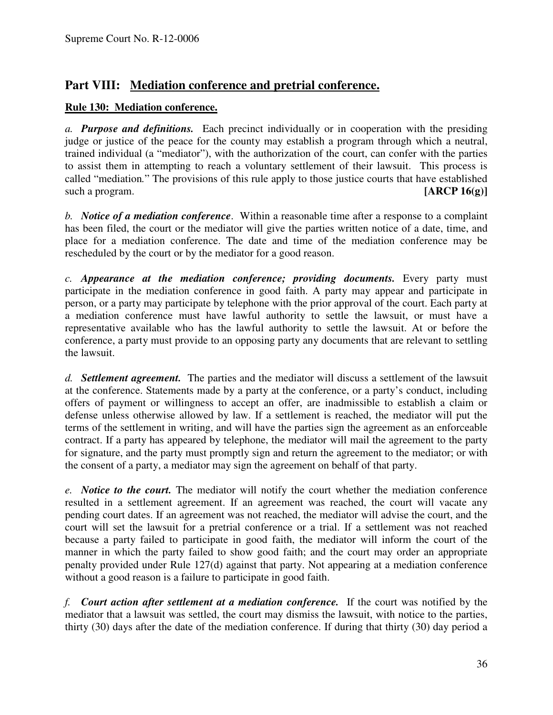# **Part VIII: Mediation conference and pretrial conference.**

## **Rule 130: Mediation conference.**

*a. Purpose and definitions.* Each precinct individually or in cooperation with the presiding judge or justice of the peace for the county may establish a program through which a neutral, trained individual (a "mediator"), with the authorization of the court, can confer with the parties to assist them in attempting to reach a voluntary settlement of their lawsuit. This process is called "mediation*.*" The provisions of this rule apply to those justice courts that have established such a program. **[ARCP 16(g)**]

*b. Notice of a mediation conference*. Within a reasonable time after a response to a complaint has been filed, the court or the mediator will give the parties written notice of a date, time, and place for a mediation conference. The date and time of the mediation conference may be rescheduled by the court or by the mediator for a good reason.

*c. Appearance at the mediation conference; providing documents.* Every party must participate in the mediation conference in good faith. A party may appear and participate in person, or a party may participate by telephone with the prior approval of the court. Each party at a mediation conference must have lawful authority to settle the lawsuit, or must have a representative available who has the lawful authority to settle the lawsuit. At or before the conference, a party must provide to an opposing party any documents that are relevant to settling the lawsuit.

*d. Settlement agreement.* The parties and the mediator will discuss a settlement of the lawsuit at the conference. Statements made by a party at the conference, or a party's conduct, including offers of payment or willingness to accept an offer, are inadmissible to establish a claim or defense unless otherwise allowed by law. If a settlement is reached, the mediator will put the terms of the settlement in writing, and will have the parties sign the agreement as an enforceable contract. If a party has appeared by telephone, the mediator will mail the agreement to the party for signature, and the party must promptly sign and return the agreement to the mediator; or with the consent of a party, a mediator may sign the agreement on behalf of that party.

*e. Notice to the court.* The mediator will notify the court whether the mediation conference resulted in a settlement agreement. If an agreement was reached, the court will vacate any pending court dates. If an agreement was not reached, the mediator will advise the court, and the court will set the lawsuit for a pretrial conference or a trial. If a settlement was not reached because a party failed to participate in good faith, the mediator will inform the court of the manner in which the party failed to show good faith; and the court may order an appropriate penalty provided under Rule 127(d) against that party. Not appearing at a mediation conference without a good reason is a failure to participate in good faith.

*f. Court action after settlement at a mediation conference.* If the court was notified by the mediator that a lawsuit was settled, the court may dismiss the lawsuit, with notice to the parties, thirty (30) days after the date of the mediation conference. If during that thirty (30) day period a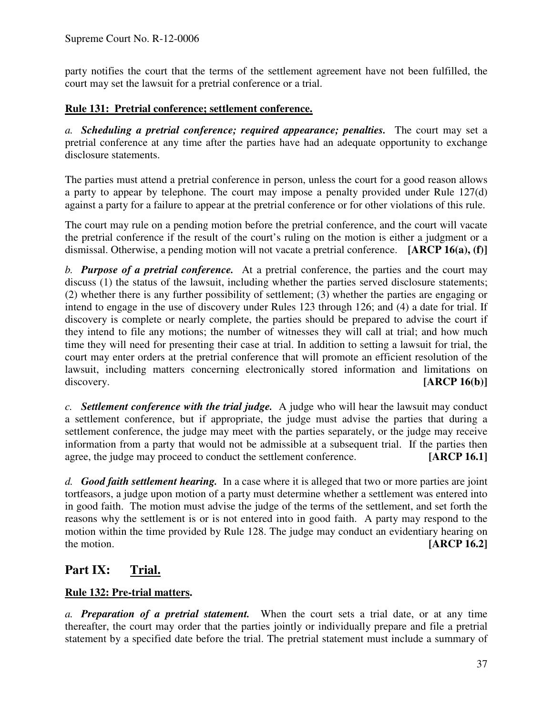party notifies the court that the terms of the settlement agreement have not been fulfilled, the court may set the lawsuit for a pretrial conference or a trial.

# **Rule 131: Pretrial conference; settlement conference.**

*a. Scheduling a pretrial conference; required appearance; penalties.* The court may set a pretrial conference at any time after the parties have had an adequate opportunity to exchange disclosure statements.

The parties must attend a pretrial conference in person, unless the court for a good reason allows a party to appear by telephone. The court may impose a penalty provided under Rule 127(d) against a party for a failure to appear at the pretrial conference or for other violations of this rule.

The court may rule on a pending motion before the pretrial conference, and the court will vacate the pretrial conference if the result of the court's ruling on the motion is either a judgment or a dismissal. Otherwise, a pending motion will not vacate a pretrial conference. **[ARCP 16(a), (f)]**

*b. Purpose of a pretrial conference.* At a pretrial conference, the parties and the court may discuss (1) the status of the lawsuit, including whether the parties served disclosure statements; (2) whether there is any further possibility of settlement; (3) whether the parties are engaging or intend to engage in the use of discovery under Rules 123 through 126; and (4) a date for trial. If discovery is complete or nearly complete, the parties should be prepared to advise the court if they intend to file any motions; the number of witnesses they will call at trial; and how much time they will need for presenting their case at trial. In addition to setting a lawsuit for trial, the court may enter orders at the pretrial conference that will promote an efficient resolution of the lawsuit, including matters concerning electronically stored information and limitations on discovery. **[ARCP 16(b)]**

*c. Settlement conference with the trial judge.* A judge who will hear the lawsuit may conduct a settlement conference, but if appropriate, the judge must advise the parties that during a settlement conference, the judge may meet with the parties separately, or the judge may receive information from a party that would not be admissible at a subsequent trial. If the parties then agree, the judge may proceed to conduct the settlement conference. **[ARCP 16.1]**

*d. Good faith settlement hearing.* In a case where it is alleged that two or more parties are joint tortfeasors, a judge upon motion of a party must determine whether a settlement was entered into in good faith. The motion must advise the judge of the terms of the settlement, and set forth the reasons why the settlement is or is not entered into in good faith. A party may respond to the motion within the time provided by Rule 128. The judge may conduct an evidentiary hearing on the motion. **[ARCP 16.2]**

# **Part IX: Trial.**

# **Rule 132: Pre-trial matters.**

*a. Preparation of a pretrial statement.* When the court sets a trial date, or at any time thereafter, the court may order that the parties jointly or individually prepare and file a pretrial statement by a specified date before the trial. The pretrial statement must include a summary of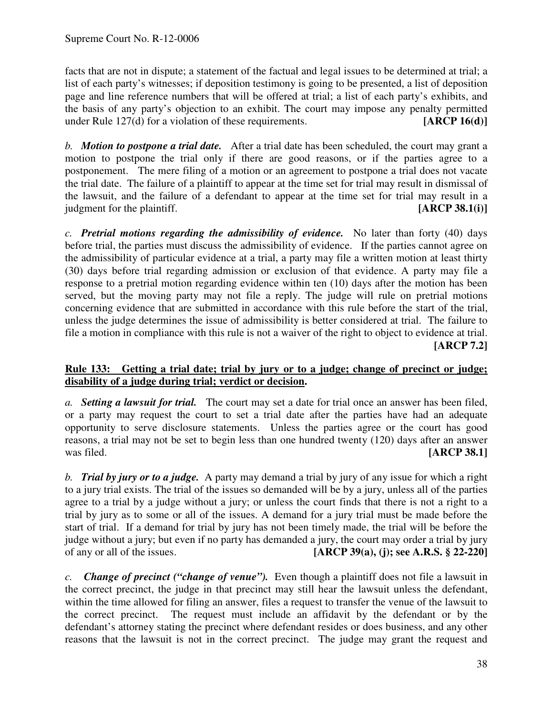facts that are not in dispute; a statement of the factual and legal issues to be determined at trial; a list of each party's witnesses; if deposition testimony is going to be presented, a list of deposition page and line reference numbers that will be offered at trial; a list of each party's exhibits, and the basis of any party's objection to an exhibit. The court may impose any penalty permitted under Rule 127(d) for a violation of these requirements. **[ARCP 16(d)]** 

*b. Motion to postpone a trial date.* After a trial date has been scheduled, the court may grant a motion to postpone the trial only if there are good reasons, or if the parties agree to a postponement. The mere filing of a motion or an agreement to postpone a trial does not vacate the trial date. The failure of a plaintiff to appear at the time set for trial may result in dismissal of the lawsuit, and the failure of a defendant to appear at the time set for trial may result in a judgment for the plaintiff. **[ARCP 38.1(i)]**

*c. Pretrial motions regarding the admissibility of evidence.* No later than forty (40) days before trial, the parties must discuss the admissibility of evidence. If the parties cannot agree on the admissibility of particular evidence at a trial, a party may file a written motion at least thirty (30) days before trial regarding admission or exclusion of that evidence. A party may file a response to a pretrial motion regarding evidence within ten (10) days after the motion has been served, but the moving party may not file a reply. The judge will rule on pretrial motions concerning evidence that are submitted in accordance with this rule before the start of the trial, unless the judge determines the issue of admissibility is better considered at trial. The failure to file a motion in compliance with this rule is not a waiver of the right to object to evidence at trial. **[ARCP 7.2]**

## **Rule 133: Getting a trial date; trial by jury or to a judge; change of precinct or judge; disability of a judge during trial; verdict or decision.**

*a. Setting a lawsuit for trial.* The court may set a date for trial once an answer has been filed, or a party may request the court to set a trial date after the parties have had an adequate opportunity to serve disclosure statements. Unless the parties agree or the court has good reasons, a trial may not be set to begin less than one hundred twenty (120) days after an answer was filed. **[ARCP** 38.1]

*b. Trial by jury or to a judge.* A party may demand a trial by jury of any issue for which a right to a jury trial exists. The trial of the issues so demanded will be by a jury, unless all of the parties agree to a trial by a judge without a jury; or unless the court finds that there is not a right to a trial by jury as to some or all of the issues. A demand for a jury trial must be made before the start of trial. If a demand for trial by jury has not been timely made, the trial will be before the judge without a jury; but even if no party has demanded a jury, the court may order a trial by jury of any or all of the issues. **[ARCP 39(a), (j); see A.R.S. § 22-220]**

*c. Change of precinct ("change of venue").* Even though a plaintiff does not file a lawsuit in the correct precinct, the judge in that precinct may still hear the lawsuit unless the defendant, within the time allowed for filing an answer, files a request to transfer the venue of the lawsuit to the correct precinct. The request must include an affidavit by the defendant or by the defendant's attorney stating the precinct where defendant resides or does business, and any other reasons that the lawsuit is not in the correct precinct. The judge may grant the request and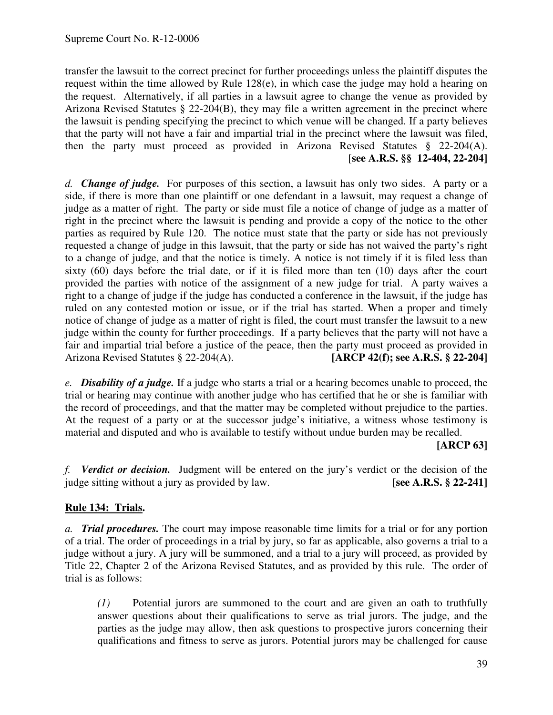transfer the lawsuit to the correct precinct for further proceedings unless the plaintiff disputes the request within the time allowed by Rule 128(e), in which case the judge may hold a hearing on the request. Alternatively, if all parties in a lawsuit agree to change the venue as provided by Arizona Revised Statutes § 22-204(B), they may file a written agreement in the precinct where the lawsuit is pending specifying the precinct to which venue will be changed. If a party believes that the party will not have a fair and impartial trial in the precinct where the lawsuit was filed, then the party must proceed as provided in Arizona Revised Statutes § 22-204(A). [**see A.R.S. §§ 12-404, 22-204]**

*d. Change of judge.* For purposes of this section, a lawsuit has only two sides. A party or a side, if there is more than one plaintiff or one defendant in a lawsuit, may request a change of judge as a matter of right. The party or side must file a notice of change of judge as a matter of right in the precinct where the lawsuit is pending and provide a copy of the notice to the other parties as required by Rule 120. The notice must state that the party or side has not previously requested a change of judge in this lawsuit, that the party or side has not waived the party's right to a change of judge, and that the notice is timely. A notice is not timely if it is filed less than sixty (60) days before the trial date, or if it is filed more than ten (10) days after the court provided the parties with notice of the assignment of a new judge for trial. A party waives a right to a change of judge if the judge has conducted a conference in the lawsuit, if the judge has ruled on any contested motion or issue, or if the trial has started. When a proper and timely notice of change of judge as a matter of right is filed, the court must transfer the lawsuit to a new judge within the county for further proceedings. If a party believes that the party will not have a fair and impartial trial before a justice of the peace, then the party must proceed as provided in Arizona Revised Statutes § 22-204(A). **[ARCP 42(f); see A.R.S. § 22-204]**

*e. Disability of a judge.* If a judge who starts a trial or a hearing becomes unable to proceed, the trial or hearing may continue with another judge who has certified that he or she is familiar with the record of proceedings, and that the matter may be completed without prejudice to the parties. At the request of a party or at the successor judge's initiative, a witness whose testimony is material and disputed and who is available to testify without undue burden may be recalled.

### **[ARCP 63]**

*f. Verdict or decision.* Judgment will be entered on the jury's verdict or the decision of the judge sitting without a jury as provided by law. **[see A.R.S. § 22-241]**

## **Rule 134: Trials.**

*a. Trial procedures.* The court may impose reasonable time limits for a trial or for any portion of a trial. The order of proceedings in a trial by jury, so far as applicable, also governs a trial to a judge without a jury. A jury will be summoned, and a trial to a jury will proceed, as provided by Title 22, Chapter 2 of the Arizona Revised Statutes, and as provided by this rule. The order of trial is as follows:

*(1)* Potential jurors are summoned to the court and are given an oath to truthfully answer questions about their qualifications to serve as trial jurors. The judge, and the parties as the judge may allow, then ask questions to prospective jurors concerning their qualifications and fitness to serve as jurors. Potential jurors may be challenged for cause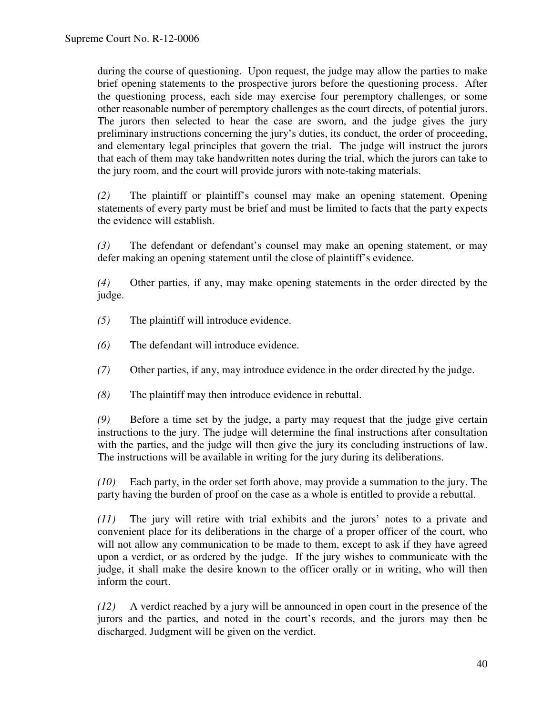during the course of questioning. Upon request, the judge may allow the parties to make brief opening statements to the prospective jurors before the questioning process. After the questioning process, each side may exercise four peremptory challenges, or some other reasonable number of peremptory challenges as the court directs, of potential jurors. The jurors then selected to hear the case are sworn, and the judge gives the jury preliminary instructions concerning the jury's duties, its conduct, the order of proceeding, and elementary legal principles that govern the trial. The judge will instruct the jurors that each of them may take handwritten notes during the trial, which the jurors can take to the jury room, and the court will provide jurors with note-taking materials.

*(2)* The plaintiff or plaintiff's counsel may make an opening statement. Opening statements of every party must be brief and must be limited to facts that the party expects the evidence will establish.

*(3)* The defendant or defendant's counsel may make an opening statement, or may defer making an opening statement until the close of plaintiff's evidence.

*(4)* Other parties, if any, may make opening statements in the order directed by the judge.

- *(5)* The plaintiff will introduce evidence.
- *(6)* The defendant will introduce evidence.
- *(7)* Other parties, if any, may introduce evidence in the order directed by the judge.
- *(8)* The plaintiff may then introduce evidence in rebuttal.

*(9)* Before a time set by the judge, a party may request that the judge give certain instructions to the jury. The judge will determine the final instructions after consultation with the parties, and the judge will then give the jury its concluding instructions of law. The instructions will be available in writing for the jury during its deliberations.

*(10)* Each party, in the order set forth above, may provide a summation to the jury. The party having the burden of proof on the case as a whole is entitled to provide a rebuttal.

*(11)* The jury will retire with trial exhibits and the jurors' notes to a private and convenient place for its deliberations in the charge of a proper officer of the court, who will not allow any communication to be made to them, except to ask if they have agreed upon a verdict, or as ordered by the judge. If the jury wishes to communicate with the judge, it shall make the desire known to the officer orally or in writing, who will then inform the court.

*(12)* A verdict reached by a jury will be announced in open court in the presence of the jurors and the parties, and noted in the court's records, and the jurors may then be discharged. Judgment will be given on the verdict.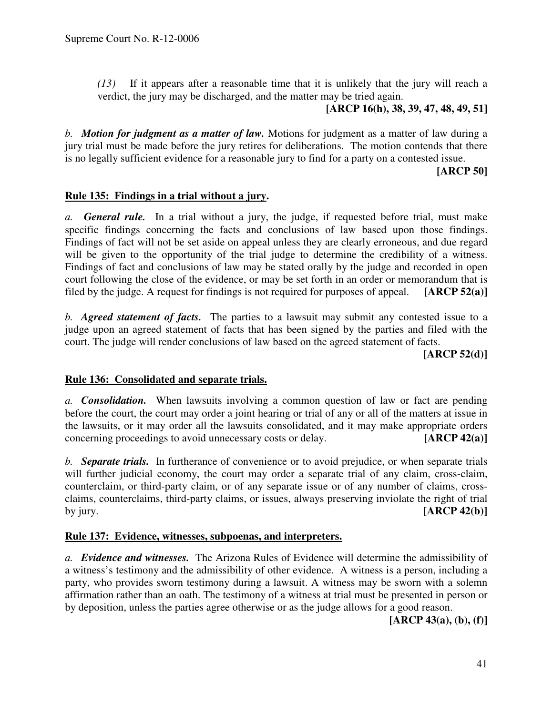*(13)* If it appears after a reasonable time that it is unlikely that the jury will reach a verdict, the jury may be discharged, and the matter may be tried again.

### **[ARCP 16(h), 38, 39, 47, 48, 49, 51]**

*b. Motion for judgment as a matter of law.* Motions for judgment as a matter of law during a jury trial must be made before the jury retires for deliberations. The motion contends that there is no legally sufficient evidence for a reasonable jury to find for a party on a contested issue.

### **[ARCP 50]**

### **Rule 135: Findings in a trial without a jury.**

*a. General rule.* In a trial without a jury, the judge, if requested before trial, must make specific findings concerning the facts and conclusions of law based upon those findings. Findings of fact will not be set aside on appeal unless they are clearly erroneous, and due regard will be given to the opportunity of the trial judge to determine the credibility of a witness. Findings of fact and conclusions of law may be stated orally by the judge and recorded in open court following the close of the evidence, or may be set forth in an order or memorandum that is filed by the judge. A request for findings is not required for purposes of appeal. **[ARCP 52(a)]**

*b. Agreed statement of facts.* The parties to a lawsuit may submit any contested issue to a judge upon an agreed statement of facts that has been signed by the parties and filed with the court. The judge will render conclusions of law based on the agreed statement of facts.

**[ARCP 52(d)]**

### **Rule 136: Consolidated and separate trials.**

*a. Consolidation.* When lawsuits involving a common question of law or fact are pending before the court, the court may order a joint hearing or trial of any or all of the matters at issue in the lawsuits, or it may order all the lawsuits consolidated, and it may make appropriate orders concerning proceedings to avoid unnecessary costs or delay. **[ARCP 42(a)]**

*b. Separate trials.* In furtherance of convenience or to avoid prejudice, or when separate trials will further judicial economy, the court may order a separate trial of any claim, cross-claim, counterclaim, or third-party claim, or of any separate issue or of any number of claims, crossclaims, counterclaims, third-party claims, or issues, always preserving inviolate the right of trial by jury. **[ARCP 42(b)]**

### **Rule 137: Evidence, witnesses, subpoenas, and interpreters.**

*a. Evidence and witnesses.* The Arizona Rules of Evidence will determine the admissibility of a witness's testimony and the admissibility of other evidence. A witness is a person, including a party, who provides sworn testimony during a lawsuit. A witness may be sworn with a solemn affirmation rather than an oath. The testimony of a witness at trial must be presented in person or by deposition, unless the parties agree otherwise or as the judge allows for a good reason.

**[ARCP 43(a), (b), (f)]**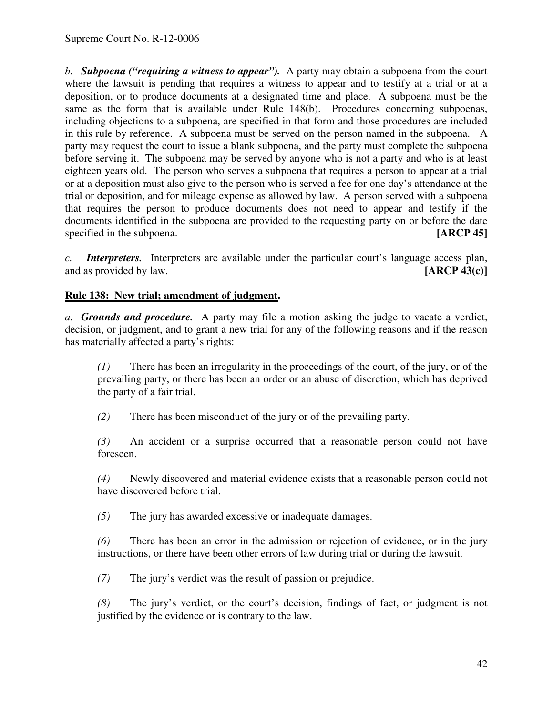*b. Subpoena ("requiring a witness to appear").* A party may obtain a subpoena from the court where the lawsuit is pending that requires a witness to appear and to testify at a trial or at a deposition, or to produce documents at a designated time and place. A subpoena must be the same as the form that is available under Rule 148(b). Procedures concerning subpoenas, including objections to a subpoena, are specified in that form and those procedures are included in this rule by reference. A subpoena must be served on the person named in the subpoena. A party may request the court to issue a blank subpoena, and the party must complete the subpoena before serving it. The subpoena may be served by anyone who is not a party and who is at least eighteen years old. The person who serves a subpoena that requires a person to appear at a trial or at a deposition must also give to the person who is served a fee for one day's attendance at the trial or deposition, and for mileage expense as allowed by law. A person served with a subpoena that requires the person to produce documents does not need to appear and testify if the documents identified in the subpoena are provided to the requesting party on or before the date specified in the subpoena. **[ARCP 45]** 

*c. Interpreters.* Interpreters are available under the particular court's language access plan, and as provided by law. **[ARCP 43(c)]** 

# **Rule 138: New trial; amendment of judgment.**

*a. Grounds and procedure.* A party may file a motion asking the judge to vacate a verdict, decision, or judgment, and to grant a new trial for any of the following reasons and if the reason has materially affected a party's rights:

*(1)* There has been an irregularity in the proceedings of the court, of the jury, or of the prevailing party, or there has been an order or an abuse of discretion, which has deprived the party of a fair trial.

*(2)* There has been misconduct of the jury or of the prevailing party.

*(3)* An accident or a surprise occurred that a reasonable person could not have foreseen.

*(4)* Newly discovered and material evidence exists that a reasonable person could not have discovered before trial.

*(5)* The jury has awarded excessive or inadequate damages.

*(6)* There has been an error in the admission or rejection of evidence, or in the jury instructions, or there have been other errors of law during trial or during the lawsuit.

*(7)* The jury's verdict was the result of passion or prejudice.

*(8)* The jury's verdict, or the court's decision, findings of fact, or judgment is not justified by the evidence or is contrary to the law.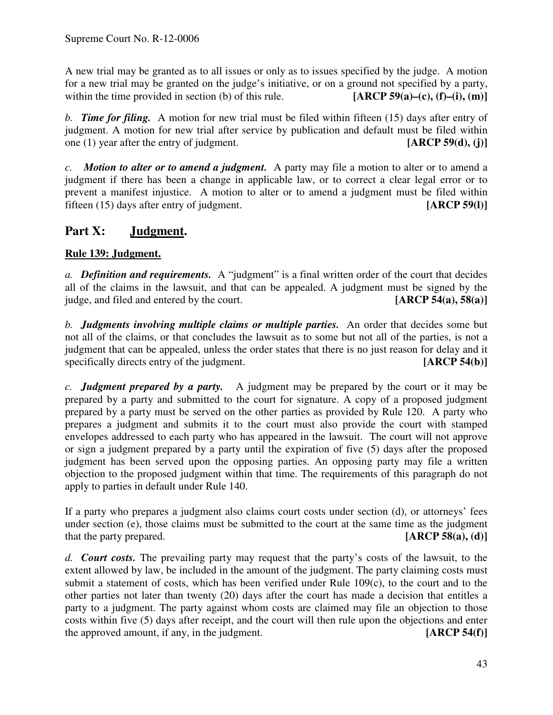A new trial may be granted as to all issues or only as to issues specified by the judge. A motion for a new trial may be granted on the judge's initiative, or on a ground not specified by a party, within the time provided in section (b) of this rule. **[ARCP 59(a)–(c)**, **(f)–(i)**, **(m)**]

*b. Time for filing.* A motion for new trial must be filed within fifteen (15) days after entry of judgment. A motion for new trial after service by publication and default must be filed within one (1) year after the entry of judgment. **[ARCP 59(d), (j)]**

*c. Motion to alter or to amend a judgment.* A party may file a motion to alter or to amend a judgment if there has been a change in applicable law, or to correct a clear legal error or to prevent a manifest injustice. A motion to alter or to amend a judgment must be filed within fifteen (15) days after entry of judgment. **[ARCP 59(l)]**

# **Part X: Judgment.**

# **Rule 139: Judgment.**

*a. Definition and requirements.* A "judgment" is a final written order of the court that decides all of the claims in the lawsuit, and that can be appealed. A judgment must be signed by the judge, and filed and entered by the court. **[ARCP 54(a), 58(a)]**

*b. Judgments involving multiple claims or multiple parties.* An order that decides some but not all of the claims, or that concludes the lawsuit as to some but not all of the parties, is not a judgment that can be appealed, unless the order states that there is no just reason for delay and it specifically directs entry of the judgment. **[ARCP 54(b)**]

*c. Judgment prepared by a party.* A judgment may be prepared by the court or it may be prepared by a party and submitted to the court for signature. A copy of a proposed judgment prepared by a party must be served on the other parties as provided by Rule 120. A party who prepares a judgment and submits it to the court must also provide the court with stamped envelopes addressed to each party who has appeared in the lawsuit. The court will not approve or sign a judgment prepared by a party until the expiration of five (5) days after the proposed judgment has been served upon the opposing parties. An opposing party may file a written objection to the proposed judgment within that time. The requirements of this paragraph do not apply to parties in default under Rule 140.

If a party who prepares a judgment also claims court costs under section (d), or attorneys' fees under section (e), those claims must be submitted to the court at the same time as the judgment that the party prepared. **[ARCP 58(a), (d)]**

*d. Court costs.* The prevailing party may request that the party's costs of the lawsuit, to the extent allowed by law, be included in the amount of the judgment. The party claiming costs must submit a statement of costs, which has been verified under Rule 109(c), to the court and to the other parties not later than twenty (20) days after the court has made a decision that entitles a party to a judgment. The party against whom costs are claimed may file an objection to those costs within five (5) days after receipt, and the court will then rule upon the objections and enter the approved amount, if any, in the judgment. **[ARCP 54(f)]**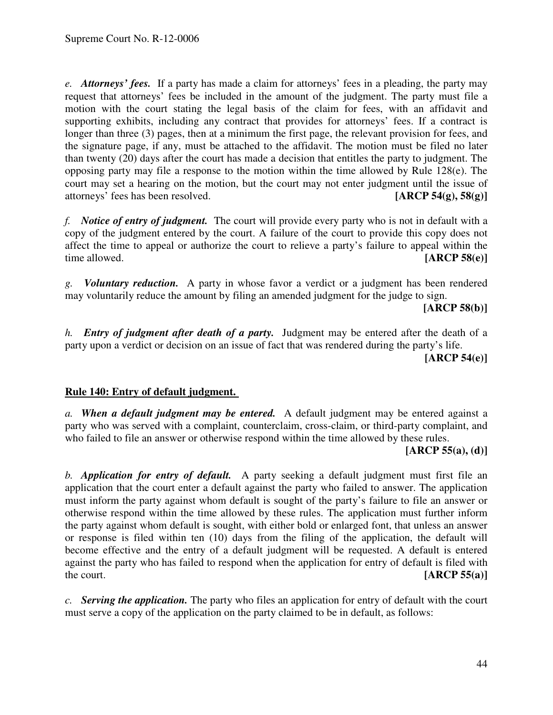*e. Attorneys' fees.* If a party has made a claim for attorneys' fees in a pleading, the party may request that attorneys' fees be included in the amount of the judgment. The party must file a motion with the court stating the legal basis of the claim for fees, with an affidavit and supporting exhibits, including any contract that provides for attorneys' fees. If a contract is longer than three (3) pages, then at a minimum the first page, the relevant provision for fees, and the signature page, if any, must be attached to the affidavit. The motion must be filed no later than twenty (20) days after the court has made a decision that entitles the party to judgment. The opposing party may file a response to the motion within the time allowed by Rule  $128(e)$ . The court may set a hearing on the motion, but the court may not enter judgment until the issue of attorneys' fees has been resolved. **[ARCP 54(g), 58(g)]**

*f. Notice of entry of judgment.* The court will provide every party who is not in default with a copy of the judgment entered by the court. A failure of the court to provide this copy does not affect the time to appeal or authorize the court to relieve a party's failure to appeal within the time allowed. **[ARCP 58(e)]**

*g. Voluntary reduction.* A party in whose favor a verdict or a judgment has been rendered may voluntarily reduce the amount by filing an amended judgment for the judge to sign.

**[ARCP 58(b)]**

*h. Entry of judgment after death of a party.* Judgment may be entered after the death of a party upon a verdict or decision on an issue of fact that was rendered during the party's life.

**[ARCP 54(e)]**

## **Rule 140: Entry of default judgment.**

*a. When a default judgment may be entered.* A default judgment may be entered against a party who was served with a complaint, counterclaim, cross-claim, or third-party complaint, and who failed to file an answer or otherwise respond within the time allowed by these rules.

**[ARCP 55(a), (d)]**

*b. Application for entry of default.* A party seeking a default judgment must first file an application that the court enter a default against the party who failed to answer. The application must inform the party against whom default is sought of the party's failure to file an answer or otherwise respond within the time allowed by these rules. The application must further inform the party against whom default is sought, with either bold or enlarged font, that unless an answer or response is filed within ten (10) days from the filing of the application, the default will become effective and the entry of a default judgment will be requested. A default is entered against the party who has failed to respond when the application for entry of default is filed with the court. **[ARCP 55(a)]**

*c. Serving the application.* The party who files an application for entry of default with the court must serve a copy of the application on the party claimed to be in default, as follows: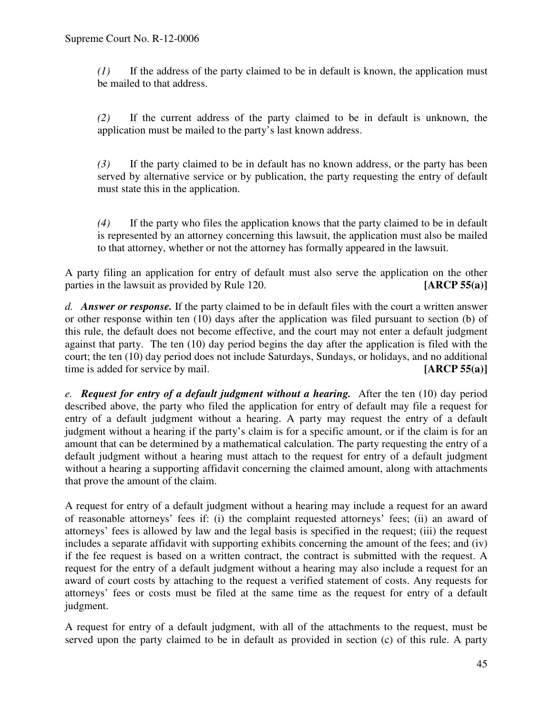*(1)* If the address of the party claimed to be in default is known, the application must be mailed to that address.

*(2)* If the current address of the party claimed to be in default is unknown, the application must be mailed to the party's last known address.

*(3)* If the party claimed to be in default has no known address, or the party has been served by alternative service or by publication, the party requesting the entry of default must state this in the application.

*(4)* If the party who files the application knows that the party claimed to be in default is represented by an attorney concerning this lawsuit, the application must also be mailed to that attorney, whether or not the attorney has formally appeared in the lawsuit.

A party filing an application for entry of default must also serve the application on the other parties in the lawsuit as provided by Rule 120. **[ARCP 55(a)]**

*d. Answer or response.* If the party claimed to be in default files with the court a written answer or other response within ten (10) days after the application was filed pursuant to section (b) of this rule, the default does not become effective, and the court may not enter a default judgment against that party. The ten (10) day period begins the day after the application is filed with the court; the ten (10) day period does not include Saturdays, Sundays, or holidays, and no additional time is added for service by mail. **[ARCP 55(a)]** 

*e. Request for entry of a default judgment without a hearing.* After the ten (10) day period described above, the party who filed the application for entry of default may file a request for entry of a default judgment without a hearing. A party may request the entry of a default judgment without a hearing if the party's claim is for a specific amount, or if the claim is for an amount that can be determined by a mathematical calculation. The party requesting the entry of a default judgment without a hearing must attach to the request for entry of a default judgment without a hearing a supporting affidavit concerning the claimed amount, along with attachments that prove the amount of the claim.

A request for entry of a default judgment without a hearing may include a request for an award of reasonable attorneys' fees if: (i) the complaint requested attorneys' fees; (ii) an award of attorneys' fees is allowed by law and the legal basis is specified in the request; (iii) the request includes a separate affidavit with supporting exhibits concerning the amount of the fees; and (iv) if the fee request is based on a written contract, the contract is submitted with the request. A request for the entry of a default judgment without a hearing may also include a request for an award of court costs by attaching to the request a verified statement of costs. Any requests for attorneys' fees or costs must be filed at the same time as the request for entry of a default judgment.

A request for entry of a default judgment, with all of the attachments to the request, must be served upon the party claimed to be in default as provided in section (c) of this rule. A party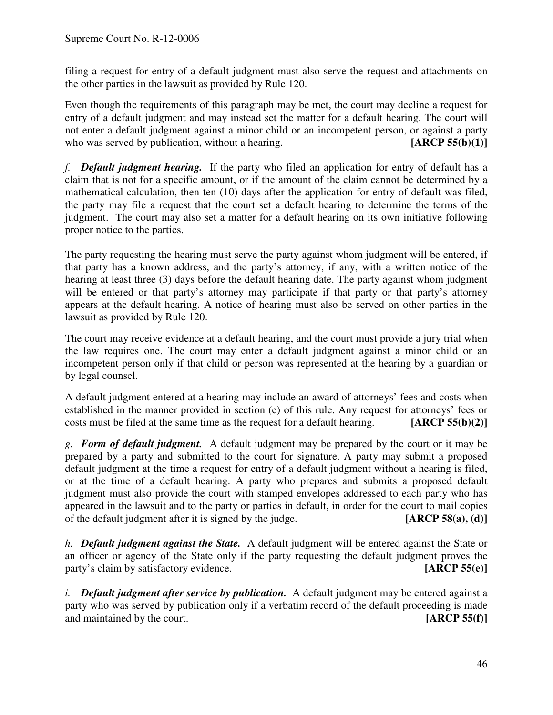filing a request for entry of a default judgment must also serve the request and attachments on the other parties in the lawsuit as provided by Rule 120.

Even though the requirements of this paragraph may be met, the court may decline a request for entry of a default judgment and may instead set the matter for a default hearing. The court will not enter a default judgment against a minor child or an incompetent person, or against a party<br>who was served by publication, without a hearing. [ARCP 55(b)(1)] who was served by publication, without a hearing.

*f. Default judgment hearing.* If the party who filed an application for entry of default has a claim that is not for a specific amount, or if the amount of the claim cannot be determined by a mathematical calculation, then ten (10) days after the application for entry of default was filed, the party may file a request that the court set a default hearing to determine the terms of the judgment. The court may also set a matter for a default hearing on its own initiative following proper notice to the parties.

The party requesting the hearing must serve the party against whom judgment will be entered, if that party has a known address, and the party's attorney, if any, with a written notice of the hearing at least three (3) days before the default hearing date. The party against whom judgment will be entered or that party's attorney may participate if that party or that party's attorney appears at the default hearing. A notice of hearing must also be served on other parties in the lawsuit as provided by Rule 120.

The court may receive evidence at a default hearing, and the court must provide a jury trial when the law requires one. The court may enter a default judgment against a minor child or an incompetent person only if that child or person was represented at the hearing by a guardian or by legal counsel.

A default judgment entered at a hearing may include an award of attorneys' fees and costs when established in the manner provided in section (e) of this rule. Any request for attorneys' fees or costs must be filed at the same time as the request for a default hearing. **[ARCP 55(b)(2)]**

*g. Form of default judgment.* A default judgment may be prepared by the court or it may be prepared by a party and submitted to the court for signature. A party may submit a proposed default judgment at the time a request for entry of a default judgment without a hearing is filed, or at the time of a default hearing. A party who prepares and submits a proposed default judgment must also provide the court with stamped envelopes addressed to each party who has appeared in the lawsuit and to the party or parties in default, in order for the court to mail copies of the default judgment after it is signed by the judge. **[ARCP 58(a), (d)]**

*h. Default judgment against the State.* A default judgment will be entered against the State or an officer or agency of the State only if the party requesting the default judgment proves the party's claim by satisfactory evidence. **[ARCP 55(e)]**

*i. Default judgment after service by publication.* A default judgment may be entered against a party who was served by publication only if a verbatim record of the default proceeding is made and maintained by the court. **[ARCP 55(f)]**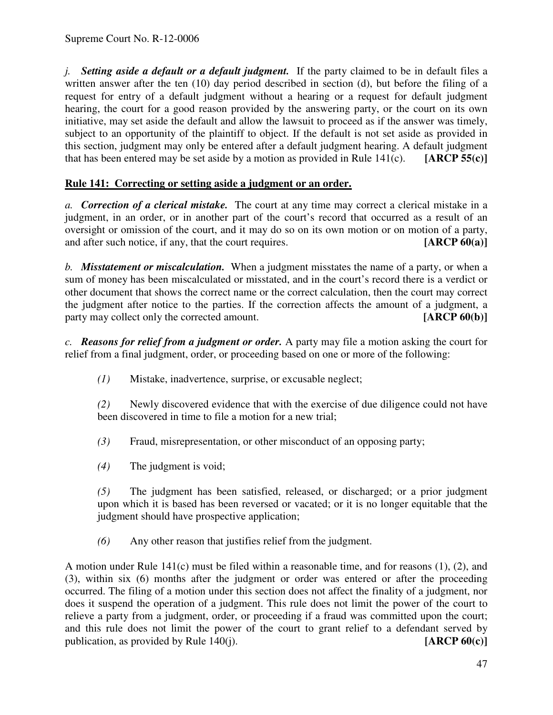*j. Setting aside a default or a default judgment.* If the party claimed to be in default files a written answer after the ten (10) day period described in section (d), but before the filing of a request for entry of a default judgment without a hearing or a request for default judgment hearing, the court for a good reason provided by the answering party, or the court on its own initiative, may set aside the default and allow the lawsuit to proceed as if the answer was timely, subject to an opportunity of the plaintiff to object. If the default is not set aside as provided in this section, judgment may only be entered after a default judgment hearing. A default judgment that has been entered may be set aside by a motion as provided in Rule 141(c). **[ARCP 55(c)]**

# **Rule 141: Correcting or setting aside a judgment or an order.**

*a. Correction of a clerical mistake.* The court at any time may correct a clerical mistake in a judgment, in an order, or in another part of the court's record that occurred as a result of an oversight or omission of the court, and it may do so on its own motion or on motion of a party, and after such notice, if any, that the court requires. **[ARCP 60(a)]** 

*b. Misstatement or miscalculation.* When a judgment misstates the name of a party, or when a sum of money has been miscalculated or misstated, and in the court's record there is a verdict or other document that shows the correct name or the correct calculation, then the court may correct the judgment after notice to the parties. If the correction affects the amount of a judgment, a party may collect only the corrected amount. **[ARCP 60(b)]**

*c. Reasons for relief from a judgment or order.* A party may file a motion asking the court for relief from a final judgment, order, or proceeding based on one or more of the following:

*(1)* Mistake, inadvertence, surprise, or excusable neglect;

*(2)* Newly discovered evidence that with the exercise of due diligence could not have been discovered in time to file a motion for a new trial;

- *(3)* Fraud, misrepresentation, or other misconduct of an opposing party;
- *(4)* The judgment is void;

*(5)* The judgment has been satisfied, released, or discharged; or a prior judgment upon which it is based has been reversed or vacated; or it is no longer equitable that the judgment should have prospective application;

*(6)* Any other reason that justifies relief from the judgment.

A motion under Rule 141(c) must be filed within a reasonable time, and for reasons (1), (2), and (3), within six (6) months after the judgment or order was entered or after the proceeding occurred. The filing of a motion under this section does not affect the finality of a judgment, nor does it suspend the operation of a judgment. This rule does not limit the power of the court to relieve a party from a judgment, order, or proceeding if a fraud was committed upon the court; and this rule does not limit the power of the court to grant relief to a defendant served by publication, as provided by Rule  $140(i)$ . [ARCP  $60(c)$ ] publication, as provided by Rule 140(j).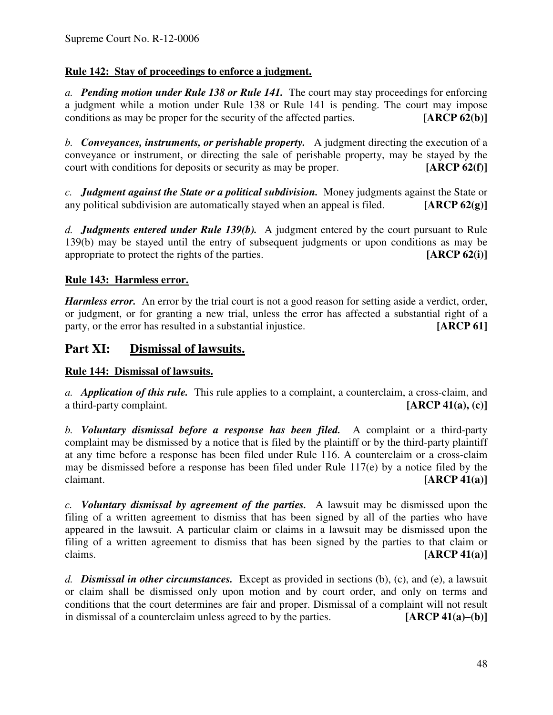# **Rule 142: Stay of proceedings to enforce a judgment.**

*a. Pending motion under Rule 138 or Rule 141.* The court may stay proceedings for enforcing a judgment while a motion under Rule 138 or Rule 141 is pending. The court may impose conditions as may be proper for the security of the affected parties. [ARCP 62(b)] conditions as may be proper for the security of the affected parties.

*b. Conveyances, instruments, or perishable property.* A judgment directing the execution of a conveyance or instrument, or directing the sale of perishable property, may be stayed by the court with conditions for deposits or security as may be proper. **[ARCP 62(f)]**

*c. Judgment against the State or a political subdivision.* Money judgments against the State or any political subdivision are automatically stayed when an appeal is filed. **[ARCP 62(g)]**

*d. Judgments entered under Rule 139(b).* A judgment entered by the court pursuant to Rule 139(b) may be stayed until the entry of subsequent judgments or upon conditions as may be appropriate to protect the rights of the parties. **[ARCP 62(i)]**

# **Rule 143: Harmless error.**

*Harmless error.* An error by the trial court is not a good reason for setting aside a verdict, order, or judgment, or for granting a new trial, unless the error has affected a substantial right of a party, or the error has resulted in a substantial injustice. **[ARCP 61]**

# **Part XI: Dismissal of lawsuits.**

## **Rule 144: Dismissal of lawsuits.**

*a. Application of this rule.* This rule applies to a complaint, a counterclaim, a cross-claim, and a third-party complaint. **[ARCP 41(a), (c)]**

*b. Voluntary dismissal before a response has been filed.* A complaint or a third-party complaint may be dismissed by a notice that is filed by the plaintiff or by the third-party plaintiff at any time before a response has been filed under Rule 116. A counterclaim or a cross-claim may be dismissed before a response has been filed under Rule 117(e) by a notice filed by the claimant. **[ARCP 41(a)]**

*c. Voluntary dismissal by agreement of the parties.* A lawsuit may be dismissed upon the filing of a written agreement to dismiss that has been signed by all of the parties who have appeared in the lawsuit. A particular claim or claims in a lawsuit may be dismissed upon the filing of a written agreement to dismiss that has been signed by the parties to that claim or claims. **[ARCP 41(a)]**

*d. Dismissal in other circumstances.* Except as provided in sections (b), (c), and (e), a lawsuit or claim shall be dismissed only upon motion and by court order, and only on terms and conditions that the court determines are fair and proper. Dismissal of a complaint will not result in dismissal of a counterclaim unless agreed to by the parties. **[ARCP 41(a)–(b)]**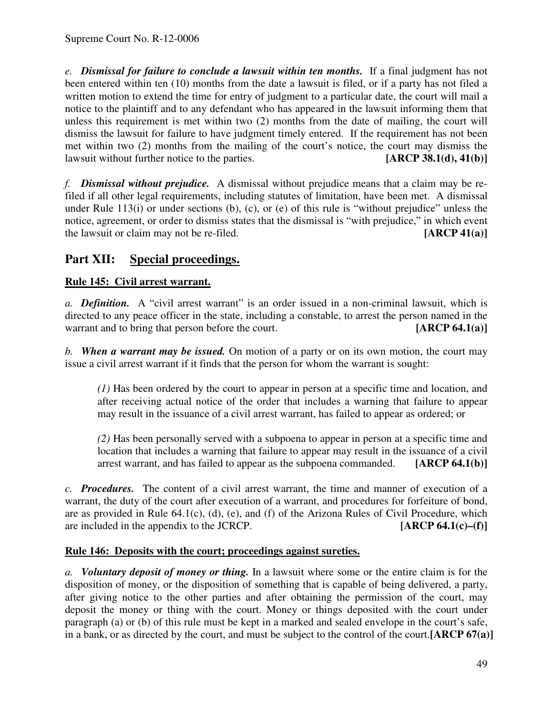*e. Dismissal for failure to conclude a lawsuit within ten months.* If a final judgment has not been entered within ten (10) months from the date a lawsuit is filed, or if a party has not filed a written motion to extend the time for entry of judgment to a particular date, the court will mail a notice to the plaintiff and to any defendant who has appeared in the lawsuit informing them that unless this requirement is met within two (2) months from the date of mailing, the court will dismiss the lawsuit for failure to have judgment timely entered. If the requirement has not been met within two (2) months from the mailing of the court's notice, the court may dismiss the lawsuit without further notice to the parties. **[ARCP 38.1(d), 41(b)]**

*f. Dismissal without prejudice.* A dismissal without prejudice means that a claim may be refiled if all other legal requirements, including statutes of limitation, have been met. A dismissal under Rule 113(i) or under sections (b), (c), or (e) of this rule is "without prejudice" unless the notice, agreement, or order to dismiss states that the dismissal is "with prejudice," in which event the lawsuit or claim may not be re-filed. **[ARCP 41(a)]**

# **Part XII: Special proceedings.**

# **Rule 145: Civil arrest warrant.**

*a. Definition.* A "civil arrest warrant" is an order issued in a non-criminal lawsuit, which is directed to any peace officer in the state, including a constable, to arrest the person named in the warrant and to bring that person before the court. **[ARCP 64.1(a)]** 

*b. When a warrant may be issued.* On motion of a party or on its own motion, the court may issue a civil arrest warrant if it finds that the person for whom the warrant is sought:

*(1)* Has been ordered by the court to appear in person at a specific time and location, and after receiving actual notice of the order that includes a warning that failure to appear may result in the issuance of a civil arrest warrant, has failed to appear as ordered; or

*(2)* Has been personally served with a subpoena to appear in person at a specific time and location that includes a warning that failure to appear may result in the issuance of a civil arrest warrant, and has failed to appear as the subpoena commanded. **[ARCP 64.1(b)]**

*c. Procedures.* The content of a civil arrest warrant, the time and manner of execution of a warrant, the duty of the court after execution of a warrant, and procedures for forfeiture of bond, are as provided in Rule 64.1(c), (d), (e), and (f) of the Arizona Rules of Civil Procedure, which are included in the appendix to the JCRCP. **[ARCP 64.1(c)–(f)]**

# **Rule 146: Deposits with the court; proceedings against sureties.**

*a. Voluntary deposit of money or thing.* In a lawsuit where some or the entire claim is for the disposition of money, or the disposition of something that is capable of being delivered, a party, after giving notice to the other parties and after obtaining the permission of the court, may deposit the money or thing with the court. Money or things deposited with the court under paragraph (a) or (b) of this rule must be kept in a marked and sealed envelope in the court's safe, in a bank, or as directed by the court, and must be subject to the control of the court.**[ARCP 67(a)]**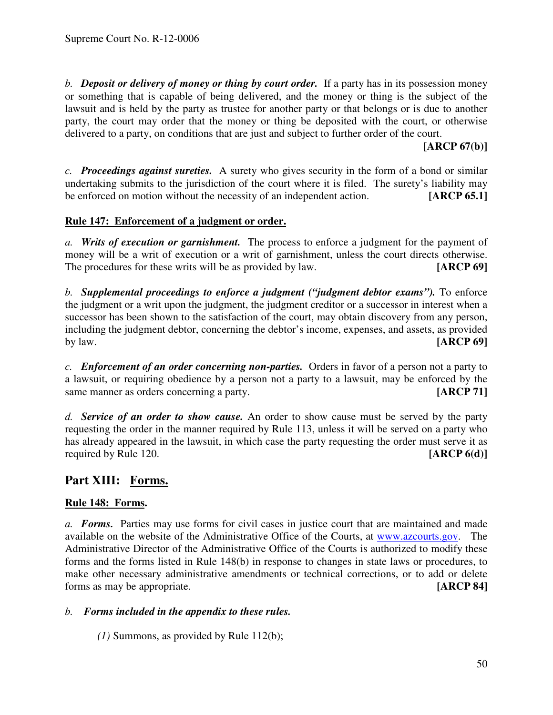*b. Deposit or delivery of money or thing by court order.* If a party has in its possession money or something that is capable of being delivered, and the money or thing is the subject of the lawsuit and is held by the party as trustee for another party or that belongs or is due to another party, the court may order that the money or thing be deposited with the court, or otherwise delivered to a party, on conditions that are just and subject to further order of the court.

**[ARCP 67(b)]**

*c. Proceedings against sureties.* A surety who gives security in the form of a bond or similar undertaking submits to the jurisdiction of the court where it is filed. The surety's liability may be enforced on motion without the necessity of an independent action. **[ARCP 65.1]**

## **Rule 147: Enforcement of a judgment or order.**

*a. Writs of execution or garnishment.* The process to enforce a judgment for the payment of money will be a writ of execution or a writ of garnishment, unless the court directs otherwise. The procedures for these writs will be as provided by law. **[ARCP 69]**

*b. Supplemental proceedings to enforce a judgment ("judgment debtor exams").* To enforce the judgment or a writ upon the judgment, the judgment creditor or a successor in interest when a successor has been shown to the satisfaction of the court, may obtain discovery from any person, including the judgment debtor, concerning the debtor's income, expenses, and assets, as provided by law. **[ARCP 69]**

*c. Enforcement of an order concerning non-parties.* Orders in favor of a person not a party to a lawsuit, or requiring obedience by a person not a party to a lawsuit, may be enforced by the same manner as orders concerning a party. **[ARCP 71]** 

*d. Service of an order to show cause.* An order to show cause must be served by the party requesting the order in the manner required by Rule 113, unless it will be served on a party who has already appeared in the lawsuit, in which case the party requesting the order must serve it as required by Rule 120. **[ARCP 6(d)]**

# **Part XIII: Forms.**

# **Rule 148: Forms.**

*a. Forms.* Parties may use forms for civil cases in justice court that are maintained and made available on the website of the Administrative Office of the Courts, at www.azcourts.gov. The Administrative Director of the Administrative Office of the Courts is authorized to modify these forms and the forms listed in Rule 148(b) in response to changes in state laws or procedures, to make other necessary administrative amendments or technical corrections, or to add or delete forms as may be appropriate. **[ARCP 84]**

## *b. Forms included in the appendix to these rules.*

*(1)* Summons, as provided by Rule 112(b);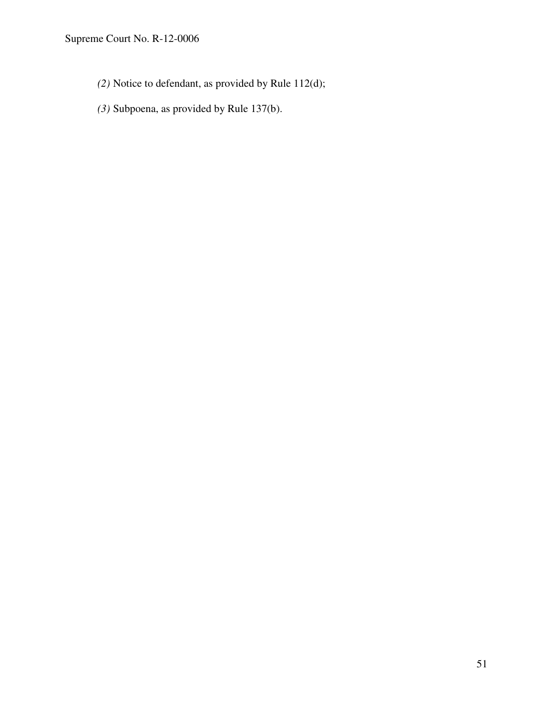Supreme Court No. R-12-0006

- *(2)* Notice to defendant, as provided by Rule 112(d);
- *(3)* Subpoena, as provided by Rule 137(b).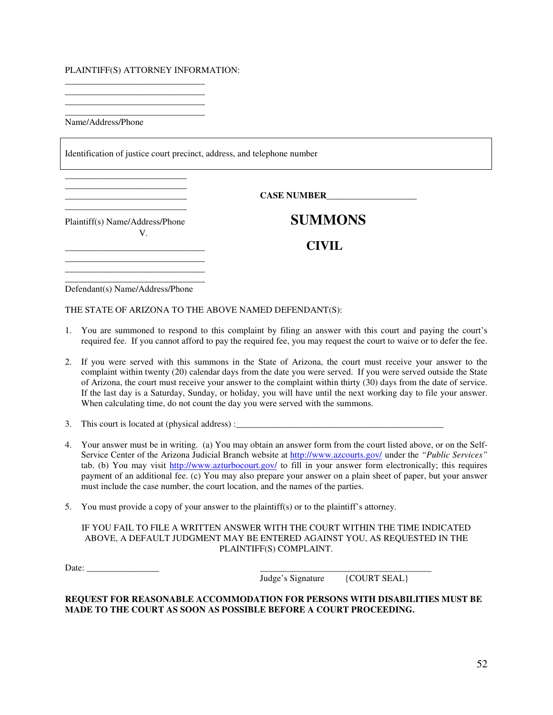#### PLAINTIFF(S) ATTORNEY INFORMATION:

\_\_\_\_\_\_\_\_\_\_\_\_\_\_\_\_\_\_\_\_\_\_\_\_\_\_\_\_\_\_\_ \_\_\_\_\_\_\_\_\_\_\_\_\_\_\_\_\_\_\_\_\_\_\_\_\_\_\_\_\_\_\_ \_\_\_\_\_\_\_\_\_\_\_\_\_\_\_\_\_\_\_\_\_\_\_\_\_\_\_\_\_\_\_

\_\_\_\_\_\_\_\_\_\_\_\_\_\_\_\_\_\_\_\_\_\_\_\_\_\_\_\_\_\_\_ Name/Address/Phone

Identification of justice court precinct, address, and telephone number

 $\bf{CASE NUMBER}$ 

Plaintiff(s) Name/Address/Phone **SUMMONS** V.

\_\_\_\_\_\_\_\_\_\_\_\_\_\_\_\_\_\_\_\_\_\_\_\_\_\_\_

\_\_\_\_\_\_\_\_\_\_\_\_\_\_\_\_\_\_\_\_\_\_\_\_\_\_\_ \_\_\_\_\_\_\_\_\_\_\_\_\_\_\_\_\_\_\_\_\_\_\_\_\_\_\_

\_\_\_\_\_\_\_\_\_\_\_\_\_\_\_\_\_\_\_\_\_\_\_\_\_\_\_\_\_\_\_ **CIVIL**

\_\_\_\_\_\_\_\_\_\_\_\_\_\_\_\_\_\_\_\_\_\_\_\_\_\_\_\_\_\_\_ Defendant(s) Name/Address/Phone

\_\_\_\_\_\_\_\_\_\_\_\_\_\_\_\_\_\_\_\_\_\_\_\_\_\_\_\_\_\_\_ \_\_\_\_\_\_\_\_\_\_\_\_\_\_\_\_\_\_\_\_\_\_\_\_\_\_\_\_\_\_\_

THE STATE OF ARIZONA TO THE ABOVE NAMED DEFENDANT(S):

- 1. You are summoned to respond to this complaint by filing an answer with this court and paying the court's required fee. If you cannot afford to pay the required fee, you may request the court to waive or to defer the fee.
- 2. If you were served with this summons in the State of Arizona, the court must receive your answer to the complaint within twenty (20) calendar days from the date you were served. If you were served outside the State of Arizona, the court must receive your answer to the complaint within thirty (30) days from the date of service. If the last day is a Saturday, Sunday, or holiday, you will have until the next working day to file your answer. When calculating time, do not count the day you were served with the summons.
- 3. This court is located at (physical address) :\_\_\_\_\_\_\_\_\_\_\_\_\_\_\_\_\_\_\_\_\_\_\_\_\_\_\_\_\_\_\_\_\_
- 4. Your answer must be in writing. (a) You may obtain an answer form from the court listed above, or on the Self-Service Center of the Arizona Judicial Branch website at http://www.azcourts.gov/ under the *"Public Services"* tab. (b) You may visit http://www.azturbocourt.gov/ to fill in your answer form electronically; this requires payment of an additional fee. (c) You may also prepare your answer on a plain sheet of paper, but your answer must include the case number, the court location, and the names of the parties.
- 5. You must provide a copy of your answer to the plaintiff(s) or to the plaintiff's attorney.

IF YOU FAIL TO FILE A WRITTEN ANSWER WITH THE COURT WITHIN THE TIME INDICATED ABOVE, A DEFAULT JUDGMENT MAY BE ENTERED AGAINST YOU, AS REQUESTED IN THE PLAINTIFF(S) COMPLAINT.

Date: \_\_\_\_\_\_\_\_\_\_\_\_\_\_\_\_ \_\_\_\_\_\_\_\_\_\_\_\_\_\_\_\_\_\_\_\_\_\_\_\_\_\_\_\_\_\_\_\_\_\_\_\_\_\_ Judge's Signature

**REQUEST FOR REASONABLE ACCOMMODATION FOR PERSONS WITH DISABILITIES MUST BE MADE TO THE COURT AS SOON AS POSSIBLE BEFORE A COURT PROCEEDING.**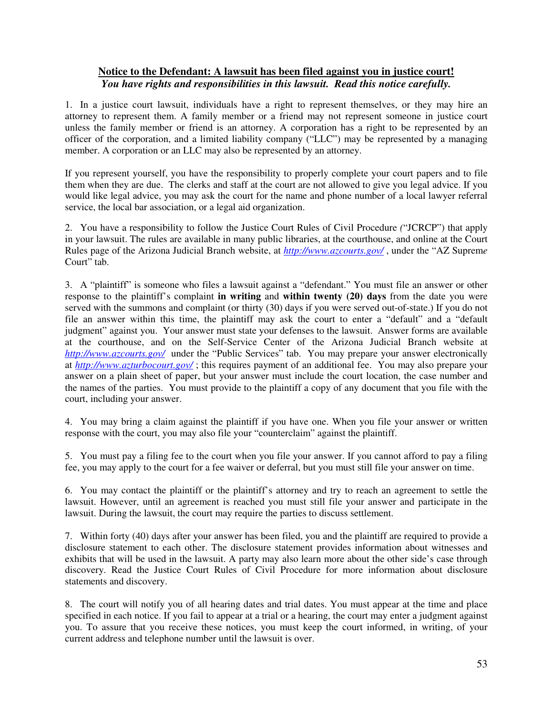### **Notice to the Defendant: A lawsuit has been filed against you in justice court!** *You have rights and responsibilities in this lawsuit. Read this notice carefully.*

1. In a justice court lawsuit, individuals have a right to represent themselves, or they may hire an attorney to represent them. A family member or a friend may not represent someone in justice court unless the family member or friend is an attorney. A corporation has a right to be represented by an officer of the corporation, and a limited liability company ("LLC") may be represented by a managing member. A corporation or an LLC may also be represented by an attorney.

If you represent yourself, you have the responsibility to properly complete your court papers and to file them when they are due. The clerks and staff at the court are not allowed to give you legal advice. If you would like legal advice, you may ask the court for the name and phone number of a local lawyer referral service, the local bar association, or a legal aid organization.

2. You have a responsibility to follow the Justice Court Rules of Civil Procedure *(*"JCRCP") that apply in your lawsuit. The rules are available in many public libraries, at the courthouse, and online at the Court Rules page of the Arizona Judicial Branch website, at *http://www.azcourts.gov/* , under the "AZ Suprem*e* Court" tab.

3. A "plaintiff" is someone who files a lawsuit against a "defendant." You must file an answer or other response to the plaintiff's complaint **in writing** and **within twenty (20) days** from the date you were served with the summons and complaint (or thirty (30) days if you were served out-of-state.) If you do not file an answer within this time, the plaintiff may ask the court to enter a "default" and a "default judgment" against you. Your answer must state your defenses to the lawsuit. Answer forms are available at the courthouse, and on the Self-Service Center of the Arizona Judicial Branch website at *http://www.azcourts.gov/* under the "Public Services" tab. You may prepare your answer electronically at *http://www.azturbocourt.gov/* ; this requires payment of an additional fee. You may also prepare your answer on a plain sheet of paper, but your answer must include the court location, the case number and the names of the parties. You must provide to the plaintiff a copy of any document that you file with the court, including your answer.

4. You may bring a claim against the plaintiff if you have one. When you file your answer or written response with the court, you may also file your "counterclaim" against the plaintiff.

5. You must pay a filing fee to the court when you file your answer. If you cannot afford to pay a filing fee, you may apply to the court for a fee waiver or deferral, but you must still file your answer on time.

6. You may contact the plaintiff or the plaintiff's attorney and try to reach an agreement to settle the lawsuit. However, until an agreement is reached you must still file your answer and participate in the lawsuit. During the lawsuit, the court may require the parties to discuss settlement.

7. Within forty (40) days after your answer has been filed, you and the plaintiff are required to provide a disclosure statement to each other. The disclosure statement provides information about witnesses and exhibits that will be used in the lawsuit. A party may also learn more about the other side's case through discovery. Read the Justice Court Rules of Civil Procedure for more information about disclosure statements and discovery.

8. The court will notify you of all hearing dates and trial dates. You must appear at the time and place specified in each notice. If you fail to appear at a trial or a hearing, the court may enter a judgment against you. To assure that you receive these notices, you must keep the court informed, in writing, of your current address and telephone number until the lawsuit is over.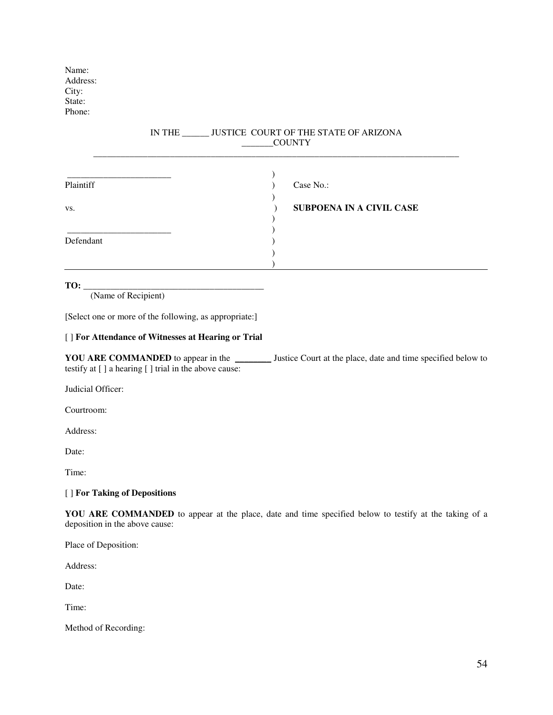Name: Address: City: State: Phone:

#### IN THE \_\_\_\_\_\_ JUSTICE COURT OF THE STATE OF ARIZONA \_\_\_\_\_\_\_COUNTY \_\_\_\_\_\_\_\_\_\_\_\_\_\_\_\_\_\_\_\_\_\_\_\_\_\_\_\_\_\_\_\_\_\_\_\_\_\_\_\_\_\_\_\_\_\_\_\_\_\_\_\_\_\_\_\_\_\_\_\_\_\_\_\_\_\_\_\_\_\_\_\_\_\_\_\_\_\_\_\_\_

| Plaintiff | Case No.:                |
|-----------|--------------------------|
|           |                          |
| VS.       | SUBPOENA IN A CIVIL CASE |
|           |                          |
|           |                          |
| Defendant |                          |
|           |                          |
|           |                          |

### **TO:** \_

(Name of Recipient)

[Select one or more of the following, as appropriate:]

#### [ ] **For Attendance of Witnesses at Hearing or Trial**

**YOU ARE COMMANDED** to appear in the \_\_\_\_\_\_\_\_ Justice Court at the place, date and time specified below to testify at [ ] a hearing [ ] trial in the above cause:

Judicial Officer:

Courtroom:

Address:

Date:

Time:

### [ ] **For Taking of Depositions**

**YOU ARE COMMANDED** to appear at the place, date and time specified below to testify at the taking of a deposition in the above cause:

Place of Deposition:

Address:

Date:

Time:

Method of Recording: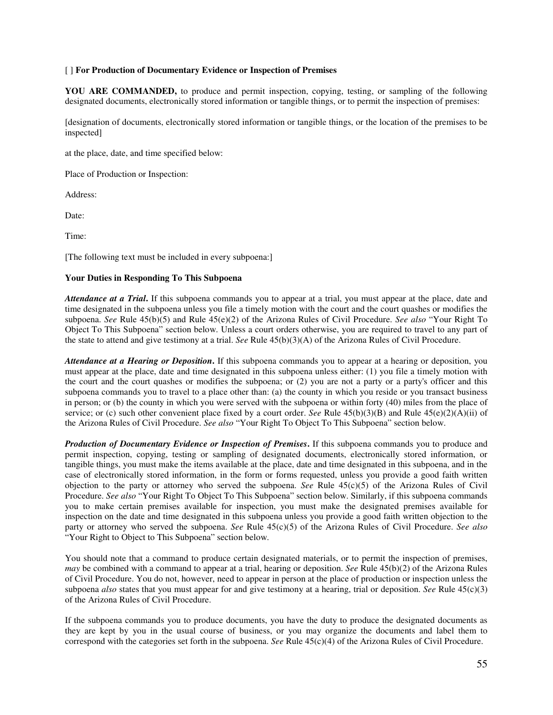#### [ ] **For Production of Documentary Evidence or Inspection of Premises**

**YOU ARE COMMANDED,** to produce and permit inspection, copying, testing, or sampling of the following designated documents, electronically stored information or tangible things, or to permit the inspection of premises:

[designation of documents, electronically stored information or tangible things, or the location of the premises to be inspected]

at the place, date, and time specified below:

Place of Production or Inspection:

Address:

Date:

Time:

[The following text must be included in every subpoena:]

#### **Your Duties in Responding To This Subpoena**

*Attendance at a Trial***.** If this subpoena commands you to appear at a trial, you must appear at the place, date and time designated in the subpoena unless you file a timely motion with the court and the court quashes or modifies the subpoena. *See* Rule 45(b)(5) and Rule 45(e)(2) of the Arizona Rules of Civil Procedure. *See also* "Your Right To Object To This Subpoena" section below. Unless a court orders otherwise, you are required to travel to any part of the state to attend and give testimony at a trial. *See* Rule 45(b)(3)(A) of the Arizona Rules of Civil Procedure.

*Attendance at a Hearing or Deposition***.** If this subpoena commands you to appear at a hearing or deposition, you must appear at the place, date and time designated in this subpoena unless either: (1) you file a timely motion with the court and the court quashes or modifies the subpoena; or (2) you are not a party or a party's officer and this subpoena commands you to travel to a place other than: (a) the county in which you reside or you transact business in person; or (b) the county in which you were served with the subpoena or within forty (40) miles from the place of service; or (c) such other convenient place fixed by a court order. *See* Rule 45(b)(3)(B) and Rule 45(e)(2)(A)(ii) of the Arizona Rules of Civil Procedure. *See also* "Your Right To Object To This Subpoena" section below.

*Production of Documentary Evidence or Inspection of Premises***.** If this subpoena commands you to produce and permit inspection, copying, testing or sampling of designated documents, electronically stored information, or tangible things, you must make the items available at the place, date and time designated in this subpoena, and in the case of electronically stored information, in the form or forms requested, unless you provide a good faith written objection to the party or attorney who served the subpoena. *See* Rule 45(c)(5) of the Arizona Rules of Civil Procedure. *See also* "Your Right To Object To This Subpoena" section below. Similarly, if this subpoena commands you to make certain premises available for inspection, you must make the designated premises available for inspection on the date and time designated in this subpoena unless you provide a good faith written objection to the party or attorney who served the subpoena. *See* Rule 45(c)(5) of the Arizona Rules of Civil Procedure. *See also* "Your Right to Object to This Subpoena" section below.

You should note that a command to produce certain designated materials, or to permit the inspection of premises, *may* be combined with a command to appear at a trial, hearing or deposition. *See* Rule 45(b)(2) of the Arizona Rules of Civil Procedure. You do not, however, need to appear in person at the place of production or inspection unless the subpoena *also* states that you must appear for and give testimony at a hearing, trial or deposition. *See* Rule 45(c)(3) of the Arizona Rules of Civil Procedure.

If the subpoena commands you to produce documents, you have the duty to produce the designated documents as they are kept by you in the usual course of business, or you may organize the documents and label them to correspond with the categories set forth in the subpoena. *See* Rule 45(c)(4) of the Arizona Rules of Civil Procedure.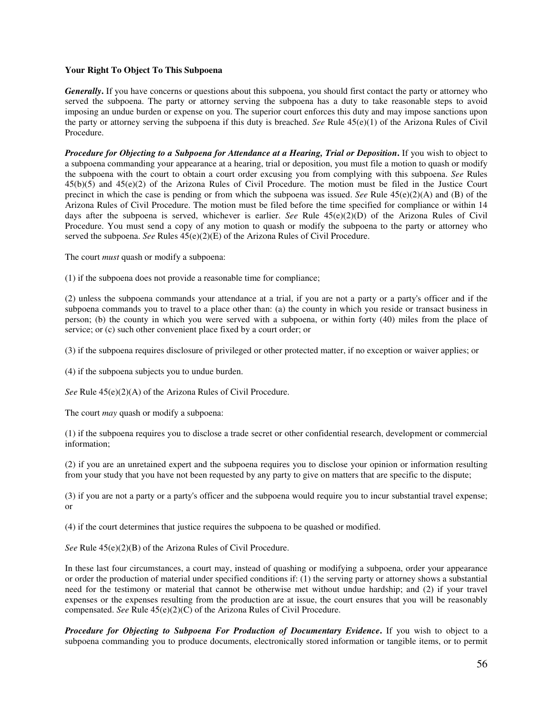#### **Your Right To Object To This Subpoena**

*Generally***.** If you have concerns or questions about this subpoena, you should first contact the party or attorney who served the subpoena. The party or attorney serving the subpoena has a duty to take reasonable steps to avoid imposing an undue burden or expense on you. The superior court enforces this duty and may impose sanctions upon the party or attorney serving the subpoena if this duty is breached. *See* Rule 45(e)(1) of the Arizona Rules of Civil Procedure.

*Procedure for Objecting to a Subpoena for Attendance at a Hearing, Trial or Deposition***.** If you wish to object to a subpoena commanding your appearance at a hearing, trial or deposition, you must file a motion to quash or modify the subpoena with the court to obtain a court order excusing you from complying with this subpoena. *See* Rules 45(b)(5) and 45(e)(2) of the Arizona Rules of Civil Procedure. The motion must be filed in the Justice Court precinct in which the case is pending or from which the subpoena was issued. *See* Rule 45(e)(2)(A) and (B) of the Arizona Rules of Civil Procedure. The motion must be filed before the time specified for compliance or within 14 days after the subpoena is served, whichever is earlier. *See* Rule 45(e)(2)(D) of the Arizona Rules of Civil Procedure. You must send a copy of any motion to quash or modify the subpoena to the party or attorney who served the subpoena. *See* Rules 45(e)(2)(E) of the Arizona Rules of Civil Procedure.

The court *must* quash or modify a subpoena:

(1) if the subpoena does not provide a reasonable time for compliance;

(2) unless the subpoena commands your attendance at a trial, if you are not a party or a party's officer and if the subpoena commands you to travel to a place other than: (a) the county in which you reside or transact business in person; (b) the county in which you were served with a subpoena, or within forty (40) miles from the place of service; or (c) such other convenient place fixed by a court order; or

(3) if the subpoena requires disclosure of privileged or other protected matter, if no exception or waiver applies; or

(4) if the subpoena subjects you to undue burden.

*See* Rule 45(e)(2)(A) of the Arizona Rules of Civil Procedure.

The court *may* quash or modify a subpoena:

(1) if the subpoena requires you to disclose a trade secret or other confidential research, development or commercial information;

(2) if you are an unretained expert and the subpoena requires you to disclose your opinion or information resulting from your study that you have not been requested by any party to give on matters that are specific to the dispute;

(3) if you are not a party or a party's officer and the subpoena would require you to incur substantial travel expense; or

(4) if the court determines that justice requires the subpoena to be quashed or modified.

*See* Rule 45(e)(2)(B) of the Arizona Rules of Civil Procedure.

In these last four circumstances, a court may, instead of quashing or modifying a subpoena, order your appearance or order the production of material under specified conditions if: (1) the serving party or attorney shows a substantial need for the testimony or material that cannot be otherwise met without undue hardship; and (2) if your travel expenses or the expenses resulting from the production are at issue, the court ensures that you will be reasonably compensated. *See* Rule 45(e)(2)(C) of the Arizona Rules of Civil Procedure.

*Procedure for Objecting to Subpoena For Production of Documentary Evidence***.** If you wish to object to a subpoena commanding you to produce documents, electronically stored information or tangible items, or to permit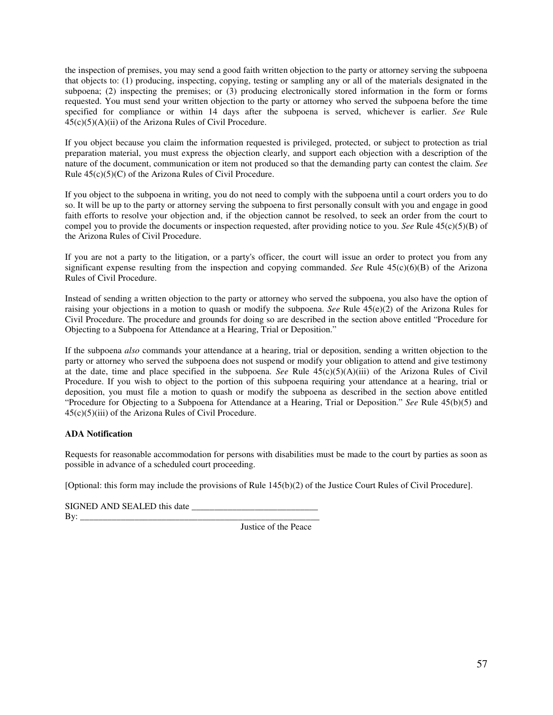the inspection of premises, you may send a good faith written objection to the party or attorney serving the subpoena that objects to: (1) producing, inspecting, copying, testing or sampling any or all of the materials designated in the subpoena; (2) inspecting the premises; or (3) producing electronically stored information in the form or forms requested. You must send your written objection to the party or attorney who served the subpoena before the time specified for compliance or within 14 days after the subpoena is served, whichever is earlier. *See* Rule  $45(c)(5)(A)(ii)$  of the Arizona Rules of Civil Procedure.

If you object because you claim the information requested is privileged, protected, or subject to protection as trial preparation material, you must express the objection clearly, and support each objection with a description of the nature of the document, communication or item not produced so that the demanding party can contest the claim. *See* Rule 45(c)(5)(C) of the Arizona Rules of Civil Procedure.

If you object to the subpoena in writing, you do not need to comply with the subpoena until a court orders you to do so. It will be up to the party or attorney serving the subpoena to first personally consult with you and engage in good faith efforts to resolve your objection and, if the objection cannot be resolved, to seek an order from the court to compel you to provide the documents or inspection requested, after providing notice to you. *See* Rule 45(c)(5)(B) of the Arizona Rules of Civil Procedure.

If you are not a party to the litigation, or a party's officer, the court will issue an order to protect you from any significant expense resulting from the inspection and copying commanded. *See* Rule 45(c)(6)(B) of the Arizona Rules of Civil Procedure.

Instead of sending a written objection to the party or attorney who served the subpoena, you also have the option of raising your objections in a motion to quash or modify the subpoena. *See* Rule 45(e)(2) of the Arizona Rules for Civil Procedure. The procedure and grounds for doing so are described in the section above entitled "Procedure for Objecting to a Subpoena for Attendance at a Hearing, Trial or Deposition."

If the subpoena *also* commands your attendance at a hearing, trial or deposition, sending a written objection to the party or attorney who served the subpoena does not suspend or modify your obligation to attend and give testimony at the date, time and place specified in the subpoena. *See* Rule 45(c)(5)(A)(iii) of the Arizona Rules of Civil Procedure. If you wish to object to the portion of this subpoena requiring your attendance at a hearing, trial or deposition, you must file a motion to quash or modify the subpoena as described in the section above entitled "Procedure for Objecting to a Subpoena for Attendance at a Hearing, Trial or Deposition." *See* Rule 45(b)(5) and  $45(c)(5)(iii)$  of the Arizona Rules of Civil Procedure.

#### **ADA Notification**

Requests for reasonable accommodation for persons with disabilities must be made to the court by parties as soon as possible in advance of a scheduled court proceeding.

[Optional: this form may include the provisions of Rule 145(b)(2) of the Justice Court Rules of Civil Procedure].

| SIGNED AND SEALED this date |  |    |  |  |
|-----------------------------|--|----|--|--|
| <b>B</b> v                  |  |    |  |  |
|                             |  | __ |  |  |

Justice of the Peace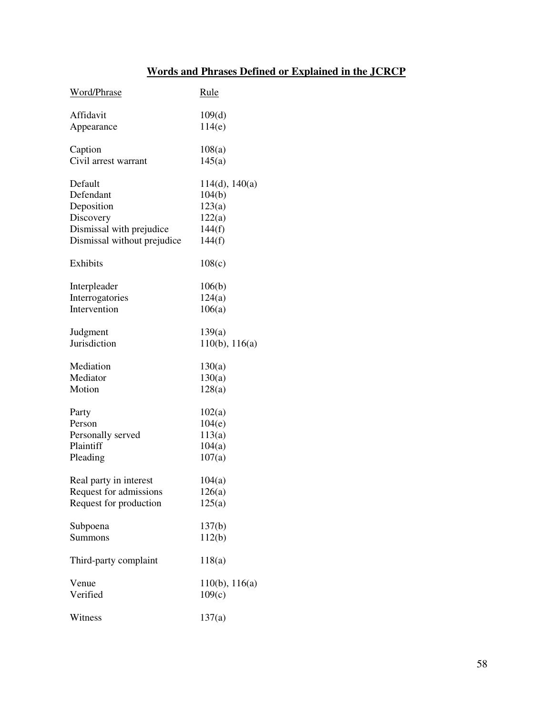# **Words and Phrases Defined or Explained in the JCRCP**

| Word/Phrase                 | Rule                |
|-----------------------------|---------------------|
| Affidavit                   | 109(d)              |
| Appearance                  | 114(e)              |
| Caption                     | 108(a)              |
| Civil arrest warrant        | 145(a)              |
| Default                     | 114(d), 140(a)      |
| Defendant                   | 104(b)              |
| Deposition                  | 123(a)              |
| Discovery                   | 122(a)              |
| Dismissal with prejudice    | 144(f)              |
| Dismissal without prejudice | 144(f)              |
| Exhibits                    | 108(c)              |
| Interpleader                | 106(b)              |
| Interrogatories             | 124(a)              |
| Intervention                | 106(a)              |
| Judgment                    | 139(a)              |
| Jurisdiction                | $110(b)$ , $116(a)$ |
| Mediation                   | 130(a)              |
| Mediator                    | 130(a)              |
| Motion                      | 128(a)              |
| Party                       | 102(a)              |
| Person                      | 104(e)              |
| Personally served           | 113(a)              |
| Plaintiff                   | 104(a)              |
| Pleading                    | 107(a)              |
| Real party in interest      | 104(a)              |
| Request for admissions      | 126(a)              |
| Request for production      | 125(a)              |
| Subpoena                    | 137(b)              |
| Summons                     | 112(b)              |
| Third-party complaint       | 118(a)              |
| Venue                       | $110(b)$ , $116(a)$ |
| Verified                    | 109(c)              |
| Witness                     | 137(a)              |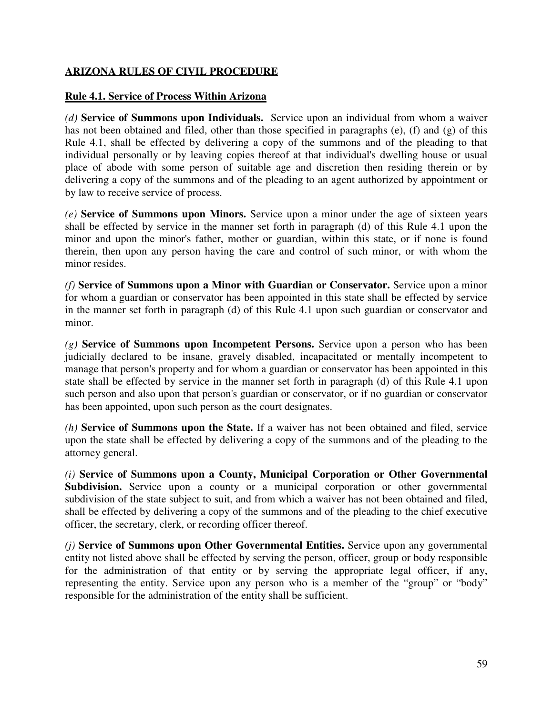### **ARIZONA RULES OF CIVIL PROCEDURE**

### **Rule 4.1. Service of Process Within Arizona**

*(d)* **Service of Summons upon Individuals.** Service upon an individual from whom a waiver has not been obtained and filed, other than those specified in paragraphs (e), (f) and (g) of this Rule 4.1, shall be effected by delivering a copy of the summons and of the pleading to that individual personally or by leaving copies thereof at that individual's dwelling house or usual place of abode with some person of suitable age and discretion then residing therein or by delivering a copy of the summons and of the pleading to an agent authorized by appointment or by law to receive service of process.

*(e)* **Service of Summons upon Minors.** Service upon a minor under the age of sixteen years shall be effected by service in the manner set forth in paragraph (d) of this Rule 4.1 upon the minor and upon the minor's father, mother or guardian, within this state, or if none is found therein, then upon any person having the care and control of such minor, or with whom the minor resides.

*(f)* **Service of Summons upon a Minor with Guardian or Conservator.** Service upon a minor for whom a guardian or conservator has been appointed in this state shall be effected by service in the manner set forth in paragraph (d) of this Rule 4.1 upon such guardian or conservator and minor.

*(g)* **Service of Summons upon Incompetent Persons.** Service upon a person who has been judicially declared to be insane, gravely disabled, incapacitated or mentally incompetent to manage that person's property and for whom a guardian or conservator has been appointed in this state shall be effected by service in the manner set forth in paragraph (d) of this Rule 4.1 upon such person and also upon that person's guardian or conservator, or if no guardian or conservator has been appointed, upon such person as the court designates.

*(h)* **Service of Summons upon the State.** If a waiver has not been obtained and filed, service upon the state shall be effected by delivering a copy of the summons and of the pleading to the attorney general.

*(i)* **Service of Summons upon a County, Municipal Corporation or Other Governmental** Subdivision. Service upon a county or a municipal corporation or other governmental subdivision of the state subject to suit, and from which a waiver has not been obtained and filed, shall be effected by delivering a copy of the summons and of the pleading to the chief executive officer, the secretary, clerk, or recording officer thereof.

*(j)* **Service of Summons upon Other Governmental Entities.** Service upon any governmental entity not listed above shall be effected by serving the person, officer, group or body responsible for the administration of that entity or by serving the appropriate legal officer, if any, representing the entity. Service upon any person who is a member of the "group" or "body" responsible for the administration of the entity shall be sufficient.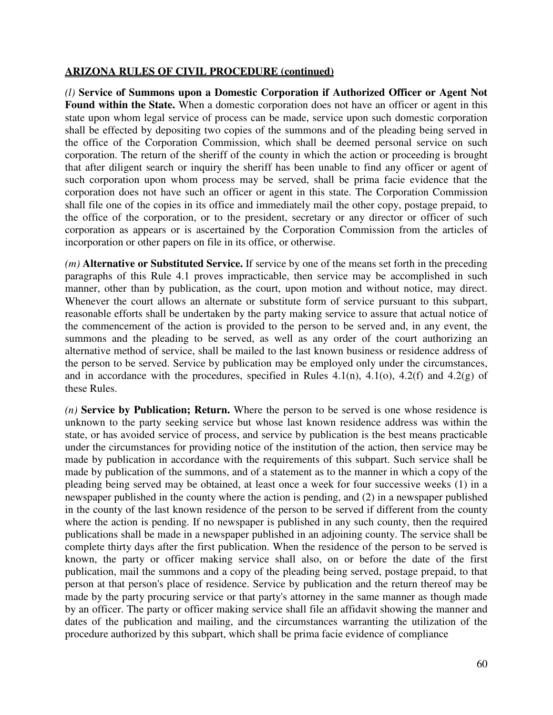*(l)* **Service of Summons upon a Domestic Corporation if Authorized Officer or Agent Not Found within the State.** When a domestic corporation does not have an officer or agent in this state upon whom legal service of process can be made, service upon such domestic corporation shall be effected by depositing two copies of the summons and of the pleading being served in the office of the Corporation Commission, which shall be deemed personal service on such corporation. The return of the sheriff of the county in which the action or proceeding is brought that after diligent search or inquiry the sheriff has been unable to find any officer or agent of such corporation upon whom process may be served, shall be prima facie evidence that the corporation does not have such an officer or agent in this state. The Corporation Commission shall file one of the copies in its office and immediately mail the other copy, postage prepaid, to the office of the corporation, or to the president, secretary or any director or officer of such corporation as appears or is ascertained by the Corporation Commission from the articles of incorporation or other papers on file in its office, or otherwise.

*(m)* **Alternative or Substituted Service.** If service by one of the means set forth in the preceding paragraphs of this Rule 4.1 proves impracticable, then service may be accomplished in such manner, other than by publication, as the court, upon motion and without notice, may direct. Whenever the court allows an alternate or substitute form of service pursuant to this subpart, reasonable efforts shall be undertaken by the party making service to assure that actual notice of the commencement of the action is provided to the person to be served and, in any event, the summons and the pleading to be served, as well as any order of the court authorizing an alternative method of service, shall be mailed to the last known business or residence address of the person to be served. Service by publication may be employed only under the circumstances, and in accordance with the procedures, specified in Rules  $4.1(n)$ ,  $4.1(o)$ ,  $4.2(f)$  and  $4.2(g)$  of these Rules.

*(n)* **Service by Publication; Return.** Where the person to be served is one whose residence is unknown to the party seeking service but whose last known residence address was within the state, or has avoided service of process, and service by publication is the best means practicable under the circumstances for providing notice of the institution of the action, then service may be made by publication in accordance with the requirements of this subpart. Such service shall be made by publication of the summons, and of a statement as to the manner in which a copy of the pleading being served may be obtained, at least once a week for four successive weeks (1) in a newspaper published in the county where the action is pending, and (2) in a newspaper published in the county of the last known residence of the person to be served if different from the county where the action is pending. If no newspaper is published in any such county, then the required publications shall be made in a newspaper published in an adjoining county. The service shall be complete thirty days after the first publication. When the residence of the person to be served is known, the party or officer making service shall also, on or before the date of the first publication, mail the summons and a copy of the pleading being served, postage prepaid, to that person at that person's place of residence. Service by publication and the return thereof may be made by the party procuring service or that party's attorney in the same manner as though made by an officer. The party or officer making service shall file an affidavit showing the manner and dates of the publication and mailing, and the circumstances warranting the utilization of the procedure authorized by this subpart, which shall be prima facie evidence of compliance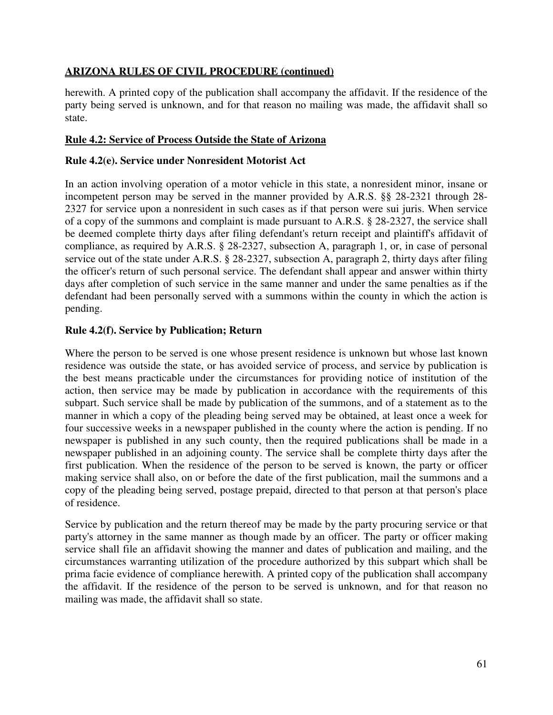herewith. A printed copy of the publication shall accompany the affidavit. If the residence of the party being served is unknown, and for that reason no mailing was made, the affidavit shall so state.

## **Rule 4.2: Service of Process Outside the State of Arizona**

## **Rule 4.2(e). Service under Nonresident Motorist Act**

In an action involving operation of a motor vehicle in this state, a nonresident minor, insane or incompetent person may be served in the manner provided by A.R.S. §§ 28-2321 through 28- 2327 for service upon a nonresident in such cases as if that person were sui juris. When service of a copy of the summons and complaint is made pursuant to A.R.S. § 28-2327, the service shall be deemed complete thirty days after filing defendant's return receipt and plaintiff's affidavit of compliance, as required by A.R.S. § 28-2327, subsection A, paragraph 1, or, in case of personal service out of the state under A.R.S. § 28-2327, subsection A, paragraph 2, thirty days after filing the officer's return of such personal service. The defendant shall appear and answer within thirty days after completion of such service in the same manner and under the same penalties as if the defendant had been personally served with a summons within the county in which the action is pending.

## **Rule 4.2(f). Service by Publication; Return**

Where the person to be served is one whose present residence is unknown but whose last known residence was outside the state, or has avoided service of process, and service by publication is the best means practicable under the circumstances for providing notice of institution of the action, then service may be made by publication in accordance with the requirements of this subpart. Such service shall be made by publication of the summons, and of a statement as to the manner in which a copy of the pleading being served may be obtained, at least once a week for four successive weeks in a newspaper published in the county where the action is pending. If no newspaper is published in any such county, then the required publications shall be made in a newspaper published in an adjoining county. The service shall be complete thirty days after the first publication. When the residence of the person to be served is known, the party or officer making service shall also, on or before the date of the first publication, mail the summons and a copy of the pleading being served, postage prepaid, directed to that person at that person's place of residence.

Service by publication and the return thereof may be made by the party procuring service or that party's attorney in the same manner as though made by an officer. The party or officer making service shall file an affidavit showing the manner and dates of publication and mailing, and the circumstances warranting utilization of the procedure authorized by this subpart which shall be prima facie evidence of compliance herewith. A printed copy of the publication shall accompany the affidavit. If the residence of the person to be served is unknown, and for that reason no mailing was made, the affidavit shall so state.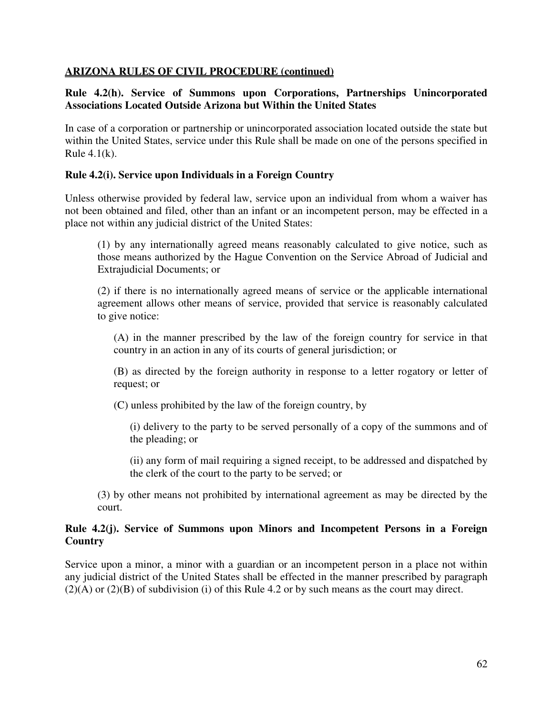### **Rule 4.2(h). Service of Summons upon Corporations, Partnerships Unincorporated Associations Located Outside Arizona but Within the United States**

In case of a corporation or partnership or unincorporated association located outside the state but within the United States, service under this Rule shall be made on one of the persons specified in Rule  $4.1(k)$ .

### **Rule 4.2(i). Service upon Individuals in a Foreign Country**

Unless otherwise provided by federal law, service upon an individual from whom a waiver has not been obtained and filed, other than an infant or an incompetent person, may be effected in a place not within any judicial district of the United States:

(1) by any internationally agreed means reasonably calculated to give notice, such as those means authorized by the Hague Convention on the Service Abroad of Judicial and Extrajudicial Documents; or

(2) if there is no internationally agreed means of service or the applicable international agreement allows other means of service, provided that service is reasonably calculated to give notice:

(A) in the manner prescribed by the law of the foreign country for service in that country in an action in any of its courts of general jurisdiction; or

(B) as directed by the foreign authority in response to a letter rogatory or letter of request; or

(C) unless prohibited by the law of the foreign country, by

(i) delivery to the party to be served personally of a copy of the summons and of the pleading; or

(ii) any form of mail requiring a signed receipt, to be addressed and dispatched by the clerk of the court to the party to be served; or

(3) by other means not prohibited by international agreement as may be directed by the court.

### **Rule 4.2(j). Service of Summons upon Minors and Incompetent Persons in a Foreign Country**

Service upon a minor, a minor with a guardian or an incompetent person in a place not within any judicial district of the United States shall be effected in the manner prescribed by paragraph  $(2)(A)$  or  $(2)(B)$  of subdivision (i) of this Rule 4.2 or by such means as the court may direct.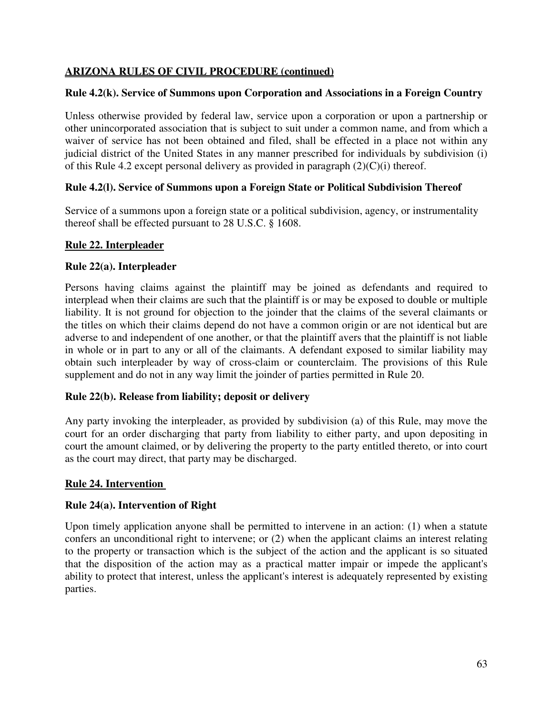## **Rule 4.2(k). Service of Summons upon Corporation and Associations in a Foreign Country**

Unless otherwise provided by federal law, service upon a corporation or upon a partnership or other unincorporated association that is subject to suit under a common name, and from which a waiver of service has not been obtained and filed, shall be effected in a place not within any judicial district of the United States in any manner prescribed for individuals by subdivision (i) of this Rule 4.2 except personal delivery as provided in paragraph  $(2)(C)(i)$  thereof.

# **Rule 4.2(l). Service of Summons upon a Foreign State or Political Subdivision Thereof**

Service of a summons upon a foreign state or a political subdivision, agency, or instrumentality thereof shall be effected pursuant to 28 U.S.C. § 1608.

## **Rule 22. Interpleader**

## **Rule 22(a). Interpleader**

Persons having claims against the plaintiff may be joined as defendants and required to interplead when their claims are such that the plaintiff is or may be exposed to double or multiple liability. It is not ground for objection to the joinder that the claims of the several claimants or the titles on which their claims depend do not have a common origin or are not identical but are adverse to and independent of one another, or that the plaintiff avers that the plaintiff is not liable in whole or in part to any or all of the claimants. A defendant exposed to similar liability may obtain such interpleader by way of cross-claim or counterclaim. The provisions of this Rule supplement and do not in any way limit the joinder of parties permitted in Rule 20.

## **Rule 22(b). Release from liability; deposit or delivery**

Any party invoking the interpleader, as provided by subdivision (a) of this Rule, may move the court for an order discharging that party from liability to either party, and upon depositing in court the amount claimed, or by delivering the property to the party entitled thereto, or into court as the court may direct, that party may be discharged.

## **Rule 24. Intervention**

## **Rule 24(a). Intervention of Right**

Upon timely application anyone shall be permitted to intervene in an action: (1) when a statute confers an unconditional right to intervene; or (2) when the applicant claims an interest relating to the property or transaction which is the subject of the action and the applicant is so situated that the disposition of the action may as a practical matter impair or impede the applicant's ability to protect that interest, unless the applicant's interest is adequately represented by existing parties.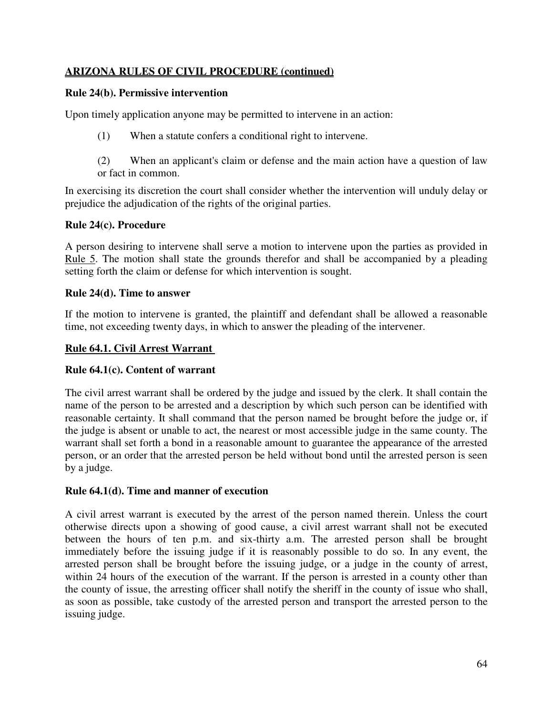## **Rule 24(b). Permissive intervention**

Upon timely application anyone may be permitted to intervene in an action:

- (1) When a statute confers a conditional right to intervene.
- (2) When an applicant's claim or defense and the main action have a question of law or fact in common.

In exercising its discretion the court shall consider whether the intervention will unduly delay or prejudice the adjudication of the rights of the original parties.

# **Rule 24(c). Procedure**

A person desiring to intervene shall serve a motion to intervene upon the parties as provided in Rule 5. The motion shall state the grounds therefor and shall be accompanied by a pleading setting forth the claim or defense for which intervention is sought.

# **Rule 24(d). Time to answer**

If the motion to intervene is granted, the plaintiff and defendant shall be allowed a reasonable time, not exceeding twenty days, in which to answer the pleading of the intervener.

# **Rule 64.1. Civil Arrest Warrant**

## **Rule 64.1(c). Content of warrant**

The civil arrest warrant shall be ordered by the judge and issued by the clerk. It shall contain the name of the person to be arrested and a description by which such person can be identified with reasonable certainty. It shall command that the person named be brought before the judge or, if the judge is absent or unable to act, the nearest or most accessible judge in the same county. The warrant shall set forth a bond in a reasonable amount to guarantee the appearance of the arrested person, or an order that the arrested person be held without bond until the arrested person is seen by a judge.

## **Rule 64.1(d). Time and manner of execution**

A civil arrest warrant is executed by the arrest of the person named therein. Unless the court otherwise directs upon a showing of good cause, a civil arrest warrant shall not be executed between the hours of ten p.m. and six-thirty a.m. The arrested person shall be brought immediately before the issuing judge if it is reasonably possible to do so. In any event, the arrested person shall be brought before the issuing judge, or a judge in the county of arrest, within 24 hours of the execution of the warrant. If the person is arrested in a county other than the county of issue, the arresting officer shall notify the sheriff in the county of issue who shall, as soon as possible, take custody of the arrested person and transport the arrested person to the issuing judge.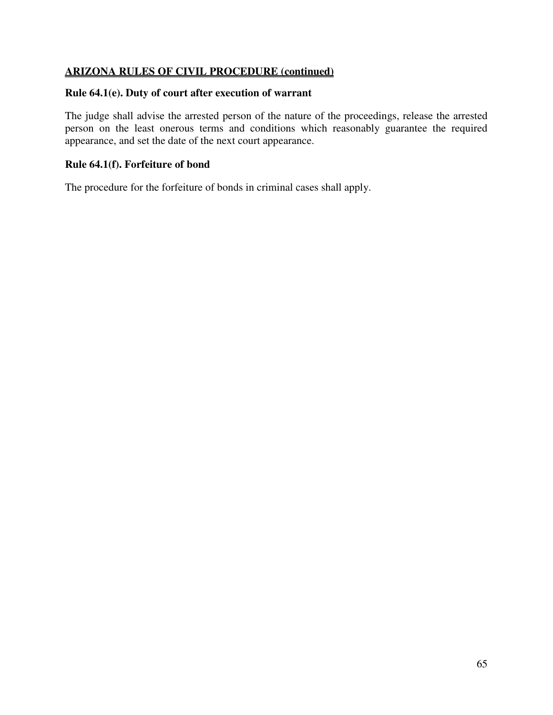### **Rule 64.1(e). Duty of court after execution of warrant**

The judge shall advise the arrested person of the nature of the proceedings, release the arrested person on the least onerous terms and conditions which reasonably guarantee the required appearance, and set the date of the next court appearance.

### **Rule 64.1(f). Forfeiture of bond**

The procedure for the forfeiture of bonds in criminal cases shall apply.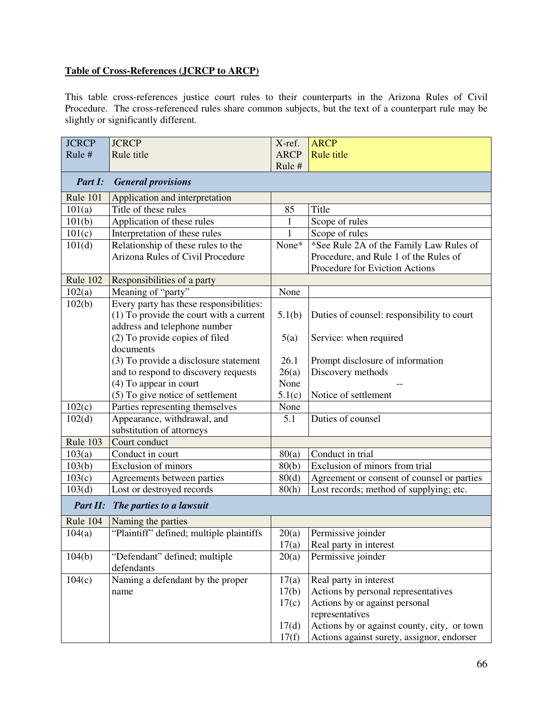# **Table of Cross-References (JCRCP to ARCP)**

This table cross-references justice court rules to their counterparts in the Arizona Rules of Civil Procedure. The cross-referenced rules share common subjects, but the text of a counterpart rule may be slightly or significantly different.

| <b>JCRCP</b> | <b>JCRCP</b>                             | X-ref.       | <b>ARCP</b>                                 |
|--------------|------------------------------------------|--------------|---------------------------------------------|
| Rule#        | Rule title                               | <b>ARCP</b>  | <b>Rule title</b>                           |
|              |                                          | Rule #       |                                             |
| Part I:      | <b>General provisions</b>                |              |                                             |
| Rule 101     | Application and interpretation           |              |                                             |
| 101(a)       | Title of these rules                     | 85           | Title                                       |
| 101(b)       | Application of these rules               | $\mathbf{1}$ | Scope of rules                              |
| 101(c)       | Interpretation of these rules            | 1            | Scope of rules                              |
| 101(d)       | Relationship of these rules to the       | None*        | *See Rule 2A of the Family Law Rules of     |
|              | <b>Arizona Rules of Civil Procedure</b>  |              | Procedure, and Rule 1 of the Rules of       |
|              |                                          |              | Procedure for Eviction Actions              |
| Rule 102     | Responsibilities of a party              |              |                                             |
| 102(a)       | Meaning of "party"                       | None         |                                             |
| 102(b)       | Every party has these responsibilities:  |              |                                             |
|              | (1) To provide the court with a current  | 5.1(b)       | Duties of counsel: responsibility to court  |
|              | address and telephone number             |              |                                             |
|              | (2) To provide copies of filed           | 5(a)         | Service: when required                      |
|              | documents                                |              |                                             |
|              | (3) To provide a disclosure statement    | 26.1         | Prompt disclosure of information            |
|              | and to respond to discovery requests     | 26(a)        | Discovery methods                           |
|              | (4) To appear in court                   | None         |                                             |
|              | (5) To give notice of settlement         | 5.1(c)       | Notice of settlement                        |
| 102(c)       | Parties representing themselves          | None         |                                             |
| 102(d)       | Appearance, withdrawal, and              | 5.1          | Duties of counsel                           |
|              | substitution of attorneys                |              |                                             |
| Rule 103     | Court conduct                            |              |                                             |
| 103(a)       | Conduct in court                         | 80(a)        | Conduct in trial                            |
| 103(b)       | <b>Exclusion of minors</b>               | 80(b)        | Exclusion of minors from trial              |
| 103(c)       | Agreements between parties               | 80(d)        | Agreement or consent of counsel or parties  |
| 103(d)       | Lost or destroyed records                | 80(h)        | Lost records; method of supplying; etc.     |
| Part II:     | The parties to a lawsuit                 |              |                                             |
| Rule 104     | Naming the parties                       |              |                                             |
| 104(a)       | "Plaintiff" defined; multiple plaintiffs | 20(a)        | Permissive joinder                          |
|              |                                          | 17(a)        | Real party in interest                      |
| 104(b)       | "Defendant" defined; multiple            | 20(a)        | Permissive joinder                          |
|              | defendants                               |              |                                             |
| 104(c)       | Naming a defendant by the proper         | 17(a)        | Real party in interest                      |
|              | name                                     | 17(b)        | Actions by personal representatives         |
|              |                                          | 17(c)        | Actions by or against personal              |
|              |                                          |              | representatives                             |
|              |                                          | 17(d)        | Actions by or against county, city, or town |
|              |                                          | 17(f)        | Actions against surety, assignor, endorser  |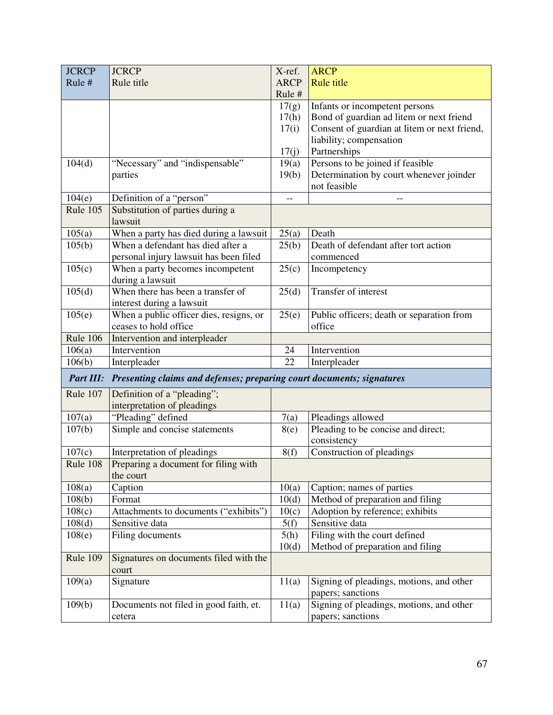| <b>JCRCP</b>    | <b>JCRCP</b>                                                                    | X-ref.      | <b>ARCP</b>                                  |
|-----------------|---------------------------------------------------------------------------------|-------------|----------------------------------------------|
| Rule #          | Rule title                                                                      | <b>ARCP</b> | <b>Rule title</b>                            |
|                 |                                                                                 | Rule #      |                                              |
|                 |                                                                                 | 17(g)       | Infants or incompetent persons               |
|                 |                                                                                 | 17(h)       | Bond of guardian ad litem or next friend     |
|                 |                                                                                 | 17(i)       | Consent of guardian at litem or next friend, |
|                 |                                                                                 |             | liability; compensation                      |
|                 |                                                                                 | 17(j)       | Partnerships                                 |
| 104(d)          | "Necessary" and "indispensable"                                                 | 19(a)       | Persons to be joined if feasible             |
|                 | parties                                                                         | 19(b)       | Determination by court whenever joinder      |
|                 |                                                                                 |             | not feasible                                 |
| 104(e)          | Definition of a "person"                                                        | $-$         |                                              |
| Rule 105        | Substitution of parties during a                                                |             |                                              |
|                 | lawsuit                                                                         |             |                                              |
| 105(a)          | When a party has died during a lawsuit                                          | 25(a)       | Death                                        |
| 105(b)          | When a defendant has died after a                                               | 25(b)       | Death of defendant after tort action         |
|                 | personal injury lawsuit has been filed                                          |             | commenced                                    |
| 105(c)          | When a party becomes incompetent                                                | 25(c)       | Incompetency                                 |
|                 | during a lawsuit                                                                |             |                                              |
| 105(d)          | When there has been a transfer of                                               | 25(d)       | Transfer of interest                         |
|                 | interest during a lawsuit                                                       |             |                                              |
| 105(e)          | When a public officer dies, resigns, or                                         | 25(e)       | Public officers; death or separation from    |
|                 | ceases to hold office                                                           |             | office                                       |
| <b>Rule 106</b> | Intervention and interpleader                                                   |             |                                              |
| 106(a)          | Intervention                                                                    | 24          | Intervention                                 |
| 106(b)          | Interpleader                                                                    | 22          | Interpleader                                 |
|                 | Part III: Presenting claims and defenses; preparing court documents; signatures |             |                                              |
| Rule 107        | Definition of a "pleading";                                                     |             |                                              |
|                 | interpretation of pleadings                                                     |             |                                              |
| 107(a)          | "Pleading" defined                                                              | 7(a)        | Pleadings allowed                            |
| 107(b)          | Simple and concise statements                                                   | 8(e)        | Pleading to be concise and direct;           |
|                 |                                                                                 |             | consistency                                  |
| 107(c)          | Interpretation of pleadings                                                     | 8(f)        | Construction of pleadings                    |
| Rule 108        | Preparing a document for filing with                                            |             |                                              |
|                 | the court                                                                       |             |                                              |
| 108(a)          | Caption                                                                         | 10(a)       | Caption; names of parties                    |
| 108(b)          | Format                                                                          | 10(d)       | Method of preparation and filing             |
| 108(c)          | Attachments to documents ("exhibits")                                           | 10(c)       | Adoption by reference; exhibits              |
| 108(d)          | Sensitive data                                                                  | 5(f)        | Sensitive data                               |
| 108(e)          | Filing documents                                                                | 5(h)        | Filing with the court defined                |
|                 |                                                                                 | 10(d)       | Method of preparation and filing             |
| Rule 109        | Signatures on documents filed with the<br>court                                 |             |                                              |
| 109(a)          | Signature                                                                       | 11(a)       | Signing of pleadings, motions, and other     |
|                 |                                                                                 |             | papers; sanctions                            |
| 109(b)          | Documents not filed in good faith, et.                                          | 11(a)       | Signing of pleadings, motions, and other     |
|                 |                                                                                 |             | papers; sanctions                            |
|                 | cetera                                                                          |             |                                              |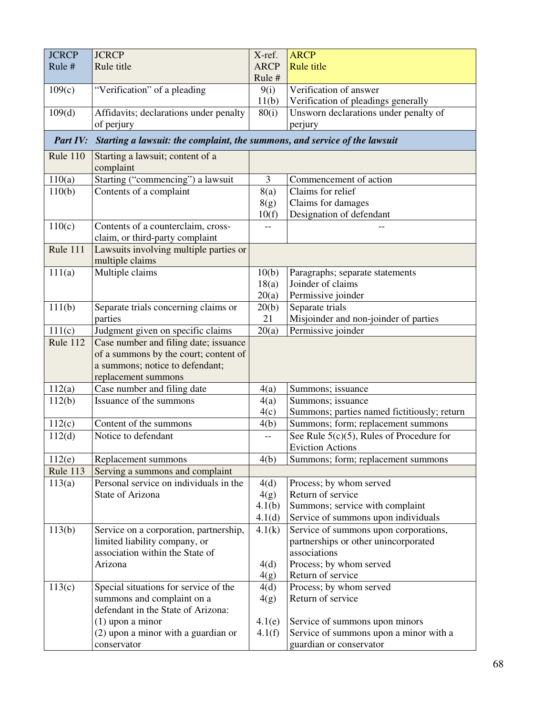| <b>JCRCP</b>    | <b>JCRCP</b>                                                               | X-ref.         | <b>ARCP</b>                                 |
|-----------------|----------------------------------------------------------------------------|----------------|---------------------------------------------|
| Rule #          | Rule title                                                                 | <b>ARCP</b>    | <b>Rule title</b>                           |
|                 |                                                                            | Rule#          |                                             |
| 109(c)          | "Verification" of a pleading                                               | 9(i)           | Verification of answer                      |
|                 |                                                                            | 11(b)          | Verification of pleadings generally         |
| 109(d)          | Affidavits; declarations under penalty                                     | 80(i)          | Unsworn declarations under penalty of       |
|                 | of perjury                                                                 |                | perjury                                     |
| Part IV:        | Starting a lawsuit: the complaint, the summons, and service of the lawsuit |                |                                             |
|                 |                                                                            |                |                                             |
| <b>Rule 110</b> | Starting a lawsuit; content of a<br>complaint                              |                |                                             |
| 110(a)          | Starting ("commencing") a lawsuit                                          | $\overline{3}$ | Commencement of action                      |
| 110(b)          | Contents of a complaint                                                    | 8(a)           | Claims for relief                           |
|                 |                                                                            | 8(g)           | Claims for damages                          |
|                 |                                                                            | 10(f)          | Designation of defendant                    |
| 110(c)          | Contents of a counterclaim, cross-<br>claim, or third-party complaint      |                |                                             |
| Rule 111        | Lawsuits involving multiple parties or                                     |                |                                             |
|                 | multiple claims                                                            |                |                                             |
| 111(a)          | Multiple claims                                                            | 10(b)          | Paragraphs; separate statements             |
|                 |                                                                            | 18(a)          | Joinder of claims                           |
|                 |                                                                            | 20(a)          | Permissive joinder                          |
| 111(b)          | Separate trials concerning claims or                                       | 20(b)          | Separate trials                             |
|                 | parties                                                                    | 21             | Misjoinder and non-joinder of parties       |
| 111(c)          | Judgment given on specific claims                                          | 20(a)          | Permissive joinder                          |
| Rule 112        | Case number and filing date; issuance                                      |                |                                             |
|                 | of a summons by the court; content of                                      |                |                                             |
|                 | a summons; notice to defendant;                                            |                |                                             |
|                 | replacement summons                                                        |                |                                             |
| 112(a)          | Case number and filing date                                                | 4(a)           | Summons; issuance                           |
| 112(b)          | Issuance of the summons                                                    | 4(a)           | Summons; issuance                           |
|                 |                                                                            | 4(c)           | Summons; parties named fictitiously; return |
| 112(c)          | Content of the summons                                                     | 4(b)           | Summons; form; replacement summons          |
| 112(d)          | Notice to defendant                                                        |                | See Rule $5(c)(5)$ , Rules of Procedure for |
|                 |                                                                            |                | <b>Eviction Actions</b>                     |
| 112(e)          | Replacement summons                                                        | 4(b)           | Summons; form; replacement summons          |
| Rule 113        | Serving a summons and complaint                                            |                |                                             |
| 113(a)          | Personal service on individuals in the                                     | 4(d)           | Process; by whom served                     |
|                 | State of Arizona                                                           | 4(g)           | Return of service                           |
|                 |                                                                            | 4.1(b)         | Summons; service with complaint             |
|                 |                                                                            | 4.1(d)         | Service of summons upon individuals         |
| 113(b)          | Service on a corporation, partnership,                                     | 4.1(k)         | Service of summons upon corporations,       |
|                 | limited liability company, or                                              |                | partnerships or other unincorporated        |
|                 | association within the State of                                            |                | associations                                |
|                 | Arizona                                                                    | 4(d)           | Process; by whom served                     |
|                 |                                                                            | 4(g)           | Return of service                           |
| 113(c)          | Special situations for service of the                                      | 4(d)           | Process; by whom served                     |
|                 | summons and complaint on a                                                 | 4(g)           | Return of service                           |
|                 | defendant in the State of Arizona:                                         |                |                                             |
|                 | $(1)$ upon a minor                                                         | 4.1(e)         | Service of summons upon minors              |
|                 | (2) upon a minor with a guardian or                                        | 4.1(f)         | Service of summons upon a minor with a      |
|                 | conservator                                                                |                | guardian or conservator                     |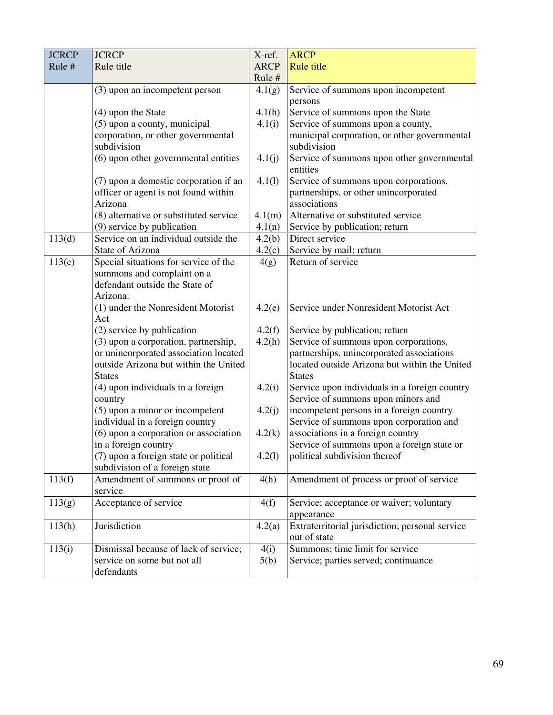| <b>JCRCP</b> | <b>JCRCP</b>                                                             | X-ref.      | <b>ARCP</b>                                                                     |
|--------------|--------------------------------------------------------------------------|-------------|---------------------------------------------------------------------------------|
| Rule #       | Rule title                                                               | <b>ARCP</b> | <b>Rule title</b>                                                               |
|              |                                                                          | Rule#       |                                                                                 |
|              | (3) upon an incompetent person                                           | 4.1(g)      | Service of summons upon incompetent                                             |
|              |                                                                          |             | persons                                                                         |
|              | (4) upon the State                                                       | 4.1(h)      | Service of summons upon the State                                               |
|              | (5) upon a county, municipal                                             | 4.1(i)      | Service of summons upon a county,                                               |
|              | corporation, or other governmental                                       |             | municipal corporation, or other governmental                                    |
|              | subdivision                                                              |             | subdivision                                                                     |
|              | (6) upon other governmental entities                                     | 4.1(j)      | Service of summons upon other governmental                                      |
|              |                                                                          |             | entities                                                                        |
|              | (7) upon a domestic corporation if an                                    | 4.1(l)      | Service of summons upon corporations,                                           |
|              | officer or agent is not found within                                     |             | partnerships, or other unincorporated                                           |
|              | Arizona                                                                  |             | associations                                                                    |
|              | (8) alternative or substituted service                                   | 4.1(m)      | Alternative or substituted service                                              |
|              | (9) service by publication                                               | 4.1(n)      | Service by publication; return                                                  |
| 113(d)       | Service on an individual outside the                                     | 4.2(b)      | Direct service                                                                  |
|              | State of Arizona                                                         | 4.2(c)      | Service by mail; return                                                         |
| 113(e)       | Special situations for service of the                                    | 4(g)        | Return of service                                                               |
|              | summons and complaint on a                                               |             |                                                                                 |
|              | defendant outside the State of                                           |             |                                                                                 |
|              | Arizona:                                                                 |             |                                                                                 |
|              | (1) under the Nonresident Motorist                                       | 4.2(e)      | Service under Nonresident Motorist Act                                          |
|              | Act                                                                      |             |                                                                                 |
|              | (2) service by publication                                               | 4.2(f)      | Service by publication; return                                                  |
|              | (3) upon a corporation, partnership,                                     | 4.2(h)      | Service of summons upon corporations,                                           |
|              | or unincorporated association located                                    |             | partnerships, unincorporated associations                                       |
|              | outside Arizona but within the United                                    |             | located outside Arizona but within the United                                   |
|              | <b>States</b>                                                            |             | <b>States</b>                                                                   |
|              | (4) upon individuals in a foreign                                        | 4.2(i)      | Service upon individuals in a foreign country                                   |
|              | country                                                                  |             | Service of summons upon minors and                                              |
|              | (5) upon a minor or incompetent                                          | 4.2(j)      | incompetent persons in a foreign country                                        |
|              | individual in a foreign country<br>(6) upon a corporation or association |             | Service of summons upon corporation and                                         |
|              | in a foreign country                                                     | 4.2(k)      | associations in a foreign country<br>Service of summons upon a foreign state or |
|              | (7) upon a foreign state or political                                    | 4.2(1)      | political subdivision thereof                                                   |
|              | subdivision of a foreign state                                           |             |                                                                                 |
| 113(f)       | Amendment of summons or proof of                                         | 4(h)        | Amendment of process or proof of service                                        |
|              | service                                                                  |             |                                                                                 |
| 113(g)       | Acceptance of service                                                    | 4(f)        | Service; acceptance or waiver; voluntary                                        |
|              |                                                                          |             | appearance                                                                      |
| 113(h)       | Jurisdiction                                                             |             | Extraterritorial jurisdiction; personal service                                 |
|              |                                                                          | 4.2(a)      | out of state                                                                    |
|              | Dismissal because of lack of service;                                    |             | Summons; time limit for service                                                 |
| 113(i)       | service on some but not all                                              | 4(i)        | Service; parties served; continuance                                            |
|              |                                                                          | 5(b)        |                                                                                 |
|              | defendants                                                               |             |                                                                                 |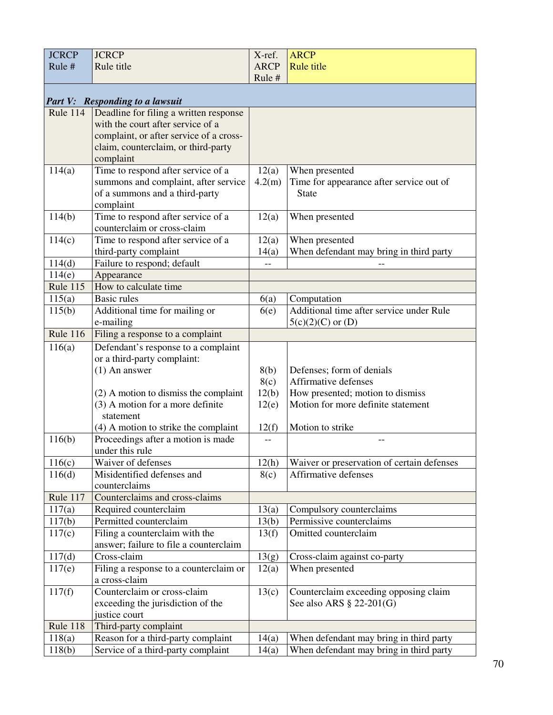| <b>JCRCP</b>    | <b>JCRCP</b>                                            | X-ref.      | <b>ARCP</b>                                |
|-----------------|---------------------------------------------------------|-------------|--------------------------------------------|
| Rule #          | Rule title                                              | <b>ARCP</b> | <b>Rule title</b>                          |
|                 |                                                         | Rule #      |                                            |
|                 |                                                         |             |                                            |
|                 | <b>Part V: Responding to a lawsuit</b>                  |             |                                            |
| Rule 114        | Deadline for filing a written response                  |             |                                            |
|                 | with the court after service of a                       |             |                                            |
|                 | complaint, or after service of a cross-                 |             |                                            |
|                 | claim, counterclaim, or third-party                     |             |                                            |
|                 | complaint                                               |             |                                            |
| 114(a)          | Time to respond after service of a                      | 12(a)       | When presented                             |
|                 | summons and complaint, after service                    | 4.2(m)      | Time for appearance after service out of   |
|                 | of a summons and a third-party                          |             | <b>State</b>                               |
|                 | complaint                                               |             |                                            |
| 114(b)          | Time to respond after service of a                      | 12(a)       | When presented                             |
|                 | counterclaim or cross-claim                             |             |                                            |
| 114(c)          | Time to respond after service of a                      | 12(a)       | When presented                             |
|                 | third-party complaint                                   | 14(a)       | When defendant may bring in third party    |
| 114(d)          | Failure to respond; default                             | $-$         |                                            |
| 114(e)          | Appearance                                              |             |                                            |
| <b>Rule 115</b> | How to calculate time                                   |             |                                            |
| 115(a)          | <b>Basic rules</b>                                      | 6(a)        | Computation                                |
| 115(b)          | Additional time for mailing or                          | 6(e)        | Additional time after service under Rule   |
|                 | e-mailing                                               |             | $5(c)(2)(C)$ or $(D)$                      |
| <b>Rule 116</b> | Filing a response to a complaint                        |             |                                            |
| 116(a)          | Defendant's response to a complaint                     |             |                                            |
|                 | or a third-party complaint:                             |             |                                            |
|                 | $(1)$ An answer                                         | 8(b)        | Defenses; form of denials                  |
|                 |                                                         | 8(c)        | Affirmative defenses                       |
|                 | $(2)$ A motion to dismiss the complaint                 | 12(b)       | How presented; motion to dismiss           |
|                 | (3) A motion for a more definite                        | 12(e)       | Motion for more definite statement         |
|                 | statement                                               |             |                                            |
|                 | (4) A motion to strike the complaint                    | 12(f)       | Motion to strike                           |
| 116(b)          | Proceedings after a motion is made                      |             | --                                         |
|                 | under this rule                                         |             |                                            |
| 116(c)          | Waiver of defenses                                      | 12(h)       | Waiver or preservation of certain defenses |
| 116(d)          | Misidentified defenses and                              | 8(c)        | Affirmative defenses                       |
|                 | counterclaims                                           |             |                                            |
| Rule 117        | Counterclaims and cross-claims                          |             |                                            |
| 117(a)          | Required counterclaim                                   | 13(a)       | Compulsory counterclaims                   |
| 117(b)          | Permitted counterclaim                                  | 13(b)       | Permissive counterclaims                   |
| 117(c)          | Filing a counterclaim with the                          | 13(f)       | Omitted counterclaim                       |
|                 | answer; failure to file a counterclaim                  |             |                                            |
| 117(d)          | Cross-claim                                             | 13(g)       | Cross-claim against co-party               |
| 117(e)          | Filing a response to a counterclaim or<br>a cross-claim | 12(a)       | When presented                             |
| 117(f)          | Counterclaim or cross-claim                             | 13(c)       | Counterclaim exceeding opposing claim      |
|                 | exceeding the jurisdiction of the                       |             | See also ARS $\S$ 22-201(G)                |
|                 | justice court                                           |             |                                            |
| Rule 118        | Third-party complaint                                   |             |                                            |
| 118(a)          | Reason for a third-party complaint                      | 14(a)       | When defendant may bring in third party    |
| 118(b)          | Service of a third-party complaint                      | 14(a)       | When defendant may bring in third party    |
|                 |                                                         |             |                                            |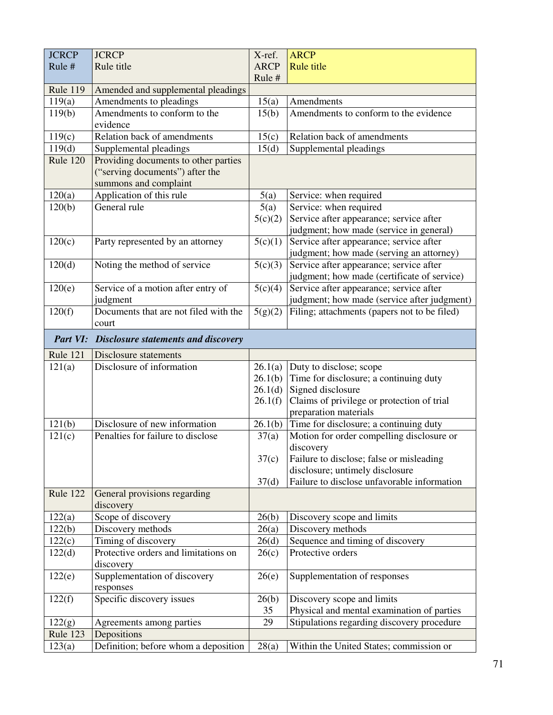| <b>JCRCP</b>        | <b>JCRCP</b>                                        | X-ref.      | <b>ARCP</b>                                                                            |
|---------------------|-----------------------------------------------------|-------------|----------------------------------------------------------------------------------------|
| Rule #              | Rule title                                          | <b>ARCP</b> | <b>Rule title</b>                                                                      |
|                     |                                                     | Rule #      |                                                                                        |
| <b>Rule 119</b>     | Amended and supplemental pleadings                  |             |                                                                                        |
| 119(a)              | Amendments to pleadings                             | 15(a)       | Amendments                                                                             |
| 119(b)              | Amendments to conform to the<br>evidence            | 15(b)       | Amendments to conform to the evidence                                                  |
| 119(c)              | Relation back of amendments                         | 15(c)       | Relation back of amendments                                                            |
| 119(d)              | Supplemental pleadings                              | 15(d)       | Supplemental pleadings                                                                 |
| <b>Rule 120</b>     | Providing documents to other parties                |             |                                                                                        |
|                     | ("serving documents") after the                     |             |                                                                                        |
|                     | summons and complaint                               |             |                                                                                        |
| 120(a)              | Application of this rule                            | 5(a)        | Service: when required                                                                 |
| $\overline{1}20(b)$ | General rule                                        | 5(a)        | Service: when required                                                                 |
|                     |                                                     | 5(c)(2)     | Service after appearance; service after                                                |
|                     |                                                     |             | judgment; how made (service in general)                                                |
| 120(c)              | Party represented by an attorney                    | 5(c)(1)     | Service after appearance; service after                                                |
|                     |                                                     |             | judgment; how made (serving an attorney)                                               |
| 120(d)              | Noting the method of service                        | 5(c)(3)     | Service after appearance; service after                                                |
|                     |                                                     |             | judgment; how made (certificate of service)                                            |
| 120(e)              | Service of a motion after entry of                  | 5(c)(4)     | Service after appearance; service after<br>judgment; how made (service after judgment) |
| 120(f)              | judgment<br>Documents that are not filed with the   | 5(g)(2)     | Filing; attachments (papers not to be filed)                                           |
|                     | court                                               |             |                                                                                        |
|                     | <b>Part VI:</b> Disclosure statements and discovery |             |                                                                                        |
| Rule 121            | <b>Disclosure statements</b>                        |             |                                                                                        |
| 121(a)              | Disclosure of information                           | 26.1(a)     | Duty to disclose; scope                                                                |
|                     |                                                     | 26.1(b)     | Time for disclosure; a continuing duty                                                 |
|                     |                                                     | 26.1(d)     | Signed disclosure                                                                      |
|                     |                                                     | 26.1(f)     | Claims of privilege or protection of trial                                             |
|                     | Disclosure of new information                       | 26.1(b)     | preparation materials<br>Time for disclosure; a continuing duty                        |
| 121(b)<br>121(c)    | Penalties for failure to disclose                   | 37(a)       | Motion for order compelling disclosure or                                              |
|                     |                                                     |             | discovery                                                                              |
|                     |                                                     | 37(c)       | Failure to disclose; false or misleading                                               |
|                     |                                                     |             | disclosure; untimely disclosure                                                        |
|                     |                                                     | 37(d)       | Failure to disclose unfavorable information                                            |
| Rule 122            | General provisions regarding<br>discovery           |             |                                                                                        |
| 122(a)              | Scope of discovery                                  | 26(b)       | Discovery scope and limits                                                             |
| 122(b)              | Discovery methods                                   | 26(a)       | Discovery methods                                                                      |
| 122(c)              | Timing of discovery                                 | 26(d)       | Sequence and timing of discovery                                                       |
| 122(d)              |                                                     |             |                                                                                        |
|                     |                                                     |             | Protective orders                                                                      |
|                     | Protective orders and limitations on<br>discovery   | 26(c)       |                                                                                        |
| 122(e)              | Supplementation of discovery                        | 26(e)       | Supplementation of responses                                                           |
|                     | responses                                           |             |                                                                                        |
| 122(f)              | Specific discovery issues                           | 26(b)       | Discovery scope and limits                                                             |
|                     |                                                     | 35          | Physical and mental examination of parties                                             |
| 122(g)              | Agreements among parties                            | 29          | Stipulations regarding discovery procedure                                             |
| Rule 123<br>123(a)  | Depositions<br>Definition; before whom a deposition | 28(a)       | Within the United States; commission or                                                |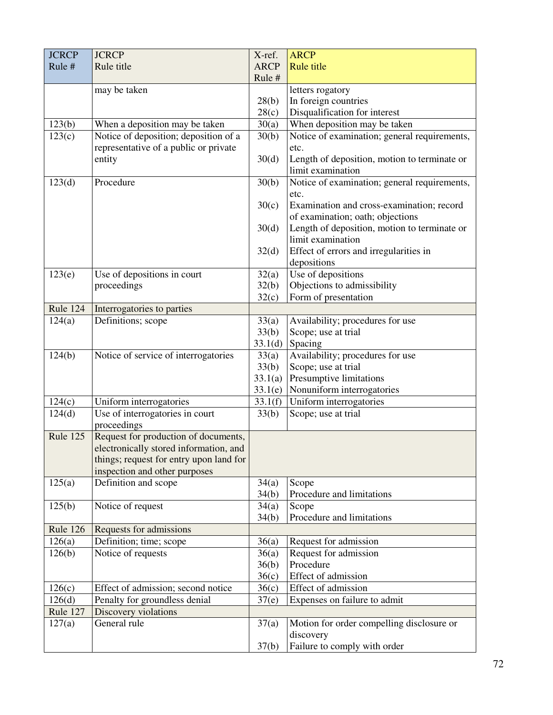| <b>ARCP</b><br><b>Rule title</b><br>Rule #<br>Rule title<br>Rule #<br>may be taken<br>letters rogatory<br>28(b)<br>In foreign countries<br>Disqualification for interest<br>28(c)<br>When deposition may be taken<br>123(b)<br>When a deposition may be taken<br>30(a)<br>Notice of deposition; deposition of a<br>Notice of examination; general requirements,<br>123(c)<br>30(b)<br>representative of a public or private<br>etc.<br>Length of deposition, motion to terminate or<br>30(d)<br>entity<br>limit examination<br>Notice of examination; general requirements,<br>Procedure<br>123(d)<br>30(b)<br>etc.<br>30(c)<br>Examination and cross-examination; record<br>of examination; oath; objections<br>Length of deposition, motion to terminate or<br>30(d)<br>limit examination<br>Effect of errors and irregularities in<br>32(d)<br>depositions<br>Use of depositions<br>Use of depositions in court<br>123(e)<br>32(a)<br>Objections to admissibility<br>proceedings<br>32(b)<br>Form of presentation<br>32(c)<br>Rule 124<br>Interrogatories to parties<br>Definitions; scope<br>124(a)<br>33(a)<br>Availability; procedures for use<br>Scope; use at trial<br>33(b)<br>Spacing<br>33.1(d)<br>Notice of service of interrogatories<br>124(b)<br>Availability; procedures for use<br>33(a)<br>Scope; use at trial<br>33(b)<br>33.1(a)<br>Presumptive limitations<br>Nonuniform interrogatories<br>33.1(e)<br>Uniform interrogatories<br>Uniform interrogatories<br>33.1(f)<br>124(c)<br>Use of interrogatories in court<br>124(d)<br>33(b)<br>Scope; use at trial | <b>JCRCP</b> | <b>JCRCP</b> | X-ref. | <b>ARCP</b> |
|----------------------------------------------------------------------------------------------------------------------------------------------------------------------------------------------------------------------------------------------------------------------------------------------------------------------------------------------------------------------------------------------------------------------------------------------------------------------------------------------------------------------------------------------------------------------------------------------------------------------------------------------------------------------------------------------------------------------------------------------------------------------------------------------------------------------------------------------------------------------------------------------------------------------------------------------------------------------------------------------------------------------------------------------------------------------------------------------------------------------------------------------------------------------------------------------------------------------------------------------------------------------------------------------------------------------------------------------------------------------------------------------------------------------------------------------------------------------------------------------------------------------------------------------------------------------------------|--------------|--------------|--------|-------------|
|                                                                                                                                                                                                                                                                                                                                                                                                                                                                                                                                                                                                                                                                                                                                                                                                                                                                                                                                                                                                                                                                                                                                                                                                                                                                                                                                                                                                                                                                                                                                                                                  |              |              |        |             |
|                                                                                                                                                                                                                                                                                                                                                                                                                                                                                                                                                                                                                                                                                                                                                                                                                                                                                                                                                                                                                                                                                                                                                                                                                                                                                                                                                                                                                                                                                                                                                                                  |              |              |        |             |
|                                                                                                                                                                                                                                                                                                                                                                                                                                                                                                                                                                                                                                                                                                                                                                                                                                                                                                                                                                                                                                                                                                                                                                                                                                                                                                                                                                                                                                                                                                                                                                                  |              |              |        |             |
|                                                                                                                                                                                                                                                                                                                                                                                                                                                                                                                                                                                                                                                                                                                                                                                                                                                                                                                                                                                                                                                                                                                                                                                                                                                                                                                                                                                                                                                                                                                                                                                  |              |              |        |             |
|                                                                                                                                                                                                                                                                                                                                                                                                                                                                                                                                                                                                                                                                                                                                                                                                                                                                                                                                                                                                                                                                                                                                                                                                                                                                                                                                                                                                                                                                                                                                                                                  |              |              |        |             |
|                                                                                                                                                                                                                                                                                                                                                                                                                                                                                                                                                                                                                                                                                                                                                                                                                                                                                                                                                                                                                                                                                                                                                                                                                                                                                                                                                                                                                                                                                                                                                                                  |              |              |        |             |
|                                                                                                                                                                                                                                                                                                                                                                                                                                                                                                                                                                                                                                                                                                                                                                                                                                                                                                                                                                                                                                                                                                                                                                                                                                                                                                                                                                                                                                                                                                                                                                                  |              |              |        |             |
|                                                                                                                                                                                                                                                                                                                                                                                                                                                                                                                                                                                                                                                                                                                                                                                                                                                                                                                                                                                                                                                                                                                                                                                                                                                                                                                                                                                                                                                                                                                                                                                  |              |              |        |             |
|                                                                                                                                                                                                                                                                                                                                                                                                                                                                                                                                                                                                                                                                                                                                                                                                                                                                                                                                                                                                                                                                                                                                                                                                                                                                                                                                                                                                                                                                                                                                                                                  |              |              |        |             |
|                                                                                                                                                                                                                                                                                                                                                                                                                                                                                                                                                                                                                                                                                                                                                                                                                                                                                                                                                                                                                                                                                                                                                                                                                                                                                                                                                                                                                                                                                                                                                                                  |              |              |        |             |
|                                                                                                                                                                                                                                                                                                                                                                                                                                                                                                                                                                                                                                                                                                                                                                                                                                                                                                                                                                                                                                                                                                                                                                                                                                                                                                                                                                                                                                                                                                                                                                                  |              |              |        |             |
|                                                                                                                                                                                                                                                                                                                                                                                                                                                                                                                                                                                                                                                                                                                                                                                                                                                                                                                                                                                                                                                                                                                                                                                                                                                                                                                                                                                                                                                                                                                                                                                  |              |              |        |             |
|                                                                                                                                                                                                                                                                                                                                                                                                                                                                                                                                                                                                                                                                                                                                                                                                                                                                                                                                                                                                                                                                                                                                                                                                                                                                                                                                                                                                                                                                                                                                                                                  |              |              |        |             |
|                                                                                                                                                                                                                                                                                                                                                                                                                                                                                                                                                                                                                                                                                                                                                                                                                                                                                                                                                                                                                                                                                                                                                                                                                                                                                                                                                                                                                                                                                                                                                                                  |              |              |        |             |
|                                                                                                                                                                                                                                                                                                                                                                                                                                                                                                                                                                                                                                                                                                                                                                                                                                                                                                                                                                                                                                                                                                                                                                                                                                                                                                                                                                                                                                                                                                                                                                                  |              |              |        |             |
|                                                                                                                                                                                                                                                                                                                                                                                                                                                                                                                                                                                                                                                                                                                                                                                                                                                                                                                                                                                                                                                                                                                                                                                                                                                                                                                                                                                                                                                                                                                                                                                  |              |              |        |             |
|                                                                                                                                                                                                                                                                                                                                                                                                                                                                                                                                                                                                                                                                                                                                                                                                                                                                                                                                                                                                                                                                                                                                                                                                                                                                                                                                                                                                                                                                                                                                                                                  |              |              |        |             |
|                                                                                                                                                                                                                                                                                                                                                                                                                                                                                                                                                                                                                                                                                                                                                                                                                                                                                                                                                                                                                                                                                                                                                                                                                                                                                                                                                                                                                                                                                                                                                                                  |              |              |        |             |
|                                                                                                                                                                                                                                                                                                                                                                                                                                                                                                                                                                                                                                                                                                                                                                                                                                                                                                                                                                                                                                                                                                                                                                                                                                                                                                                                                                                                                                                                                                                                                                                  |              |              |        |             |
|                                                                                                                                                                                                                                                                                                                                                                                                                                                                                                                                                                                                                                                                                                                                                                                                                                                                                                                                                                                                                                                                                                                                                                                                                                                                                                                                                                                                                                                                                                                                                                                  |              |              |        |             |
|                                                                                                                                                                                                                                                                                                                                                                                                                                                                                                                                                                                                                                                                                                                                                                                                                                                                                                                                                                                                                                                                                                                                                                                                                                                                                                                                                                                                                                                                                                                                                                                  |              |              |        |             |
|                                                                                                                                                                                                                                                                                                                                                                                                                                                                                                                                                                                                                                                                                                                                                                                                                                                                                                                                                                                                                                                                                                                                                                                                                                                                                                                                                                                                                                                                                                                                                                                  |              |              |        |             |
|                                                                                                                                                                                                                                                                                                                                                                                                                                                                                                                                                                                                                                                                                                                                                                                                                                                                                                                                                                                                                                                                                                                                                                                                                                                                                                                                                                                                                                                                                                                                                                                  |              |              |        |             |
|                                                                                                                                                                                                                                                                                                                                                                                                                                                                                                                                                                                                                                                                                                                                                                                                                                                                                                                                                                                                                                                                                                                                                                                                                                                                                                                                                                                                                                                                                                                                                                                  |              |              |        |             |
|                                                                                                                                                                                                                                                                                                                                                                                                                                                                                                                                                                                                                                                                                                                                                                                                                                                                                                                                                                                                                                                                                                                                                                                                                                                                                                                                                                                                                                                                                                                                                                                  |              |              |        |             |
|                                                                                                                                                                                                                                                                                                                                                                                                                                                                                                                                                                                                                                                                                                                                                                                                                                                                                                                                                                                                                                                                                                                                                                                                                                                                                                                                                                                                                                                                                                                                                                                  |              |              |        |             |
|                                                                                                                                                                                                                                                                                                                                                                                                                                                                                                                                                                                                                                                                                                                                                                                                                                                                                                                                                                                                                                                                                                                                                                                                                                                                                                                                                                                                                                                                                                                                                                                  |              |              |        |             |
|                                                                                                                                                                                                                                                                                                                                                                                                                                                                                                                                                                                                                                                                                                                                                                                                                                                                                                                                                                                                                                                                                                                                                                                                                                                                                                                                                                                                                                                                                                                                                                                  |              |              |        |             |
|                                                                                                                                                                                                                                                                                                                                                                                                                                                                                                                                                                                                                                                                                                                                                                                                                                                                                                                                                                                                                                                                                                                                                                                                                                                                                                                                                                                                                                                                                                                                                                                  |              |              |        |             |
|                                                                                                                                                                                                                                                                                                                                                                                                                                                                                                                                                                                                                                                                                                                                                                                                                                                                                                                                                                                                                                                                                                                                                                                                                                                                                                                                                                                                                                                                                                                                                                                  |              |              |        |             |
|                                                                                                                                                                                                                                                                                                                                                                                                                                                                                                                                                                                                                                                                                                                                                                                                                                                                                                                                                                                                                                                                                                                                                                                                                                                                                                                                                                                                                                                                                                                                                                                  |              |              |        |             |
| proceedings<br>Request for production of documents,<br>Rule 125                                                                                                                                                                                                                                                                                                                                                                                                                                                                                                                                                                                                                                                                                                                                                                                                                                                                                                                                                                                                                                                                                                                                                                                                                                                                                                                                                                                                                                                                                                                  |              |              |        |             |
| electronically stored information, and                                                                                                                                                                                                                                                                                                                                                                                                                                                                                                                                                                                                                                                                                                                                                                                                                                                                                                                                                                                                                                                                                                                                                                                                                                                                                                                                                                                                                                                                                                                                           |              |              |        |             |
| things; request for entry upon land for                                                                                                                                                                                                                                                                                                                                                                                                                                                                                                                                                                                                                                                                                                                                                                                                                                                                                                                                                                                                                                                                                                                                                                                                                                                                                                                                                                                                                                                                                                                                          |              |              |        |             |
| inspection and other purposes                                                                                                                                                                                                                                                                                                                                                                                                                                                                                                                                                                                                                                                                                                                                                                                                                                                                                                                                                                                                                                                                                                                                                                                                                                                                                                                                                                                                                                                                                                                                                    |              |              |        |             |
| 125(a)<br>Definition and scope<br>Scope<br>34(a)                                                                                                                                                                                                                                                                                                                                                                                                                                                                                                                                                                                                                                                                                                                                                                                                                                                                                                                                                                                                                                                                                                                                                                                                                                                                                                                                                                                                                                                                                                                                 |              |              |        |             |
| Procedure and limitations<br>34(b)                                                                                                                                                                                                                                                                                                                                                                                                                                                                                                                                                                                                                                                                                                                                                                                                                                                                                                                                                                                                                                                                                                                                                                                                                                                                                                                                                                                                                                                                                                                                               |              |              |        |             |
| 125(b)<br>Notice of request<br>34(a)<br>Scope                                                                                                                                                                                                                                                                                                                                                                                                                                                                                                                                                                                                                                                                                                                                                                                                                                                                                                                                                                                                                                                                                                                                                                                                                                                                                                                                                                                                                                                                                                                                    |              |              |        |             |
| Procedure and limitations<br>34(b)                                                                                                                                                                                                                                                                                                                                                                                                                                                                                                                                                                                                                                                                                                                                                                                                                                                                                                                                                                                                                                                                                                                                                                                                                                                                                                                                                                                                                                                                                                                                               |              |              |        |             |
| Rule 126<br>Requests for admissions                                                                                                                                                                                                                                                                                                                                                                                                                                                                                                                                                                                                                                                                                                                                                                                                                                                                                                                                                                                                                                                                                                                                                                                                                                                                                                                                                                                                                                                                                                                                              |              |              |        |             |
| Definition; time; scope<br>126(a)<br>Request for admission<br>36(a)                                                                                                                                                                                                                                                                                                                                                                                                                                                                                                                                                                                                                                                                                                                                                                                                                                                                                                                                                                                                                                                                                                                                                                                                                                                                                                                                                                                                                                                                                                              |              |              |        |             |
| Notice of requests<br>Request for admission<br>126(b)<br>36(a)                                                                                                                                                                                                                                                                                                                                                                                                                                                                                                                                                                                                                                                                                                                                                                                                                                                                                                                                                                                                                                                                                                                                                                                                                                                                                                                                                                                                                                                                                                                   |              |              |        |             |
| Procedure<br>36(b)                                                                                                                                                                                                                                                                                                                                                                                                                                                                                                                                                                                                                                                                                                                                                                                                                                                                                                                                                                                                                                                                                                                                                                                                                                                                                                                                                                                                                                                                                                                                                               |              |              |        |             |
| Effect of admission<br>36(c)                                                                                                                                                                                                                                                                                                                                                                                                                                                                                                                                                                                                                                                                                                                                                                                                                                                                                                                                                                                                                                                                                                                                                                                                                                                                                                                                                                                                                                                                                                                                                     |              |              |        |             |
| 126(c)<br>Effect of admission; second notice<br>Effect of admission<br>36(c)                                                                                                                                                                                                                                                                                                                                                                                                                                                                                                                                                                                                                                                                                                                                                                                                                                                                                                                                                                                                                                                                                                                                                                                                                                                                                                                                                                                                                                                                                                     |              |              |        |             |
| 126(d)<br>Penalty for groundless denial<br>Expenses on failure to admit<br>37(e)                                                                                                                                                                                                                                                                                                                                                                                                                                                                                                                                                                                                                                                                                                                                                                                                                                                                                                                                                                                                                                                                                                                                                                                                                                                                                                                                                                                                                                                                                                 |              |              |        |             |
| Rule 127<br>Discovery violations                                                                                                                                                                                                                                                                                                                                                                                                                                                                                                                                                                                                                                                                                                                                                                                                                                                                                                                                                                                                                                                                                                                                                                                                                                                                                                                                                                                                                                                                                                                                                 |              |              |        |             |
| General rule<br>127(a)<br>Motion for order compelling disclosure or<br>37(a)                                                                                                                                                                                                                                                                                                                                                                                                                                                                                                                                                                                                                                                                                                                                                                                                                                                                                                                                                                                                                                                                                                                                                                                                                                                                                                                                                                                                                                                                                                     |              |              |        |             |
| discovery                                                                                                                                                                                                                                                                                                                                                                                                                                                                                                                                                                                                                                                                                                                                                                                                                                                                                                                                                                                                                                                                                                                                                                                                                                                                                                                                                                                                                                                                                                                                                                        |              |              |        |             |
| Failure to comply with order<br>37(b)                                                                                                                                                                                                                                                                                                                                                                                                                                                                                                                                                                                                                                                                                                                                                                                                                                                                                                                                                                                                                                                                                                                                                                                                                                                                                                                                                                                                                                                                                                                                            |              |              |        |             |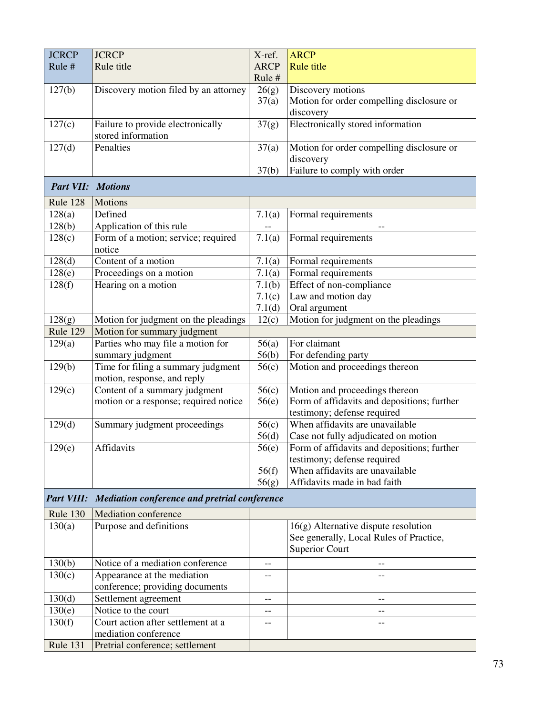| <b>JCRCP</b>             | <b>JCRCP</b>                                                      | X-ref.      | <b>ARCP</b>                                 |
|--------------------------|-------------------------------------------------------------------|-------------|---------------------------------------------|
| Rule #                   | Rule title                                                        | <b>ARCP</b> | <b>Rule title</b>                           |
|                          |                                                                   | Rule #      |                                             |
| 127(b)                   | Discovery motion filed by an attorney                             | 26(g)       | Discovery motions                           |
|                          |                                                                   | 37(a)       | Motion for order compelling disclosure or   |
|                          |                                                                   |             | discovery                                   |
| 127(c)                   | Failure to provide electronically                                 | 37(g)       | Electronically stored information           |
|                          | stored information                                                |             |                                             |
| 127(d)                   | Penalties                                                         | 37(a)       | Motion for order compelling disclosure or   |
|                          |                                                                   |             | discovery                                   |
|                          |                                                                   | 37(b)       | Failure to comply with order                |
| <b>Part VII: Motions</b> |                                                                   |             |                                             |
| Rule 128                 | Motions                                                           |             |                                             |
| 128(a)                   | Defined                                                           | 7.1(a)      | Formal requirements                         |
| 128(b)                   | Application of this rule                                          |             | $\overline{a}$                              |
| 128(c)                   | Form of a motion; service; required                               | 7.1(a)      | Formal requirements                         |
|                          | notice                                                            |             |                                             |
| 128(d)                   | Content of a motion                                               | 7.1(a)      | Formal requirements                         |
| 128(e)                   | Proceedings on a motion                                           | 7.1(a)      | Formal requirements                         |
| 128(f)                   | Hearing on a motion                                               | 7.1(b)      | Effect of non-compliance                    |
|                          |                                                                   | 7.1(c)      | Law and motion day                          |
|                          |                                                                   | 7.1(d)      | Oral argument                               |
| 128(g)                   | Motion for judgment on the pleadings                              | 12(c)       | Motion for judgment on the pleadings        |
| Rule 129                 | Motion for summary judgment                                       |             |                                             |
| 129(a)                   | Parties who may file a motion for                                 | 56(a)       | For claimant                                |
|                          | summary judgment                                                  | 56(b)       | For defending party                         |
| 129(b)                   | Time for filing a summary judgment<br>motion, response, and reply | 56(c)       | Motion and proceedings thereon              |
| 129(c)                   | Content of a summary judgment                                     | 56(c)       | Motion and proceedings thereon              |
|                          | motion or a response; required notice                             | 56(e)       | Form of affidavits and depositions; further |
|                          |                                                                   |             | testimony; defense required                 |
| 129(d)                   | Summary judgment proceedings                                      | 56(c)       | When affidavits are unavailable             |
|                          |                                                                   | 56(d)       | Case not fully adjudicated on motion        |
| 129(e)                   | Affidavits                                                        | 56(e)       | Form of affidavits and depositions; further |
|                          |                                                                   |             | testimony; defense required                 |
|                          |                                                                   | 56(f)       | When affidavits are unavailable             |
|                          |                                                                   | 56(g)       | Affidavits made in bad faith                |
| <b>Part VIII:</b>        | Mediation conference and pretrial conference                      |             |                                             |
| Rule 130                 | <b>Mediation conference</b>                                       |             |                                             |
| 130(a)                   | Purpose and definitions                                           |             | $16(g)$ Alternative dispute resolution      |
|                          |                                                                   |             | See generally, Local Rules of Practice,     |
|                          |                                                                   |             | <b>Superior Court</b>                       |
| 130(b)                   | Notice of a mediation conference                                  | --          |                                             |
| 130(c)                   | Appearance at the mediation                                       |             |                                             |
|                          | conference; providing documents                                   |             |                                             |
| 130(d)                   | Settlement agreement                                              | --          | --                                          |
| 130(e)                   | Notice to the court                                               | --          | --                                          |
| 130(f)                   | Court action after settlement at a                                |             |                                             |
|                          | mediation conference                                              |             |                                             |
| Rule 131                 | Pretrial conference; settlement                                   |             |                                             |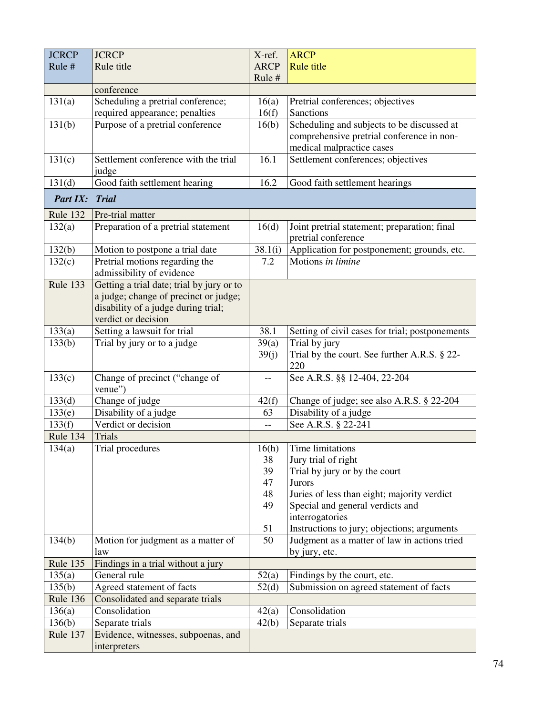| <b>JCRCP</b> | <b>JCRCP</b>                              | X-ref.      | <b>ARCP</b>                                                         |
|--------------|-------------------------------------------|-------------|---------------------------------------------------------------------|
| Rule #       | Rule title                                | <b>ARCP</b> | <b>Rule title</b>                                                   |
|              |                                           | Rule #      |                                                                     |
|              | conference                                |             |                                                                     |
| 131(a)       | Scheduling a pretrial conference;         | 16(a)       | Pretrial conferences; objectives                                    |
|              | required appearance; penalties            | 16(f)       | <b>Sanctions</b>                                                    |
| 131(b)       | Purpose of a pretrial conference          | 16(b)       | Scheduling and subjects to be discussed at                          |
|              |                                           |             | comprehensive pretrial conference in non-                           |
|              |                                           |             | medical malpractice cases                                           |
| 131(c)       | Settlement conference with the trial      | 16.1        | Settlement conferences; objectives                                  |
|              | judge                                     |             |                                                                     |
| 131(d)       | Good faith settlement hearing             | 16.2        | Good faith settlement hearings                                      |
| Part IX:     | <b>Trial</b>                              |             |                                                                     |
| Rule 132     | Pre-trial matter                          |             |                                                                     |
| 132(a)       | Preparation of a pretrial statement       | 16(d)       | Joint pretrial statement; preparation; final<br>pretrial conference |
| 132(b)       | Motion to postpone a trial date           | 38.1(i)     | Application for postponement; grounds, etc.                         |
| 132(c)       | Pretrial motions regarding the            | 7.2         | Motions in limine                                                   |
|              | admissibility of evidence                 |             |                                                                     |
| Rule 133     | Getting a trial date; trial by jury or to |             |                                                                     |
|              | a judge; change of precinct or judge;     |             |                                                                     |
|              | disability of a judge during trial;       |             |                                                                     |
|              | verdict or decision                       |             |                                                                     |
| 133(a)       | Setting a lawsuit for trial               | 38.1        | Setting of civil cases for trial; postponements                     |
| 133(b)       | Trial by jury or to a judge               | 39(a)       | Trial by jury                                                       |
|              |                                           | 39(j)       | Trial by the court. See further A.R.S. § 22-                        |
|              |                                           |             | 220                                                                 |
| 133(c)       | Change of precinct ("change of<br>venue") | --          | See A.R.S. §§ 12-404, 22-204                                        |
| 133(d)       | Change of judge                           | 42(f)       | Change of judge; see also A.R.S. § 22-204                           |
| 133(e)       | Disability of a judge                     | 63          | Disability of a judge                                               |
| 133(f)       | Verdict or decision                       |             | See A.R.S. § 22-241                                                 |
| Rule 134     | <b>Trials</b>                             |             |                                                                     |
| 134(a)       | Trial procedures                          | 16(h)       | Time limitations                                                    |
|              |                                           | 38          | Jury trial of right                                                 |
|              |                                           | 39          | Trial by jury or by the court                                       |
|              |                                           | 47          | Jurors                                                              |
|              |                                           | 48          | Juries of less than eight; majority verdict                         |
|              |                                           | 49          | Special and general verdicts and                                    |
|              |                                           |             | interrogatories                                                     |
|              |                                           | 51<br>50    | Instructions to jury; objections; arguments                         |
| 134(b)       | Motion for judgment as a matter of<br>law |             | Judgment as a matter of law in actions tried<br>by jury, etc.       |
| Rule 135     | Findings in a trial without a jury        |             |                                                                     |
| 135(a)       | General rule                              | 52(a)       | Findings by the court, etc.                                         |
| 135(b)       | Agreed statement of facts                 | 52(d)       | Submission on agreed statement of facts                             |
| Rule 136     | Consolidated and separate trials          |             |                                                                     |
| 136(a)       | Consolidation                             | 42(a)       | Consolidation                                                       |
| 136(b)       | Separate trials                           | 42(b)       | Separate trials                                                     |
| Rule 137     | Evidence, witnesses, subpoenas, and       |             |                                                                     |
|              | interpreters                              |             |                                                                     |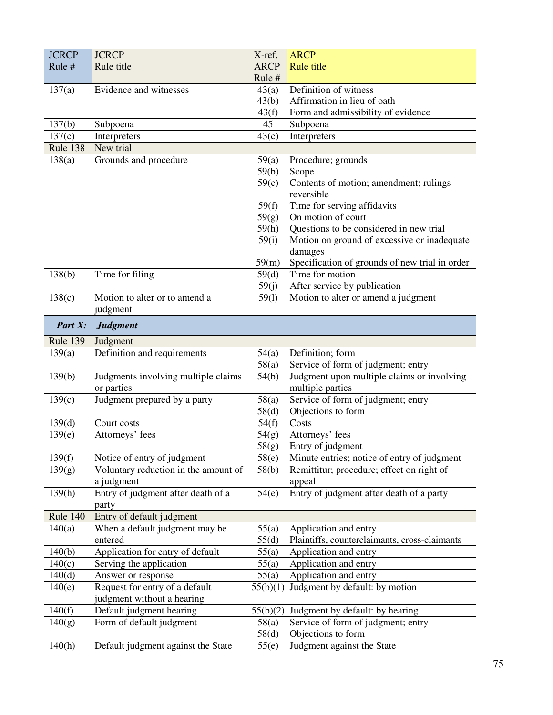| <b>JCRCP</b>    | <b>JCRCP</b>                         | X-ref.          | <b>ARCP</b>                                    |
|-----------------|--------------------------------------|-----------------|------------------------------------------------|
| Rule #          | Rule title                           | <b>ARCP</b>     | <b>Rule title</b>                              |
|                 |                                      | Rule#           |                                                |
| 137(a)          | Evidence and witnesses               | 43(a)           | Definition of witness                          |
|                 |                                      | 43(b)           | Affirmation in lieu of oath                    |
|                 |                                      | 43(f)           | Form and admissibility of evidence             |
| 137(b)          | Subpoena                             | 45              | Subpoena                                       |
| 137(c)          | Interpreters                         | 43(c)           | Interpreters                                   |
| Rule 138        | New trial                            |                 |                                                |
| 138(a)          | Grounds and procedure                | 59(a)           | Procedure; grounds                             |
|                 |                                      | 59(b)           | Scope                                          |
|                 |                                      | 59(c)           | Contents of motion; amendment; rulings         |
|                 |                                      |                 | reversible                                     |
|                 |                                      | 59(f)           | Time for serving affidavits                    |
|                 |                                      | 59(g)           | On motion of court                             |
|                 |                                      | 59(h)           | Questions to be considered in new trial        |
|                 |                                      | 59(i)           | Motion on ground of excessive or inadequate    |
|                 |                                      |                 | damages                                        |
|                 |                                      | 59(m)           | Specification of grounds of new trial in order |
| 138(b)          | Time for filing                      | 59(d)           | Time for motion                                |
|                 |                                      | 59(j)           | After service by publication                   |
| 138(c)          | Motion to alter or to amend a        | 59(1)           | Motion to alter or amend a judgment            |
|                 | judgment                             |                 |                                                |
| Part X:         | <b>Judgment</b>                      |                 |                                                |
| <b>Rule 139</b> | Judgment                             |                 |                                                |
| 139(a)          | Definition and requirements          | 54(a)           | Definition; form                               |
|                 |                                      | 58(a)           | Service of form of judgment; entry             |
| 139(b)          | Judgments involving multiple claims  | 54(b)           | Judgment upon multiple claims or involving     |
|                 | or parties                           |                 | multiple parties                               |
| 139(c)          | Judgment prepared by a party         | 58(a)           | Service of form of judgment; entry             |
|                 |                                      | 58(d)           | Objections to form                             |
| 139(d)          | Court costs                          | 54(f)           | Costs                                          |
| 139(e)          | Attorneys' fees                      | 54(g)           | Attorneys' fees                                |
|                 |                                      | 58(g)           | Entry of judgment                              |
| 139(f)          | Notice of entry of judgment          | 58(e)           | Minute entries; notice of entry of judgment    |
| 139(g)          | Voluntary reduction in the amount of | 58(b)           | Remittitur; procedure; effect on right of      |
|                 | a judgment                           |                 | appeal                                         |
| 139(h)          | Entry of judgment after death of a   | 54(e)           | Entry of judgment after death of a party       |
|                 | party                                |                 |                                                |
| Rule 140        | Entry of default judgment            |                 |                                                |
| 140(a)          | When a default judgment may be       | 55(a)           | Application and entry                          |
|                 | entered                              | 55(d)           | Plaintiffs, counterclaimants, cross-claimants  |
| 140(b)          | Application for entry of default     | 55(a)           | Application and entry                          |
| 140(c)          | Serving the application              | 55(a)           | Application and entry                          |
| 140(d)          | Answer or response                   | 55(a)           | Application and entry                          |
| 140(e)          | Request for entry of a default       | 55(b)(1)        | Judgment by default: by motion                 |
|                 | judgment without a hearing           |                 |                                                |
| 140(f)          | Default judgment hearing             | 55(b)(2)        | Judgment by default: by hearing                |
| 140(g)          | Form of default judgment             | 58(a)           | Service of form of judgment; entry             |
|                 |                                      | 58 <sub>d</sub> | Objections to form                             |
| 140(h)          | Default judgment against the State   | 55(e)           | Judgment against the State                     |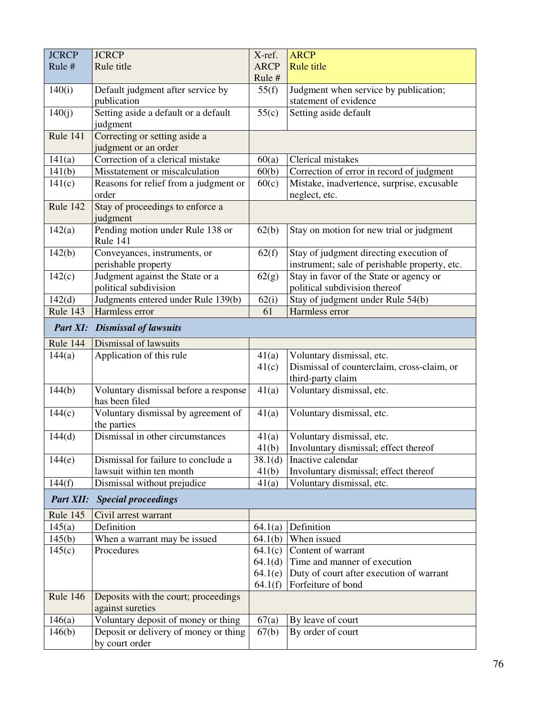| <b>JCRCP</b>     | <b>JCRCP</b>                                            | X-ref.      | <b>ARCP</b>                                   |
|------------------|---------------------------------------------------------|-------------|-----------------------------------------------|
| Rule #           | Rule title                                              | <b>ARCP</b> | <b>Rule title</b>                             |
|                  |                                                         | Rule #      |                                               |
| 140(i)           | Default judgment after service by                       | 55(f)       | Judgment when service by publication;         |
|                  | publication                                             |             | statement of evidence                         |
| 140(j)           | Setting aside a default or a default                    | 55(c)       | Setting aside default                         |
|                  | judgment                                                |             |                                               |
| Rule 141         | Correcting or setting aside a                           |             |                                               |
|                  | judgment or an order                                    |             |                                               |
| 141(a)           | Correction of a clerical mistake                        | 60(a)       | Clerical mistakes                             |
| 141(b)           | Misstatement or miscalculation                          | 60(b)       | Correction of error in record of judgment     |
| 141(c)           | Reasons for relief from a judgment or                   | 60(c)       | Mistake, inadvertence, surprise, excusable    |
|                  | order                                                   |             | neglect, etc.                                 |
| Rule 142         | Stay of proceedings to enforce a<br>judgment            |             |                                               |
| 142(a)           | Pending motion under Rule 138 or                        | 62(b)       | Stay on motion for new trial or judgment      |
|                  | Rule 141                                                |             |                                               |
| 142(b)           | Conveyances, instruments, or                            | 62(f)       | Stay of judgment directing execution of       |
|                  | perishable property                                     |             | instrument; sale of perishable property, etc. |
| 142(c)           | Judgment against the State or a                         | 62(g)       | Stay in favor of the State or agency or       |
|                  | political subdivision                                   |             | political subdivision thereof                 |
| 142(d)           | Judgments entered under Rule 139(b)                     | 62(i)       | Stay of judgment under Rule 54(b)             |
| Rule 143         | Harmless error                                          | 61          | Harmless error                                |
| Part XI:         | <b>Dismissal of lawsuits</b>                            |             |                                               |
| Rule 144         | Dismissal of lawsuits                                   |             |                                               |
| 144(a)           | Application of this rule                                | 41(a)       | Voluntary dismissal, etc.                     |
|                  |                                                         | 41(c)       | Dismissal of counterclaim, cross-claim, or    |
|                  |                                                         |             | third-party claim                             |
| 144(b)           | Voluntary dismissal before a response<br>has been filed | 41(a)       | Voluntary dismissal, etc.                     |
| 144(c)           | Voluntary dismissal by agreement of                     | 41(a)       | Voluntary dismissal, etc.                     |
|                  | the parties                                             |             |                                               |
| 144(d)           | Dismissal in other circumstances                        | 41(a)       | Voluntary dismissal, etc.                     |
|                  |                                                         | 41(b)       | Involuntary dismissal; effect thereof         |
| 144(e)           | Dismissal for failure to conclude a                     | 38.1(d)     | Inactive calendar                             |
|                  | lawsuit within ten month                                | 41(b)       | Involuntary dismissal; effect thereof         |
| 144(f)           | Dismissal without prejudice                             | 41(a)       | Voluntary dismissal, etc.                     |
| <b>Part XII:</b> | <b>Special proceedings</b>                              |             |                                               |
| Rule 145         | Civil arrest warrant                                    |             |                                               |
| 145(a)           | Definition                                              | 64.1(a)     | Definition                                    |
| 145(b)           | When a warrant may be issued                            | 64.1(b)     | When issued                                   |
| 145(c)           | Procedures                                              | 64.1(c)     | Content of warrant                            |
|                  |                                                         | 64.1(d)     | Time and manner of execution                  |
|                  |                                                         | 64.1(e)     | Duty of court after execution of warrant      |
|                  |                                                         | 64.1(f)     | Forfeiture of bond                            |
| Rule 146         | Deposits with the court; proceedings                    |             |                                               |
|                  | against sureties                                        |             |                                               |
| 146(a)           | Voluntary deposit of money or thing                     | 67(a)       | By leave of court                             |
| 146(b)           | Deposit or delivery of money or thing                   | 67(b)       | By order of court                             |
|                  | by court order                                          |             |                                               |